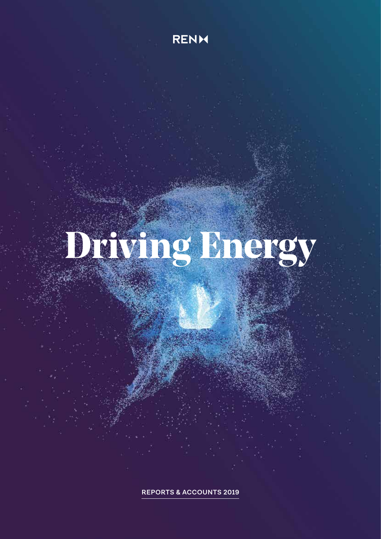**RENM** 

# **Driving Energy**

**REPORTS & ACCOUNTS 2019**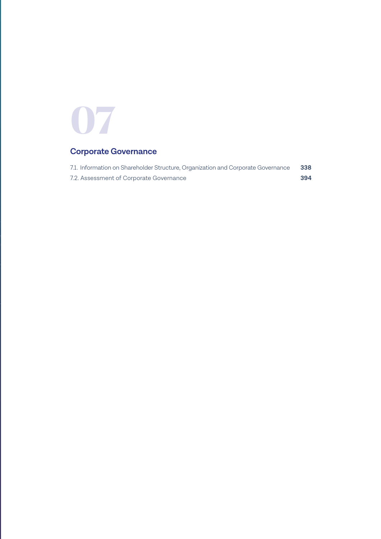# **07**

### **Corporate Governance**

| 7.1. Information on Shareholder Structure, Organization and Corporate Governance | 338 |
|----------------------------------------------------------------------------------|-----|
| 7.2. Assessment of Corporate Governance                                          | 394 |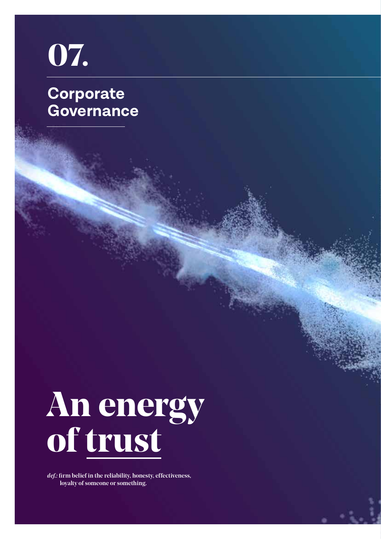**Corporate Governance 07.** 



*def.:* firm belief in the reliability, honesty, effectiveness, loyalty of someone or something.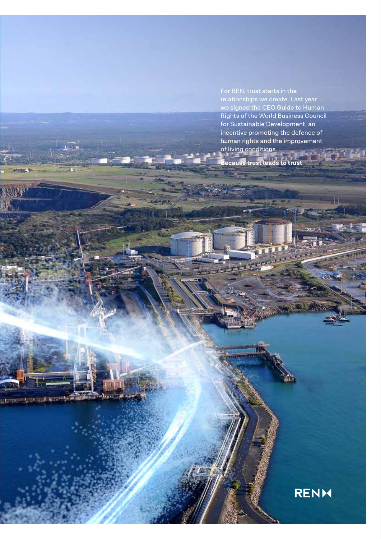relationships we create. Last year we signed the CEO Guide to Human Rights of the World Business Council for Sustainable Development, an incentive promoting the defence of human rights and the improvement of living conditions.

**Because trust leads to trust** 

**SAUCHORN SALES AND MONEY** 

# **RENM**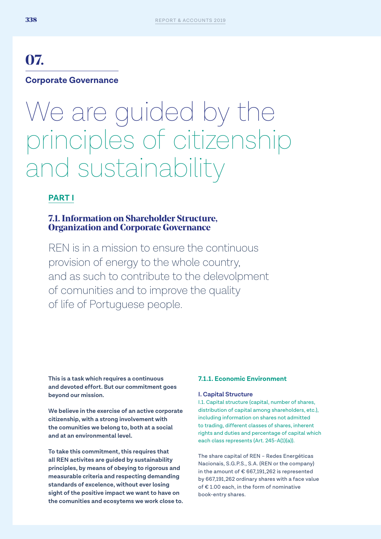# **07.**

# **Corporate Governance**

# We are guided by the principles of citizenship and sustainability

### **PART I**

#### **7.1. Information on Shareholder Structure, Organization and Corporate Governance**

REN is in a mission to ensure the continuous provision of energy to the whole country, and as such to contribute to the delevolpment of comunities and to improve the quality of life of Portuguese people.

**This is a task which requires a continuous and devoted effort. But our commitment goes beyond our mission.** 

**We believe in the exercise of an active corporate citizenship, with a strong involvement with the comunities we belong to, both at a social and at an environmental level.** 

**To take this commitment, this requires that all REN activites are guided by sustainability principles, by means of obeying to rigorous and measurable criteria and respecting demanding standards of excelence, without ever losing sight of the positive impact we want to have on the comunities and ecosytems we work close to.**

#### **7.1.1. Economic Environment**

#### **I. Capital Structure**

I.1. Capital structure (capital, number of shares, distribution of capital among shareholders, etc.), including information on shares not admitted to trading, different classes of shares, inherent rights and duties and percentage of capital which each class represents (Art. 245-A(1)(a)).

The share capital of REN – Redes Energéticas Nacionais, S.G.P.S., S.A. (REN or the company) in the amount of € 667,191,262 is represented by 667,191,262 ordinary shares with a face value of € 1.00 each, in the form of nominative book-entry shares.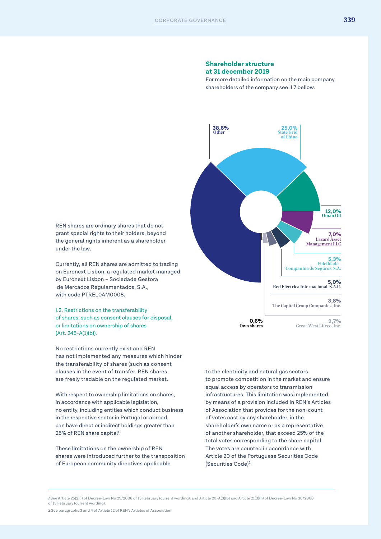#### **Shareholder structure at 31 december 2019**

For more detailed information on the main company shareholders of the company see II.7 bellow.



REN shares are ordinary shares that do not grant special rights to their holders, beyond the general rights inherent as a shareholder under the law.

Currently, all REN shares are admitted to trading on Euronext Lisbon, a regulated market managed by Euronext Lisbon – Sociedade Gestora de Mercados Regulamentados, S.A., with code PTREL0AM0008.

I.2. Restrictions on the transferability of shares, such as consent clauses for disposal, or limitations on ownership of shares (Art. 245-A(1)(b)).

No restrictions currently exist and REN has not implemented any measures which hinder the transferability of shares (such as consent clauses in the event of transfer. REN shares are freely tradable on the regulated market.

With respect to ownership limitations on shares, in accordance with applicable legislation, no entity, including entities which conduct business in the respective sector in Portugal or abroad, can have direct or indirect holdings greater than 25% of REN share capital<sup>1</sup>.

These limitations on the ownership of REN shares were introduced further to the transposition of European community directives applicable

to the electricity and natural gas sectors to promote competition in the market and ensure equal access by operators to transmission infrastructures. This limitation was implemented by means of a provision included in REN's Articles of Association that provides for the non-count of votes cast by any shareholder, in the shareholder's own name or as a representative of another shareholder, that exceed 25% of the total votes corresponding to the share capital. The votes are counted in accordance with Article 20 of the Portuguese Securities Code (Securities Code)2.

*2* See paragraphs 3 and 4 of Article 12 of REN's Articles of Association.

*<sup>1</sup>* See Article 25(2)(i) of Decree-Law No 29/2006 of 15 February (current wording), and Article 20-A(3)(b) and Article 21(3)(h) of Decree-Law No 30/2006 of 15 February (current wording).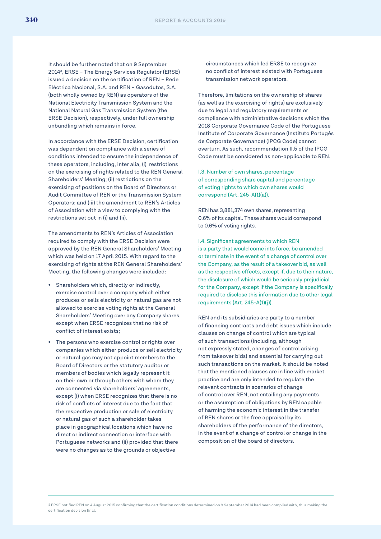It should be further noted that on 9 September 20143, ERSE – The Energy Services Regulator (ERSE) issued a decision on the certification of REN – Rede Eléctrica Nacional, S.A. and REN – Gasodutos, S.A. (both wholly owned by REN) as operators of the National Electricity Transmission System and the National Natural Gas Transmission System (the ERSE Decision), respectively, under full ownership unbundling which remains in force.

In accordance with the ERSE Decision, certification was dependent on compliance with a series of conditions intended to ensure the independence of these operators, including, inter alia, (i) restrictions on the exercising of rights related to the REN General Shareholders' Meeting; (ii) restrictions on the exercising of positions on the Board of Directors or Audit Committee of REN or the Transmission System Operators; and (iii) the amendment to REN's Articles of Association with a view to complying with the restrictions set out in (i) and (ii).

The amendments to REN's Articles of Association required to comply with the ERSE Decision were approved by the REN General Shareholders' Meeting which was held on 17 April 2015. With regard to the exercising of rights at the REN General Shareholders' Meeting, the following changes were included:

- Shareholders which, directly or indirectly, exercise control over a company which either produces or sells electricity or natural gas are not allowed to exercise voting rights at the General Shareholders' Meeting over any Company shares, except when ERSE recognizes that no risk of conflict of interest exists;
- The persons who exercise control or rights over companies which either produce or sell electricity or natural gas may not appoint members to the Board of Directors or the statutory auditor or members of bodies which legally represent it on their own or through others with whom they are connected via shareholders' agreements, except (i) when ERSE recognizes that there is no risk of conflicts of interest due to the fact that the respective production or sale of electricity or natural gas of such a shareholder takes place in geographical locations which have no direct or indirect connection or interface with Portuguese networks and (ii) provided that there were no changes as to the grounds or objective

circumstances which led ERSE to recognize no conflict of interest existed with Portuguese transmission network operators.

Therefore, limitations on the ownership of shares (as well as the exercising of rights) are exclusively due to legal and regulatory requirements or compliance with administrative decisions which the 2018 Corporate Governance Code of the Portuguese Institute of Corporate Governance (Instituto Portugês de Corporate Governance) (IPCG Code) cannot overturn. As such, recommendation II.5 of the IPCG Code must be considered as non-applicable to REN.

I.3. Number of own shares, percentage of corresponding share capital and percentage of voting rights to which own shares would correspond (Art. 245-A(1)(a)).

REN has 3,881,374 own shares, representing 0.6% of its capital. These shares would correspond to 0.6% of voting rights.

I.4. Significant agreements to which REN is a party that would come into force, be amended or terminate in the event of a change of control over the Company, as the result of a takeover bid, as well as the respective effects, except if, due to their nature, the disclosure of which would be seriously prejudicial for the Company, except if the Company is specifically required to disclose this information due to other legal requirements (Art. 245-A(1)(j)).

REN and its subsidiaries are party to a number of financing contracts and debt issues which include clauses on change of control which are typical of such transactions (including, although not expressly stated, changes of control arising from takeover bids) and essential for carrying out such transactions on the market. It should be noted that the mentioned clauses are in line with market practice and are only intended to regulate the relevant contracts in scenarios of change of control over REN, not entailing any payments or the assumption of obligations by REN capable of harming the economic interest in the transfer of REN shares or the free appraisal by its shareholders of the performance of the directors, in the event of a change of control or change in the composition of the board of directors.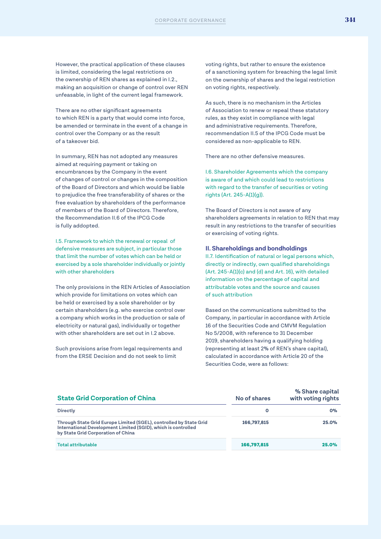However, the practical application of these clauses is limited, considering the legal restrictions on the ownership of REN shares as explained in I.2., making an acquisition or change of control over REN unfeasable, in light of the current legal framework.

There are no other significant agreements to which REN is a party that would come into force, be amended or terminate in the event of a change in control over the Company or as the result of a takeover bid.

In summary, REN has not adopted any measures aimed at requiring payment or taking on encumbrances by the Company in the event of changes of control or changes in the composition of the Board of Directors and which would be liable to prejudice the free transferability of shares or the free evaluation by shareholders of the performance of members of the Board of Directors. Therefore, the Recommendation II.6 of the IPCG Code is fully addopted.

I.5. Framework to which the renewal or repeal of defensive measures are subject, in particular those that limit the number of votes which can be held or exercised by a sole shareholder individually or jointly with other shareholders

The only provisions in the REN Articles of Association which provide for limitations on votes which can be held or exercised by a sole shareholder or by certain shareholders (e.g. who exercise control over a company which works in the production or sale of electricity or natural gas), individually or together with other shareholders are set out in I.2 above.

Such provisions arise from legal requirements and from the ERSE Decision and do not seek to limit

voting rights, but rather to ensure the existence of a sanctioning system for breaching the legal limit on the ownership of shares and the legal restriction on voting rights, respectively.

As such, there is no mechanism in the Articles of Association to renew or repeal these statutory rules, as they exist in compliance with legal and administrative requirements. Therefore, recommendation II.5 of the IPCG Code must be considered as non-applicable to REN.

There are no other defensive measures.

I.6. Shareholder Agreements which the company is aware of and which could lead to restrictions with regard to the transfer of securities or voting rights (Art. 245-A(1)(g)).

The Board of Directors is not aware of any shareholders agreements in relation to REN that may result in any restrictions to the transfer of securities or exercising of voting rights.

#### **II. Shareholdings and bondholdings**

II.7. Identification of natural or legal persons which, directly or indirectly, own qualified shareholdings (Art. 245-A(1)(c) and (d) and Art. 16), with detailed information on the percentage of capital and attributable votes and the source and causes of such attribution

Based on the communications submitted to the Company, in particular in accordance with Article 16 of the Securities Code and CMVM Regulation No 5/2008, with reference to 31 December 2019, shareholders having a qualifying holding (representing at least 2% of REN's share capital), calculated in accordance with Article 20 of the Securities Code, were as follows:

| <b>State Grid Corporation of China</b>                                                                                                                                    | No of shares | % Share capital<br>with voting rights |  |
|---------------------------------------------------------------------------------------------------------------------------------------------------------------------------|--------------|---------------------------------------|--|
| <b>Directly</b>                                                                                                                                                           | 0            | 0%                                    |  |
| Through State Grid Europe Limited (SGEL), controlled by State Grid<br>International Development Limited (SGID), which is controlled<br>by State Grid Corporation of China | 166.797.815  | 25.0%                                 |  |
| <b>Total attributable</b>                                                                                                                                                 | 166,797,815  | 25.0%                                 |  |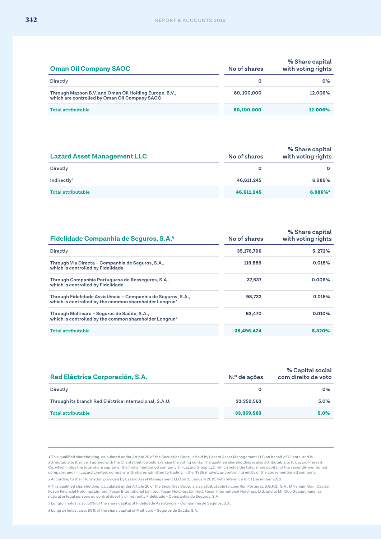| <b>Oman Oil Company SAOC</b>                                                                            | No of shares | % Share capital<br>with voting rights |  |
|---------------------------------------------------------------------------------------------------------|--------------|---------------------------------------|--|
| <b>Directly</b>                                                                                         | 0            | 0%                                    |  |
| Through Mazoon B.V. and Oman Oil Holding Europe, B.V.,<br>which are controlled by Oman Oil Company SAOC | 80, 100, 000 | 12.006%                               |  |
| <b>Total attributable</b>                                                                               | 80,100,000   | 12.006%                               |  |

| <b>Lazard Asset Management LLC</b> | No of shares | % Share capital<br>with voting rights |
|------------------------------------|--------------|---------------------------------------|
| <b>Directly</b>                    |              |                                       |
| Indirectly <sup>4</sup>            | 46,611,245   | 6.986%                                |
| <b>Total attributable</b>          | 46,611,245   | 6.986%                                |

| <b>Fidelidade Companhia de Seguros, S.A.</b> <sup>6</sup>                                                                          | No of shares | % Share capital<br>with voting rights |
|------------------------------------------------------------------------------------------------------------------------------------|--------------|---------------------------------------|
| <b>Directly</b>                                                                                                                    | 35,176,796   | 5.272%                                |
| Through Via Directa – Companhia de Seguros, S.A.,<br>which is controlled by Fidelidade                                             | 119,889      | 0.018%                                |
| Through Companhia Portuguesa de Resseguros, S.A.,<br>which is controlled by Fidelidade                                             | 37,537       | 0.006%                                |
| Through Fidelidade Assistência - Companhia de Seguros, S.A.,<br>which is controlled by the common shareholder Longrun <sup>7</sup> | 98.732       | 0.015%                                |
| Through Multicare - Seguros de Saúde, S.A.,<br>which is controlled by the common shareholder Longrun <sup>8</sup>                  | 63,470       | 0.010%                                |
| <b>Total attributable</b>                                                                                                          | 35,496,424   | 5.320%                                |

| Red Eléctrica Corporación, S.A.                        | N.º de ações | % Capital social<br>com direito de voto |
|--------------------------------------------------------|--------------|-----------------------------------------|
| <b>Directly</b>                                        |              | 0%                                      |
| Through its branch Red Eléctrica Internacional, S.A.U. | 33,359,563   | $5.0\%$                                 |
| Total attributable                                     | 33,359,563   | 5.0%                                    |

*4* This qualified shareholding, calculated under Article 20 of the Securities Code, is held by Lazard Asset Management LLC on behalf of Clients, and is attributable to it since it agreed with the Clients that it would exercise the voting rights. The qualified shareholding is also attributable to (i) Lazard Freres &<br>Co, which holds the total share capital of the firstly me company; and (iii) Lazard Limited, company with shares admitted to trading in the NYSE market, as controlling entity of the abovementioned company.

*5* According to the information provided by Lazard Asset Management LLC on 31 January 2019, with reference to 31 December 2018.

*6* This qualified shareholding, calculated under Article 20 of the Securities Code, is also attributable to LongRun Portugal, S.G.P.S., S.A., Millenium Gain Capital, Fosun Financial Holdings Limited, Fosun International Limited, Fosun Holdings Limited, Fosun International Holdings, Ltd. and to Mr. Guo Guangchang, as<br>natural or legal persons ou control directly or indirectly Fidelidade

*7* Longrun holds, also, 80% of the share capital of Fidelidade Assistência – Companhia de Seguros, S.A. *8* Longrun holds, also, 80% of the share capital of Multicare – Seguros de Saúde, S.A.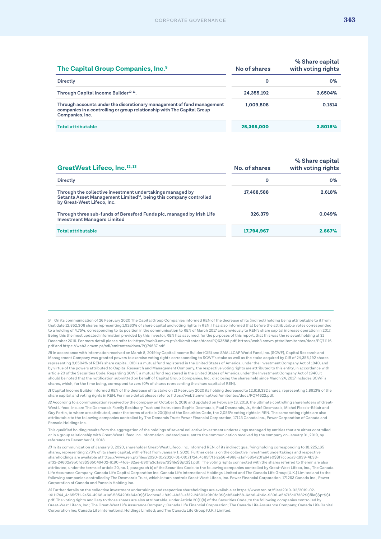| The Capital Group Companies, Inc. <sup>9</sup>                                                                                                                       | No of shares | % Share capital<br>with voting rights |
|----------------------------------------------------------------------------------------------------------------------------------------------------------------------|--------------|---------------------------------------|
| <b>Directly</b>                                                                                                                                                      | 0            | $O\%$                                 |
| Through Capital Income Builder <sup>10, 11</sup> .                                                                                                                   | 24.355.192   | 3.6504%                               |
| Through accounts under the discretionary management of fund management<br>companies in a controlling or group relationship with The Capital Group<br>Companies, Inc. | 1,009,808    | 0.1514                                |
| <b>Total attributable</b>                                                                                                                                            | 25,365,000   | 3.8018%                               |

| GreatWest Lifeco, Inc. <sup>12,13</sup>                                                                                                                                   | No. of shares | % Share capital<br>with voting rights |
|---------------------------------------------------------------------------------------------------------------------------------------------------------------------------|---------------|---------------------------------------|
| <b>Directly</b>                                                                                                                                                           | О             | $0\%$                                 |
| Through the collective investment undertakings managed by<br>Setanta Asset Management Limited <sup>14</sup> , being this company controlled<br>by Great-West Lifeco, Inc. | 17,468,588    | 2.618%                                |
| Through three sub-funds of Beresford Funds plc, managed by Irish Life<br><b>Investment Managers Limited</b>                                                               | 326.379       | 0.049%                                |
| <b>Total attributable</b>                                                                                                                                                 | 17,794,967    | 2.667%                                |

*14* Further details on the collective investment undertakings and respective shareholdings are available at https://www.ren.pt/files/2019-02/2019-02- 14111744\_4c65f7f1-2e56-4968-a1af-585420fa64e0\$\$f7ccbca3-1839-4b33-af32-24602a9b0fd3\$\$cb54eb58-6db6-4b6c-9396-e5b715c07382\$\$file\$\$pt\$\$1. pdf. The voting rights ancillary to those shares are also attributable, under Article 20(1)(b) of the Securities Code, to the following companies controlled by Great-West Lifeco, Inc.; The Great-West Life Assurance Company; Canada Life Financial Corporation; The Canada Life Assurance Company; Canada Life Capital Corporation Inc; Canada Life International Holdings Limited; and The Canada Life Group (U.K.) Limited.

*<sup>9</sup>* On its communication of 26 February 2020 The Capital Group Companies informed REN of the decrease of its (indirect) holding being attributable to it from that date 12,852,308 shares representing 1,9263% of share capital and voting rights in REN. I has also informed that before the attributable votes corresponded to a holding of 4.75%, corresponding to its position in the communication to REN of March 2017 and previously to REN's share capital increase operation in 2017. Being this the most updated information provided by this investor, REN has assumed, for the purposes of this report, that this was the relevant holding at 31 December 2019. For more detail please refer to: https://web3.cmvm.pt/sdi/emitentes/docs/PQ63588.pdf, https://web3.cmvm.pt/sdi/emitentes/docs/PQ71116. pdf and https://web3.cmvm.pt/sdi/emitentes/docs/PQ74637.pdf

*<sup>10</sup>* In accordance with information received on March 8, 2019 by Capital Income Builder (CIB) and SMALLCAP World Fund, Inc. (SCWF), Capital Research and Management Company was granted powers to exercise voting rights corresponding to SCWF's stake as well as the stake acquired by CIB of 24,355,192 shares representing 3,6504% of REN's share capital. CIB is a mutual fund registered in the United States of America, under the Investment Company Act of 1940, and by virtue of the powers attributed to Capital Research and Management Company, the respective voting rights are attributed to this entity, in accordance with article 20 of the Securities Code. Regarding SCWF, a mutual fund registered in the United States of America under the Investment Company Act of 1940, it should be noted that the notification submitted on behalf of Capital Group Companies, Inc., disclosing the shares held since March 24, 2017 includes SCWF's shares, which, for the time being, correspond to zero (0% of shares representing the share capital of REN).

*<sup>11</sup>* Capital Income Builder informed REN of the decrease of its stake on 21 February 2020 its holding decreased to 12,618,332 shares, representing 1.8913% of the share capital and voting rights in REN. For more detail please refer to https://web3.cmvm.pt/sdi/emitentes/docs/PQ74622.pdf.

*<sup>12</sup>* According to a communication received by the company on October 5, 2016 and updated on February 13, 2019, the ultimate controlling shareholders of Great-West Lifeco, Inc. are The Desmarais Family Residuary Trust and its trustees Sophie Desmarais, Paul Desmarais, Jr., André Desmarais, Michel Plessis-Bélair and Guy Fortin, to whom are attributed, under the terms of article 20(1)(b) of the Securities Code, the 2,056% voting rights in REN. The same voting rights are also attributable to the following companies controlled by The Demarais Trust: Power Financial Corporation, 17123 Canada Inc., Power Corporation of Canada and Pansolo Holdings Inc.

This qualified holding results from the aggregation of the holdings of several collective investment undertakings managed by entities that are either controlled or in a group relationship with Great-West Lifeco Inc. Information updated pursuant to the communication received by the company on January 31, 2019, by reference to December 31, 2018.

*<sup>13</sup>* In its communication of January 3, 2020, shareholder Great-West Lifeco, Inc. informed REN. of its indirect qualifying holding corresponding to 18,225,165 shares, representing 2.73% of its share capital, with effect from January 1, 2020. Further details on the collective investment undertakings and respective shareholdings are available at https://www.ren.pt/files/2020-01/2020-01-09171724\_4c65f7f1-2e56-4968-a1af-585420fa64e0\$\$f7ccbca3-1839-4b33-<br>af32-24602a9b0fd3\$\$65049402-6190-4fde-82ae-b90fa3d1a8a7\$\$file\$\$pt\$\$1.pdf. The votin attributed, under the terms of article 20, no. 1, paragraph b) of the Securities Code, to the following companies controlled by Great-West Lifeco, Inc., The Canada Life Assurance Company, Canada Life Capital Corporation Inc, Canada Life International Holdings Limited and The Canada Life Group (U.K.) Limited and to the following companies controlled by The Desmarais Trust, which in turn controls Great-West Lifeco, Inc. Power Financial Corporation, 171263 Canada Inc., Power Corporation of Canada and Pansolo Holding Inc.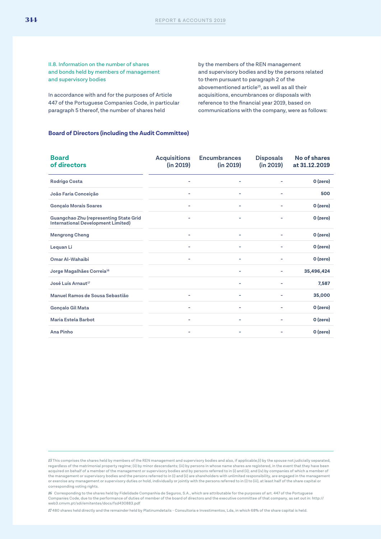II.8. Information on the number of shares and bonds held by members of management and supervisory bodies

In accordance with and for the purposes of Article 447 of the Portuguese Companies Code, in particular paragraph 5 thereof, the number of shares held

by the members of the REN management and supervisory bodies and by the persons related to them pursuant to paragraph 2 of the abovementioned article<sup>15</sup>, as well as all their acquisitions, encumbrances or disposals with reference to the financial year 2019, based on communications with the company, were as follows:

#### **Board of Directors (including the Audit Committee)**

| <b>Board</b><br>of directors                                                        | <b>Acquisitions</b><br>(in 2019) | <b>Encumbrances</b><br>(in 2019) | <b>Disposals</b><br>(in 2019) | No of shares<br>at 31.12.2019 |
|-------------------------------------------------------------------------------------|----------------------------------|----------------------------------|-------------------------------|-------------------------------|
| <b>Rodrigo Costa</b>                                                                | ۰                                | ۰                                |                               | O (zero)                      |
| João Faria Conceição                                                                | ۰                                | ٠                                | ۰                             | 500                           |
| <b>Gonçalo Morais Soares</b>                                                        |                                  | ۰                                |                               | 0 (zero)                      |
| Guangchao Zhu (representing State Grid<br><b>International Development Limited)</b> | -                                | ۰                                | ۰                             | 0 (zero)                      |
| <b>Mengrong Cheng</b>                                                               |                                  |                                  |                               | O (zero)                      |
| Lequan Li                                                                           |                                  |                                  |                               | O (zero)                      |
| Omar Al-Wahaibi                                                                     | -                                | ۰                                | ۰                             | O (zero)                      |
| Jorge Magalhães Correia <sup>16</sup>                                               |                                  | ٠                                | ۰                             | 35,496,424                    |
| José Luís Arnaut <sup>17</sup>                                                      |                                  | ۰                                | ۰                             | 7,587                         |
| Manuel Ramos de Sousa Sebastião                                                     |                                  |                                  |                               | 35,000                        |
| Gonçalo Gil Mata                                                                    | ۰                                |                                  |                               | O (zero)                      |
| Maria Estela Barbot                                                                 |                                  | ۰                                |                               | O (zero)                      |
| Ana Pinho                                                                           | -                                | ۰                                | ۰                             | 0 (zero)                      |

*15* This comprises the shares held by members of the REN management and supervisory bodies and also, if applicable,(i) by the spouse not judicially separated,<br>regardless of the matrimonial property regime; (ii) by minor d acquired on behalf of a member of the management or supervisory bodies and by persons referred to in (i) and (ii); and (iv) by companies of which a member of the management or supervisory bodies and the persons referred to in (i) and (ii) are shareholders with unlimited responsibility, are engaged in the management or exercise any management or supervisory duties or hold, individually or jointly with the persons referred to in (i) to (iii), at least half of the share capital or corresponding voting rights.

*16* Corresponding to the shares held by Fidelidade Companhia de Seguros, S.A., which are attributable for the purposes of art. 447 of the Portuguese Companies Code, due to the performance of duties of member of the board of directors and the executive committee of that company, as set out in: http:// web3.cmvm.pt/sdi/emitentes/docs/fsd430883.pdf

*17* 480 shares held directly and the remainder held by Platinumdetails - Consultoria e Investimentos, Lda, in which 68% of the share capital is held.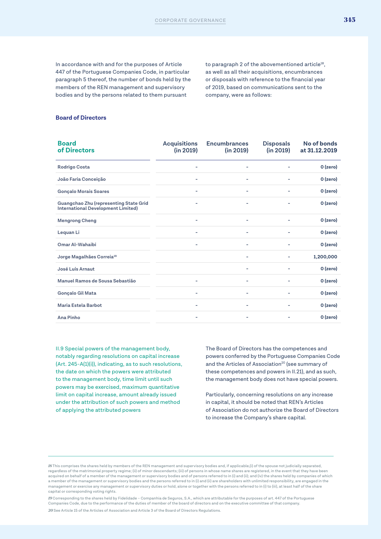In accordance with and for the purposes of Article 447 of the Portuguese Companies Code, in particular paragraph 5 thereof, the number of bonds held by the members of the REN management and supervisory bodies and by the persons related to them pursuant

to paragraph 2 of the abovementioned article<sup>18</sup>, as well as all their acquisitions, encumbrances or disposals with reference to the financial year of 2019, based on communications sent to the company, were as follows:

#### **Board of Directors**

| <b>Board</b><br>of Directors                                                        | <b>Acquisitions</b><br>(in 2019) | <b>Encumbrances</b><br>(in 2019) | <b>Disposals</b><br>(in 2019) | No of bonds<br>at 31.12.2019 |
|-------------------------------------------------------------------------------------|----------------------------------|----------------------------------|-------------------------------|------------------------------|
| Rodrigo Costa                                                                       |                                  | ۰                                |                               | 0 (zero)                     |
| João Faria Conceição                                                                | ۰                                | ٠                                | ۰                             | 0 (zero)                     |
| <b>Gonçalo Morais Soares</b>                                                        |                                  | ٠                                |                               | 0 (zero)                     |
| Guangchao Zhu (representing State Grid<br><b>International Development Limited)</b> |                                  | ٠                                | ۰                             | O (zero)                     |
| <b>Mengrong Cheng</b>                                                               |                                  | ٠                                | ۰                             | O (zero)                     |
| Lequan Li                                                                           |                                  | ٠                                |                               | O (zero)                     |
| Omar Al-Wahaibi                                                                     |                                  |                                  |                               | O (zero)                     |
| Jorge Magalhães Correia <sup>19</sup>                                               |                                  |                                  |                               | 1,200,000                    |
| José Luís Arnaut                                                                    |                                  | $\overline{\phantom{0}}$         |                               | O (zero)                     |
| Manuel Ramos de Sousa Sebastião                                                     |                                  | ٠                                |                               | O (zero)                     |
| Gonçalo Gil Mata                                                                    | ۰                                | ٠                                | ٠                             | 0 (zero)                     |
| <b>Maria Estela Barbot</b>                                                          |                                  | ۰                                |                               | O (zero)                     |
| Ana Pinho                                                                           |                                  | ٠                                | ۰                             | O (zero)                     |

II.9 Special powers of the management body, notably regarding resolutions on capital increase (Art. 245-A(1)(i)), indicating, as to such resolutions, the date on which the powers were attributed to the management body, time limit until such powers may be exercised, maximum quantitative limit on capital increase, amount already issued under the attribution of such powers and method of applying the attributed powers

The Board of Directors has the competences and powers conferred by the Portuguese Companies Code and the Articles of Association<sup>20</sup> (see summary of these competences and powers in II.21), and as such, the management body does not have special powers.

Particularly, concerning resolutions on any increase in capital, it should be noted that REN's Articles of Association do not authorize the Board of Directors to increase the Company's share capital.

*<sup>18</sup>* This comprises the shares held by members of the REN management and supervisory bodies and, if applicable,(i) of the spouse not judicially separated, regardless of the matrimonial property regime; (ii) of minor descendants; (iii) of persons in whose name shares are registered, in the event that they have been acquired on behalf of a member of the management or supervisory bodies and of persons referred to in (i) and (ii); and (iv) the shares held by companies of which a member of the management or supervisory bodies and the persons referred to in (i) and (ii) are shareholders with unlimited responsibility, are engaged in the management or exercise any management or supervisory duties or hold, alone or together with the persons referred to in (i) to (iii), at least half of the share capital or corresponding voting rights.

*<sup>19</sup>* Corresponding to the shares held by Fidelidade – Companhia de Seguros, S.A., which are attributable for the purposes of art. 447 of the Portuguese Companies Code, due to the performance of the duties of member of the board of directors and on the executive committee of that company. *20* See Article 15 of the Articles of Association and Article 3 of the Board of Directors Regulations.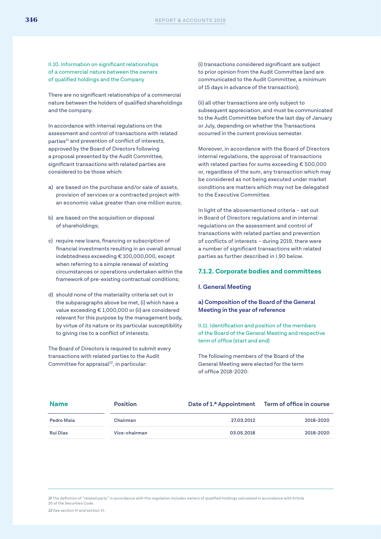II.10. Information on significant relationships of a commercial nature between the owners of qualified holdings and the Company

There are no significant relationships of a commercial nature between the holders of qualified shareholdings and the company.

In accordance with internal regulations on the assessment and control of transactions with related parties<sup>21</sup> and prevention of conflict of interests, approved by the Board of Directors following a proposal presented by the Audit Committee, significant transactions with related parties are considered to be those which:

- a) are based on the purchase and/or sale of assets, provision of services or a contracted project with an economic value greater than one million euros;
- b) are based on the acquisition or disposal of shareholdings;
- c) require new loans, financing or subscription of financial investments resulting in an overall annual indebtedness exceeding € 100,000,000, except when referring to a simple renewal of existing circumstances or operations undertaken within the framework of pre-existing contractual conditions;
- d) should none of the materiality criteria set out in the subparagraphs above be met, (i) which have a value exceeding € 1,000,000 or (ii) are considered relevant for this purpose by the management body, by virtue of its nature or its particular susceptibility to giving rise to a conflict of interests.

The Board of Directors is required to submit every transactions with related parties to the Audit Committee for appraisal<sup>22</sup>, in particular:

(i) transactions considered significant are subject to prior opinion from the Audit Committee (and are communicated to the Audit Committee, a minimum of 15 days in advance of the transaction);

(ii) all other transactions are only subject to subsequent appreciation, and must be communicated to the Audit Committee before the last day of January or July, depending on whether the Transactions occurred in the current previous semester.

Moreover, in accordance with the Board of Directors internal regulations, the approval of transactions with related parties for sums exceeding € 500,000 or, regardless of the sum, any transaction which may be considered as not being executed under market conditions are matters which may not be delegated to the Executive Committee.

In light of the abovementioned criteria – set out in Board of Directors regulations and in internal regulations on the assessment and control of transactions with related parties and prevention of conflicts of interests – during 2019, there were a number of significant transactions with related parties as further described in I.90 below.

#### **7.1.2. Corporate bodies and committees**

#### **I. General Meeting**

#### **a) Composition of the Board of the General Meeting in the year of reference**

II.11. Identification and position of the members of the Board of the General Meeting and respective term of office (start and end)

The following members of the Board of the General Meeting were elected for the term of office 2018-2020:

| <b>Name</b>     | <b>Position</b> | Date of 1.ª Appointment Term of office in course |           |
|-----------------|-----------------|--------------------------------------------------|-----------|
| Pedro Maia      | Chairman        | 27.03.2012                                       | 2018-2020 |
| <b>Rui Dias</b> | Vice-chairman   | 03.05.2018                                       | 2018-2020 |

*21* The definition of "related party" in accordance with this regulation includes owners of qualified holdings calculated in accordance with Article 20 of the Securities Code.

*22* See section III and section VI.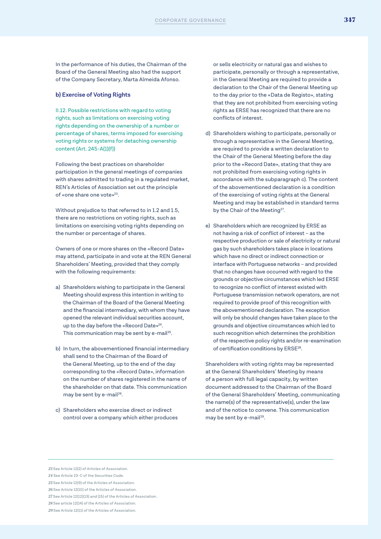In the performance of his duties, the Chairman of the Board of the General Meeting also had the support of the Company Secretary, Marta Almeida Afonso.

#### **b) Exercise of Voting Rights**

II.12. Possible restrictions with regard to voting rights, such as limitations on exercising voting rights depending on the ownership of a number or percentage of shares, terms imposed for exercising voting rights or systems for detaching ownership content (Art. 245-A(1)(f))

Following the best practices on shareholder participation in the general meetings of companies with shares admitted to trading in a regulated market, REN's Articles of Association set out the principle of «one share one vote»23.

Without prejudice to that referred to in 1.2 and 1.5, there are no restrictions on voting rights, such as limitations on exercising voting rights depending on the number or percentage of shares.

Owners of one or more shares on the «Record Date» may attend, participate in and vote at the REN General Shareholders' Meeting, provided that they comply with the following requirements:

- a) Shareholders wishing to participate in the General Meeting should express this intention in writing to the Chairman of the Board of the General Meeting and the financial intermediary, with whom they have opened the relevant individual securities account, up to the day before the «Record Date»24. This communication may be sent by e-mail<sup>25</sup>.
- b) In turn, the abovementioned financial intermediary shall send to the Chairman of the Board of the General Meeting, up to the end of the day corresponding to the «Record Date», information on the number of shares registered in the name of the shareholder on that date. This communication may be sent by e-mail<sup>26</sup>.
- c) Shareholders who exercise direct or indirect control over a company which either produces

or sells electricity or natural gas and wishes to participate, personally or through a representative, in the General Meeting are required to provide a declaration to the Chair of the General Meeting up to the day prior to the «Data de Registo», stating that they are not prohibited from exercising voting rights as ERSE has recognized that there are no conflicts of interest.

- d) Shareholders wishing to participate, personally or through a representative in the General Meeting, are required to provide a written declaration to the Chair of the General Meeting before the day prior to the «Record Date», stating that they are not prohibited from exercising voting rights in accordance with the subparagraph c). The content of the abovementioned declaration is a condition of the exercising of voting rights at the General Meeting and may be established in standard terms by the Chair of the Meeting<sup>27</sup>.
- e) Shareholders which are recognized by ERSE as not having a risk of conflict of interest – as the respective production or sale of electricity or natural gas by such shareholders takes place in locations which have no direct or indirect connection or interface with Portuguese networks – and provided that no changes have occurred with regard to the grounds or objective circumstances which led ERSE to recognize no conflict of interest existed with Portuguese transmission network operators, are not required to provide proof of this recognition with the abovementioned declaration. The exception will only be should changes have taken place to the grounds and objective circumstances which led to such recognition which determines the prohibition of the respective policy rights and/or re-examination of certification conditions by ERSE28.

Shareholders with voting rights may be represented at the General Shareholders' Meeting by means of a person with full legal capacity, by written document addressed to the Chairman of the Board of the General Shareholders' Meeting, communicating the name(s) of the representative(s), under the law and of the notice to convene. This communication may be sent by e-mail<sup>29</sup>.

25 See Article 12(9) of the Articles of Association.

*<sup>23</sup>* See Article 12(2) of Articles of Association.

*<sup>24</sup>* See Article 23-C of the Securities Code.

*<sup>26</sup>* See Article 12(10) of the Articles of Association.

*<sup>27</sup>* See Article 12(12)(13) and (15) of the Articles of Association.

*<sup>28</sup>* See article 12(14) of the Articles of Association.

*<sup>29</sup>* See Article 12(11) of the Articles of Association.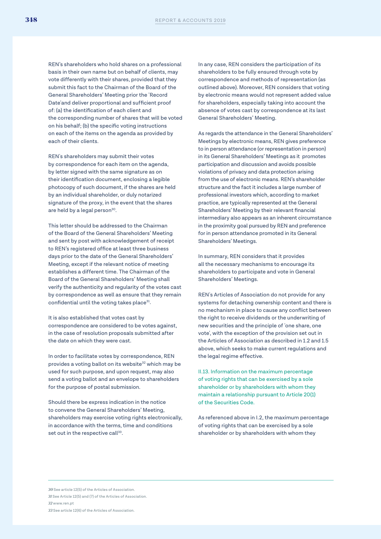REN's shareholders who hold shares on a professional basis in their own name but on behalf of clients, may vote differently with their shares, provided that they submit this fact to the Chairman of the Board of the General Shareholders' Meeting prior the 'Record Date'and deliver proportional and sufficient proof of: (a) the identification of each client and the corresponding number of shares that will be voted on his behalf; (b) the specific voting instructions on each of the items on the agenda as provided by each of their clients.

REN's shareholders may submit their votes by correspondence for each item on the agenda, by letter signed with the same signature as on their identification document, enclosing a legible photocopy of such document, if the shares are held by an individual shareholder, or duly notarized signature of the proxy, in the event that the shares are held by a legal person<sup>30</sup>.

This letter should be addressed to the Chairman of the Board of the General Shareholders' Meeting and sent by post with acknowledgement of receipt to REN's registered office at least three business days prior to the date of the General Shareholders' Meeting, except if the relevant notice of meeting establishes a different time. The Chairman of the Board of the General Shareholders' Meeting shall verify the authenticity and regularity of the votes cast by correspondence as well as ensure that they remain confidential until the voting takes place<sup>31</sup>.

It is also established that votes cast by correspondence are considered to be votes against, in the case of resolution proposals submitted after the date on which they were cast.

In order to facilitate votes by correspondence, REN provides a voting ballot on its website<sup>32</sup> which may be used for such purpose, and upon request, may also send a voting ballot and an envelope to shareholders for the purpose of postal submission.

Should there be express indication in the notice to convene the General Shareholders' Meeting, shareholders may exercise voting rights electronically, in accordance with the terms, time and conditions set out in the respective call<sup>33</sup>.

In any case, REN considers the participation of its shareholders to be fully ensured through vote by correspondence and methods of representation (as outlined above). Moreover, REN considers that voting by electronic means would not represent added value for shareholders, especially taking into account the absence of votes cast by correspondence at its last General Shareholders' Meeting.

As regards the attendance in the General Shareholders' Meetings by electronic means, REN gives preference to in person attendance (or representation in person) in its General Shareholders' Meetings as it promotes participation and discussion and avoids possible violations of privacy and data protection arising from the use of electronic means. REN's shareholder structure and the fact it includes a large number of professional investors which, according to market practice, are typically represented at the General Shareholders' Meeting by their relevant financial intermediary also appears as an inherent circumstance in the proximity goal pursued by REN and preference for in person attendance promoted in its General Shareholders' Meetings.

In summary, REN considers that it provides all the necessary mechanisms to encourage its shareholders to participate and vote in General Shareholders' Meetings.

REN's Articles of Association do not provide for any systems for detaching ownership content and there is no mechanism in place to cause any conflict between the right to receive dividends or the underwriting of new securities and the principle of 'one share, one vote', with the exception of the provision set out in the Articles of Association as described in 1.2 and 1.5 above, which seeks to make current regulations and the legal regime effective.

II.13. Information on the maximum percentage of voting rights that can be exercised by a sole shareholder or by shareholders with whom they maintain a relationship pursuant to Article 20(1) of the Securities Code.

As referenced above in I.2, the maximum percentage of voting rights that can be exercised by a sole shareholder or by shareholders with whom they

*30* See article 12(5) of the Articles of Association. *31* See Article 12(5) and (7) of the Articles of Association. *32* www.ren.pt

*33* See article 12(6) of the Articles of Association.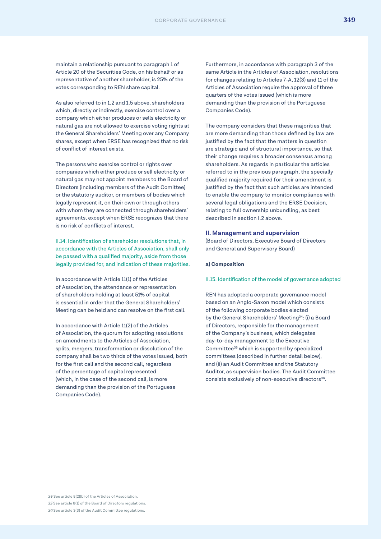maintain a relationship pursuant to paragraph 1 of Article 20 of the Securities Code, on his behalf or as representative of another shareholder, is 25% of the votes corresponding to REN share capital.

As also referred to in 1.2 and 1.5 above, shareholders which, directly or indirectly, exercise control over a company which either produces or sells electricity or natural gas are not allowed to exercise voting rights at the General Shareholders' Meeting over any Company shares, except when ERSE has recognized that no risk of conflict of interest exists.

The persons who exercise control or rights over companies which either produce or sell electricity or natural gas may not appoint members to the Board of Directors (including members of the Audit Comittee) or the statutory auditor, or members of bodies which legally represent it, on their own or through others with whom they are connected through shareholders' agreements, except when ERSE recognizes that there is no risk of conflicts of interest.

II.14. Identification of shareholder resolutions that, in accordance with the Articles of Association, shall only be passed with a qualified majority, aside from those legally provided for, and indication of these majorities.

In accordance with Article 11(1) of the Articles of Association, the attendance or representation of shareholders holding at least 51% of capital is essential in order that the General Shareholders' Meeting can be held and can resolve on the first call.

In accordance with Article 11(2) of the Articles of Association, the quorum for adopting resolutions on amendments to the Articles of Association, splits, mergers, transformation or dissolution of the company shall be two thirds of the votes issued, both for the first call and the second call, regardless of the percentage of capital represented (which, in the case of the second call, is more demanding than the provision of the Portuguese Companies Code).

Furthermore, in accordance with paragraph 3 of the same Article in the Articles of Association, resolutions for changes relating to Articles 7-A, 12(3) and 11 of the Articles of Association require the approval of three quarters of the votes issued (which is more demanding than the provision of the Portuguese Companies Code).

The company considers that these majorities that are more demanding than those defined by law are justified by the fact that the matters in question are strategic and of structural importance, so that their change requires a broader consensus among shareholders. As regards in particular the articles referred to in the previous paragraph, the specially qualified majority required for their amendment is justified by the fact that such articles are intended to enable the company to monitor compliance with several legal obligations and the ERSE Decision, relating to full ownership unbundling, as best described in section I.2 above.

#### **II. Management and supervision**

(Board of Directors, Executive Board of Directors and General and Supervisory Board)

#### **a) Composition**

#### II.15. Identification of the model of governance adopted

REN has adopted a corporate governance model based on an Anglo-Saxon model which consists of the following corporate bodies elected by the General Shareholders' Meeting<sup>34</sup>: (i) a Board of Directors, responsible for the management of the Company's business, which delegates day-to-day management to the Executive Committee35 which is supported by specialized committees (described in further detail below), and (ii) an Audit Committee and the Statutory Auditor, as supervision bodies. The Audit Committee consists exclusively of non-executive directors<sup>36</sup>.

*34* See article 8(2)(b) of the Articles of Association. *35* See article 8(1) of the Board of Directors regulations. *36* See article 3(3) of the Audit Committee regulations.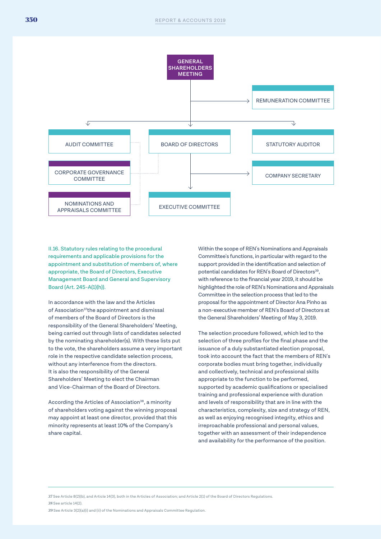

II.16. Statutory rules relating to the procedural requirements and applicable provisions for the appointment and substitution of members of, where appropriate, the Board of Directors, Executive Management Board and General and Supervisory Board (Art. 245-A(1)(h)).

In accordance with the law and the Articles of Association<sup>37</sup>the appointment and dismissal of members of the Board of Directors is the responsibility of the General Shareholders' Meeting, being carried out through lists of candidates selected by the nominating shareholder(s). With these lists put to the vote, the shareholders assume a very important role in the respective candidate selection process, without any interference from the directors. It is also the responsibility of the General Shareholders' Meeting to elect the Chairman and Vice-Chairman of the Board of Directors.

According the Articles of Association<sup>38</sup>, a minority of shareholders voting against the winning proposal may appoint at least one director, provided that this minority represents at least 10% of the Company's share capital.

Within the scope of REN's Nominations and Appraisals Committee's functions, in particular with regard to the support provided in the identification and selection of potential candidates for REN's Board of Directors<sup>39</sup>. with reference to the financial year 2019, it should be highlighted the role of REN's Nominations and Appraisals Committee in the selection process that led to the proposal for the appointment of Director Ana Pinho as a non-executive member of REN's Board of Directors at the General Shareholders' Meeting of May 3, 2019.

The selection procedure followed, which led to the selection of three profiles for the final phase and the issuance of a duly substantiated election proposal, took into account the fact that the members of REN's corporate bodies must bring together, individually and collectively, technical and professional skills appropriate to the function to be performed, supported by academic qualifications or specialised training and professional experience with duration and levels of responsibility that are in line with the characteristics, complexity, size and strategy of REN, as well as enjoying recognised integrity, ethics and irreproachable professional and personal values, together with an assessment of their independence and availability for the performance of the position.

*37* See Article 8(2)(b), and Article 14(3), both in the Articles of Association; and Article 2(1) of the Board of Directors Regulations. *38* See article 14(2).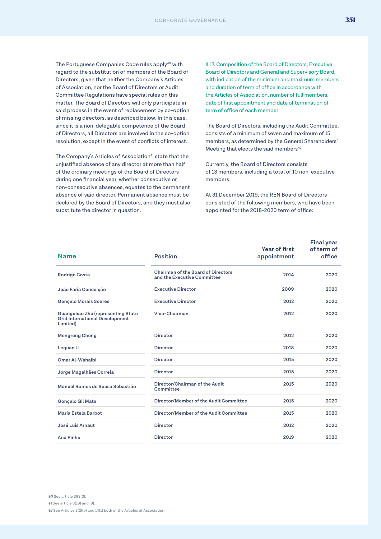The Portuguese Companies Code rules apply<sup>40</sup> with regard to the substitution of members of the Board of Directors, given that neither the Company's Articles of Association, nor the Board of Directors or Audit Committee Regulations have special rules on this matter. The Board of Directors will only participate in said process in the event of replacement by co-option of missing directors, as described below. In this case, since it is a non-delegable competence of the Board of Directors, all Directors are involved in the co-option resolution, except in the event of conflicts of interest.

The Company's Articles of Association<sup>41</sup> state that the unjustified absence of any director at more than half of the ordinary meetings of the Board of Directors during one financial year, whether consecutive or non-consecutive absences, equates to the permanent absence of said director. Permanent absence must be declared by the Board of Directors, and they must also substitute the director in question.

II.17. Composition of the Board of Directors, Executive Board of Directors and General and Supervisory Board, with indication of the minimum and maximum members and duration of term of office in accordance with the Articles of Association, number of full members, date of first appointment and date of termination of term of office of each member

The Board of Directors, including the Audit Committee, consists of a minimum of seven and maximum of 15 members, as determined by the General Shareholders' Meeting that elects the said members<sup>42</sup>.

Currently, the Board of Directors consists of 13 members, including a total of 10 non-executive members.

At 31 December 2019, the REN Board of Directors consisted of the following members, who have been appointed for the 2018-2020 term of office:

| <b>Name</b>                                                                            | <b>Position</b>                                                          | Year of first<br>appointment | <b>Final year</b><br>of term of<br>office |
|----------------------------------------------------------------------------------------|--------------------------------------------------------------------------|------------------------------|-------------------------------------------|
| <b>Rodrigo Costa</b>                                                                   | <b>Chairman of the Board of Directors</b><br>and the Executive Committee | 2014                         | 2020                                      |
| João Faria Conceição                                                                   | <b>Executive Director</b>                                                | 2009                         | 2020                                      |
| <b>Gonçalo Morais Soares</b>                                                           | <b>Executive Director</b>                                                | 2012                         | 2020                                      |
| Guangchao Zhu (representing State<br><b>Grid International Development</b><br>Limited) | Vice-Chairman                                                            | 2012                         | 2020                                      |
| <b>Mengrong Cheng</b>                                                                  | <b>Director</b>                                                          | 2012                         | 2020                                      |
| Lequan Li                                                                              | <b>Director</b>                                                          | 2018                         | 2020                                      |
| Omar Al-Wahaibi                                                                        | <b>Director</b>                                                          | 2015                         | 2020                                      |
| Jorge Magalhães Correia                                                                | <b>Director</b>                                                          | 2015                         | 2020                                      |
| Manuel Ramos de Sousa Sebastião                                                        | Director/Chairman of the Audit<br>Committee                              | 2015                         | 2020                                      |
| <b>Gonçalo Gil Mata</b>                                                                | Director/Member of the Audit Committee                                   | 2015                         | 2020                                      |
| Maria Estela Barbot                                                                    | Director/Member of the Audit Committee                                   | 2015                         | 2020                                      |
| José Luís Arnaut                                                                       | <b>Director</b>                                                          | 2012                         | 2020                                      |
| Ana Pinho                                                                              | <b>Director</b>                                                          | 2019                         | 2020                                      |
|                                                                                        |                                                                          |                              |                                           |

*40* See article 393(3). *41* See article 8(19) and (9). *42* See Articles 8(2)(b) and 14(1) both of the Articles of Association.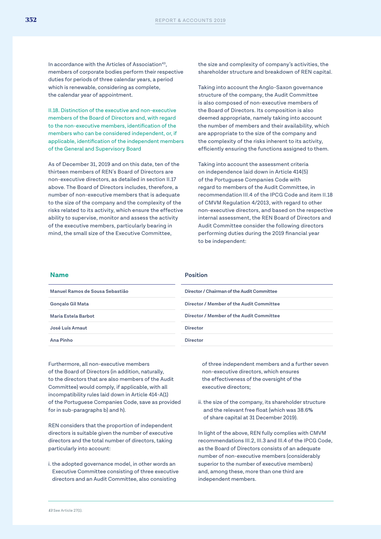In accordance with the Articles of Association<sup>43</sup>, members of corporate bodies perform their respective duties for periods of three calendar years, a period which is renewable, considering as complete, the calendar year of appointment.

II.18. Distinction of the executive and non-executive members of the Board of Directors and, with regard to the non-executive members, identification of the members who can be considered independent, or, if applicable, identification of the independent members of the General and Supervisory Board

As of December 31, 2019 and on this date, ten of the thirteen members of REN's Board of Directors are non-executive directors, as detailed in section II.17 above. The Board of Directors includes, therefore, a number of non-executive members that is adequate to the size of the company and the complexity of the risks related to its activity, which ensure the effective ability to supervise, monitor and assess the activity of the executive members, particularly bearing in mind, the small size of the Executive Committee,

the size and complexity of company's activities, the shareholder structure and breakdown of REN capital.

Taking into account the Anglo-Saxon governance structure of the company, the Audit Committee is also composed of non-executive members of the Board of Directors. Its composition is also deemed appropriate, namely taking into account the number of members and their availability, which are appropriate to the size of the company and the complexity of the risks inherent to its activity, efficiently ensuring the functions assigned to them.

Taking into account the assessment criteria on independence laid down in Article 414(5) of the Portuguese Companies Code with regard to members of the Audit Committee, in recommendation III.4 of the IPCG Code and item II.18 of CMVM Regulation 4/2013, with regard to other non-executive directors, and based on the respective internal assessment, the REN Board of Directors and Audit Committee consider the following directors performing duties during the 2019 financial year to be independent:

| <b>Name</b>                     | <b>Position</b>                            |
|---------------------------------|--------------------------------------------|
| Manuel Ramos de Sousa Sebastião | Director / Chairman of the Audit Committee |
| Gonçalo Gil Mata                | Director / Member of the Audit Committee   |
| Maria Estela Barbot             | Director / Member of the Audit Committee   |
| José Luís Arnaut                | <b>Director</b>                            |
| Ana Pinho                       | <b>Director</b>                            |

Furthermore, all non-executive members of the Board of Directors (in addition, naturally, to the directors that are also members of the Audit Committee) would comply, if applicable, with all incompatibility rules laid down in Article 414-A(1) of the Portuguese Companies Code, save as provided for in sub-paragraphs b) and h).

REN considers that the proportion of independent directors is suitable given the number of executive directors and the total number of directors, taking particularly into account:

i. the adopted governance model, in other words an Executive Committee consisting of three executive directors and an Audit Committee, also consisting

of three independent members and a further seven non-executive directors, which ensures the effectiveness of the oversight of the executive directors;

ii. the size of the company, its shareholder structure and the relevant free float (which was 38.6% of share capital at 31 December 2019).

In light of the above, REN fully complies with CMVM recommendations III.2, III.3 and III.4 of the IPCG Code, as the Board of Directors consists of an adequate number of non-executive members (considerably superior to the number of executive members) and, among these, more than one third are independent members.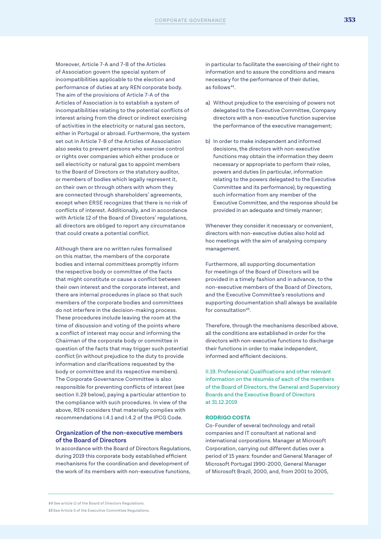Moreover, Article 7-A and 7-B of the Articles of Association govern the special system of incompatibilities applicable to the election and performance of duties at any REN corporate body. The aim of the provisions of Article 7-A of the Articles of Association is to establish a system of incompatibilities relating to the potential conflicts of interest arising from the direct or indirect exercising of activities in the electricity or natural gas sectors, either in Portugal or abroad. Furthermore, the system set out in Article 7-B of the Articles of Association also seeks to prevent persons who exercise control or rights over companies which either produce or sell electricity or natural gas to appoint members to the Board of Directors or the statutory auditor, or members of bodies which legally represent it, on their own or through others with whom they are connected through shareholders' agreements, except when ERSE recognizes that there is no risk of conflicts of interest. Additionally, and in accordance with Article 12 of the Board of Directors' regulations, all directors are obliged to report any circumstance that could create a potential conflict.

Although there are no written rules formalised on this matter, the members of the corporate bodies and internal committees promptly inform the respective body or committee of the facts that might constitute or cause a conflict between their own interest and the corporate interest, and there are internal procedures in place so that such members of the corporate bodies and committees do not interfere in the decision-making process. These procedures include leaving the room at the time of discussion and voting of the points where a conflict of interest may occur and informing the Chairman of the corporate body or committee in question of the facts that may trigger such potential conflict (in without prejudice to the duty to provide information and clarifications requested by the body or committee and its respective members). The Corporate Governance Committee is also responsible for preventing conflicts of interest (see section II.29 below), paying a particular attention to the compliance with such procedures. In view of the above, REN considers that materially complies with recommendations I.4.1 and I.4.2 of the IPCG Code.

#### **Organization of the non-executive members of the Board of Directors**

In accordance with the Board of Directors Regulations, during 2019 this corporate body established efficient mechanisms for the coordination and development of the work of its members with non-executive functions,

in particular to facilitate the exercising of their right to information and to assure the conditions and means necessary for the performance of their duties, as follows<sup>44</sup>.

- a) Without prejudice to the exercising of powers not delegated to the Executive Committee, Company directors with a non-executive function supervise the performance of the executive management;
- b) In order to make independent and informed decisions, the directors with non-executive functions may obtain the information they deem necessary or appropriate to perform their roles, powers and duties (in particular, information relating to the powers delegated to the Executive Committee and its performance), by requesting such information from any member of the Executive Committee, and the response should be provided in an adequate and timely manner;

Whenever they consider it necessary or convenient, directors with non-executive duties also hold ad hoc meetings with the aim of analysing company management.

Furthermore, all supporting documentation for meetings of the Board of Directors will be provided in a timely fashion and in advance, to the non-executive members of the Board of Directors, and the Executive Committee's resolutions and supporting documentation shall always be available for consultation<sup>45</sup>.

Therefore, through the mechanisms described above, all the conditions are established in order for the directors with non-executive functions to discharge their functions in order to make independent, informed and efficient decisions.

II.19. Professional Qualifications and other relevant information on the résumés of each of the members of the Board of Directors, the General and Supervisory Boards and the Executive Board of Directors at 31.12.2019

#### **RODRIGO COSTA**

Co-Founder of several technology and retail companies and IT consultant at national and international corporations. Manager at Microsoft Corporation, carrying out different duties over a period of 15 years: founder and General Manager of Microsoft Portugal 1990-2000, General Manager of Microsoft Brazil, 2000, and, from 2001 to 2005,

*<sup>44</sup>* See article 11 of the Board of Directors Regulations.

*<sup>45</sup>* See Article 5 of the Executive Committee Regulations.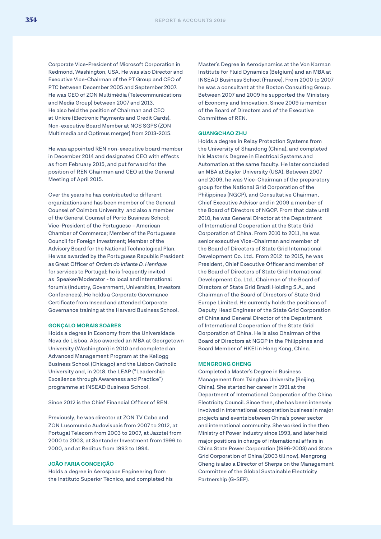Corporate Vice-President of Microsoft Corporation in Redmond, Washington, USA. He was also Director and Executive Vice-Chairman of the PT Group and CEO of PTC between December 2005 and September 2007. He was CEO of ZON Multimédia (Telecommunications and Media Group) between 2007 and 2013. He also held the position of Chairman and CEO at Unicre (Electronic Payments and Credit Cards). Non-executive Board Member at NOS SGPS (ZON Multimedia and Optimus merger) from 2013-2015.

He was appointed REN non-executive board member in December 2014 and designated CEO with effects as from February 2015, and put forward for the position of REN Chairman and CEO at the General Meeting of April 2015.

Over the years he has contributed to different organizations and has been member of the General Counsel of Coimbra University and also a member of the General Counsel of Porto Business School; Vice-President of the Portuguese – American Chamber of Commerce; Member of the Portuguese Council for Foreign Investment; Member of the Advisory Board for the National Technological Plan. He was awarded by the Portuguese Republic President as Great Officer of *Ordem do Infante D. Henrique*  for services to Portugal; he is frequently invited as Speaker/Moderator - to local and international forum's (Industry, Government, Universities, Investors Conferences). He holds a Corporate Governance Certificate from Insead and attended Corporate Governance training at the Harvard Business School.

#### **GONÇALO MORAIS SOARES**

Holds a degree in Economy from the Universidade Nova de Lisboa. Also awarded an MBA at Georgetown University (Washington) in 2010 and completed an Advanced Management Program at the Kellogg Business School (Chicago) and the Lisbon Catholic University and, in 2018, the LEAP ("Leadership Excellence through Awareness and Practice") programme at INSEAD Business School.

Since 2012 is the Chief Financial Officer of REN.

Previously, he was director at ZON TV Cabo and ZON Lusomundo Audovisuais from 2007 to 2012, at Portugal Telecom from 2003 to 2007, at Jazztel from 2000 to 2003, at Santander Investment from 1996 to 2000, and at Reditus from 1993 to 1994.

#### **JOÃO FARIA CONCEIÇÃO**

Holds a degree in Aerospace Engineering from the Instituto Superior Técnico, and completed his Master's Degree in Aerodynamics at the Von Karman Institute for Fluid Dynamics (Belgium) and an MBA at INSEAD Business School (France). From 2000 to 2007 he was a consultant at the Boston Consulting Group. Between 2007 and 2009 he supported the Ministery of Economy and Innovation. Since 2009 is member of the Board of Directors and of the Executive Committee of REN.

#### **GUANGCHAO ZHU**

Holds a degree in Relay Protection Systems from the University of Shandong (China), and completed his Master's Degree in Electrical Systems and Automation at the same faculty. He later concluded an MBA at Baylor University (USA). Between 2007 and 2009, he was Vice-Chairman of the preparatory group for the National Grid Corporation of the Philippines (NGCP), and Consultative Chairman, Chief Executive Advisor and in 2009 a member of the Board of Directors of NGCP. From that date until 2010, he was General Director at the Department of International Cooperation at the State Grid Corporation of China. From 2010 to 2011, he was senior executive Vice-Chairman and member of the Board of Directors of State Grid International Development Co. Ltd.. From 2012 to 2015, he was President, Chief Executive Officer and member of the Board of Directors of State Grid International Development Co. Ltd., Chairman of the Board of Directors of State Grid Brazil Holding S.A., and Chairman of the Board of Directors of State Grid Europe Limited. He currently holds the positions of Deputy Head Engineer of the State Grid Corporation of China and General Director of the Department of International Cooperation of the State Grid Corporation of China. He is also Chairman of the Board of Directors at NGCP in the Philippines and Board Member of HKEI in Hong Kong, China.

#### **MENGRONG CHENG**

Completed a Master's Degree in Business Management from Tsinghua University (Beijing, China). She started her career in 1991 at the Department of International Cooperation of the China Electricity Council. Since then, she has been intensely involved in international cooperation business in major projects and events between China's power sector and international community. She worked in the then Ministry of Power Industry since 1993, and later held major positions in charge of international affairs in China State Power Corporation (1996-2003) and State Grid Corporation of China (2003 till now). Mengrong Cheng is also a Director of Sherpa on the Management Committee of the Global Sustainable Electricity Partnership (G-SEP).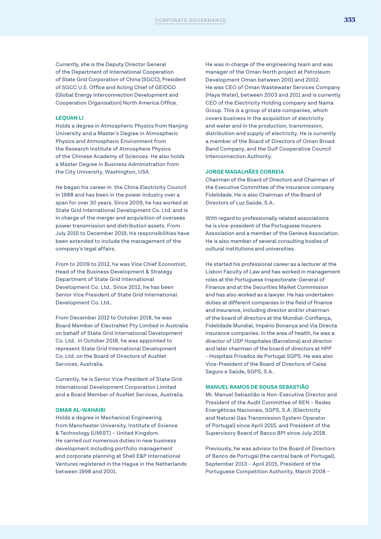Currently, she is the Deputy Director General of the Department of International Cooperation of State Grid Corporation of China (SGCC), President of SGCC U.S. Office and Acting Chief of GEIDCO (Global Energy Interconnection Development and Cooperation Organisation) North America Office.

#### **LEQUAN LI**

Holds a degree in Atmospheric Physics from Nanjing University and a Master's Degree in Atmospheric Physics and Atmospheric Environment from the Research Institute of Atmosphere Physics of the Chinese Academy of Sciences. He also holds a Master Degree in Business Administration from the City University, Washington, USA.

He began his career in the China Electricity Council in 1988 and has been in the power industry over a span for over 30 years. Since 2009, he has worked at State Grid International Development Co. Ltd. and is in charge of the merger and acquisition of overseas power transmission and distribution assets. From July 2015 to December 2019, his responsibilities have been extended to include the management of the company's legal affairs.

From to 2009 to 2012, he was Vice Chief Economist, Head of the Business Development & Strategy Department of State Grid International Development Co. Ltd.. Since 2012, he has been Senior Vice President of State Grid International Development Co. Ltd..

From December 2012 to October 2018, he was Board Member of ElectraNet Pty Limited in Australia on behalf of State Grid International Development Co. Ltd.. In October 2018, he was appointed to represent State Grid International Development Co. Ltd. on the Board of Directors of AusNet Services, Australia.

Currently, he is Senior Vice President of State Grid International Development Corporation Limited and a Board Member of AusNet Services, Australia.

#### **OMAR AL-WAHAIBI**

Holds a degree in Mechanical Engineering from Manchester University, Institute of Science & Technology (UMIST) – United Kingdom. He carried out numerous duties in new business development including portfolio management and corporate planning at Shell E&P International Ventures registered in the Hague in the Netherlands between 1998 and 2001.

He was in charge of the engineering team and was manager of the Oman North project at Petroleum Development Oman between 2001 and 2002. He was CEO of Oman Wastewater Services Company (Haya Water), between 2003 and 2011 and is currently CEO of the Electricity Holding company and Nama Group. This is a group of state companies, which covers business in the acquisition of electricity and water and in the production, transmission, distribution and supply of electricity. He is currently a member of the Board of Directors of Oman Broad Band Company, and the Gulf Cooperative Council Interconnection Authority.

#### **JORGE MAGALHÃES CORREIA**

Chairman of the Board of Directors and Chairman of the Executive Committee of the insurance company Fidelidade. He is also Chairman of the Board of Directors of Luz Saúde, S.A..

With regard to professionally related associations he is vice-president of the Portuguese Insurers Association and a member of the Geneva Association. He is also member of several consulting bodies of cultural institutions and universities.

He started his professional career as a lecturer at the Lisbon Faculty of Law and has worked in management roles at the Portuguese Inspectorate-General of Finance and at the Securities Market Commission and has also worked as a lawyer. He has undertaken duties at different companies in the field of finance and insurance, including director and/or chairman of the board of directors at the Mundial-Confiança, Fidelidade Mundial, Império Bonança and Via Directa insurance companies. In the area of health, he was a director of USP Hospitales (Barcelona) and director and later chairman of the board of directors at HPP - Hospitais Privados de Portugal SGPS. He was also Vice-President of the Board of Directors of Caixa Seguro e Saúde, SGPS, S.A..

#### **MANUEL RAMOS DE SOUSA SEBASTIÃO**

Mr. Manuel Sebastião is Non-Executive Director and President of the Audit Committee of REN – Redes Energéticas Nacionais, SGPS, S.A. (Electricity and Natural Gas Transmission System Operator of Portugal) since April 2015, and President of the Supervisory Board of Banco BPI since July 2018.

Previously, he was advisor to the Board of Directors of Banco de Portugal (the central bank of Portugal), September 2013 – April 2015, President of the Portuguese Competition Authority, March 2008 –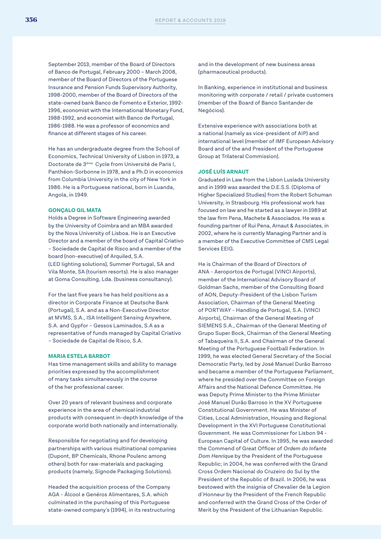September 2013, member of the Board of Directors of Banco de Portugal, February 2000 – March 2008, member of the Board of Directors of the Portuguese Insurance and Pension Funds Supervisory Authority, 1998-2000, member of the Board of Directors of the state-owned bank Banco de Fomento e Exterior, 1992- 1996, economist with the International Monetary Fund, 1988-1992, and economist with Banco de Portugal, 1986-1988. He was a professor of economics and finance at different stages of his career.

He has an undergraduate degree from the School of Economics, Technical University of Lisbon in 1973, a Doctorate de 3ème Cycle from Université de Paris I, Panthéon-Sorbonne in 1978, and a Ph.D in economics from Columbia University in the city of New York in 1986. He is a Portuguese national, born in Luanda, Angola, in 1949.

#### **GONÇALO GIL MATA**

Holds a Degree in Software Engineering awarded by the University of Coimbra and an MBA awarded by the Nova University of Lisboa. He is an Executive Director and a member of the board of Capital Criativo – Sociedade de Capital de Risco and a member of the board (non-executive) of Arquiled, S.A. (LED lighting solutions), Summer Portugal, SA and Vila Monte, SA (tourism resorts). He is also manager at Goma Consulting, Lda. (business consultancy).

For the last five years he has held positions as a director in Corporate Finance at Deutsche Bank (Portugal), S.A. and as a Non-Executive Director at MVMS, S.A., ISA Intelligent Sensing Anywhere, S.A. and Gypfor – Gessos Laminados, S.A as a representative of funds managed by Capital Criativo – Sociedade de Capital de Risco, S.A.

#### **MARIA ESTELA BARBOT**

Has time management skills and ability to manage priorities expressed by the accomplishment of many tasks simultaneously in the course of the her professional career.

Over 20 years of relevant business and corporate experience in the area of chemical industrial products with consequent in-depth knowledge of the corporate world both nationally and internationally.

Responsible for negotiating and for developing partnerships with various multinational companies (Dupont, BP Chemicals, Rhone Poulenc among others) both for raw-materials and packaging products (namely, Signode Packaging Solutions).

Headed the acquisition process of the Company AGA - Álcool e Genéros Alimentares, S.A. which culminated in the purchasing of this Portuguese state-owned company's (1994), in its restructuring and in the development of new business areas (pharmaceutical products).

In Banking, experience in institutional and business monitoring with corporate / retail / private customers (member of the Board of Banco Santander de Negócios).

Extensive experience with associations both at a national (namely as vice-president of AIP) and international level (member of IMF European Advisory Board and of the and President of the Portuguese Group at Trilateral Commission).

#### **JOSÉ LUÍS ARNAUT**

Graduated in Law from the Lisbon Lusíada University and in 1999 was awarded the D.E.S.S. (Diploma of Higher Specialized Studies) from the Robert Schuman University, in Strasbourg. His professional work has focused on law and he started as a lawyer in 1989 at the law firm Pena, Machete & Associados. He was a founding partner of Rui Pena, Arnaut & Associates, in 2002, where he is currently Managing Partner and is a member of the Executive Committee of CMS Legal Services EEIG.

He is Chairman of the Board of Directors of ANA - Aeroportos de Portugal (VINCI Airports), member of the International Advisory Board of Goldman Sachs, member of the Consulting Board of AON, Deputy-President of the Lisbon Turism Association, Chairman of the General Meeting of PORTWAY - Handling de Portugal, S.A. (VINCI Airports), Chairman of the General Meeting of SIEMENS S.A., Chairman of the General Meeting of Grupo Super Bock, Chairman of the General Meeting of Tabaqueira II, S.A. and Chairman of the General Meeting of the Portuguese Football Federation. In 1999, he was elected General Secretary of the Social Democratic Party, led by José Manuel Durão Barroso and became a member of the Portuguese Parliament, where he presided over the Committee on Foreign Affairs and the National Defence Committee. He was Deputy Prime Minister to the Prime Minister José Manuel Durão Barroso in the XV Portuguese Constitutional Government. He was Minister of Cities, Local Administration, Housing and Regional Development in the XVI Portuguese Constitutional Government. He was Commissioner for Lisbon 94 - European Capital of Culture. In 1995, he was awarded the Commend of Great Officer of *Ordem do Infante Dom Henrique* by the President of the Portuguese Republic; in 2004, he was conferred with the Grand Cross Ordem Nacional do Cruzeiro do Sul by the President of the Republic of Brazil. In 2006, he was bestowed with the insignia of Chevalier de la Legion d´Honneur by the President of the French Republic and conferred with the Grand Cross of the Order of Merit by the President of the Lithuanian Republic.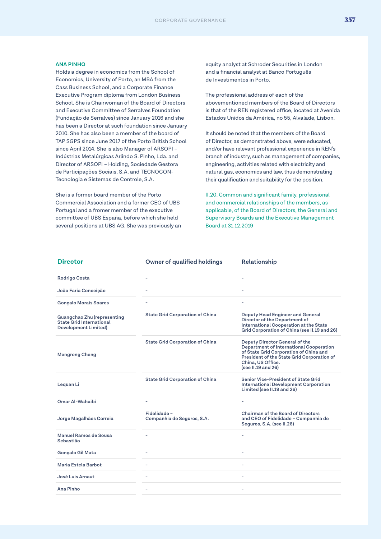#### **ANA PINHO**

Holds a degree in economics from the School of Economics, University of Porto, an MBA from the Cass Business School, and a Corporate Finance Executive Program diploma from London Business School. She is Chairwoman of the Board of Directors and Executive Committee of Serralves Foundation (Fundação de Serralves) since January 2016 and she has been a Director at such foundation since January 2010. She has also been a member of the board of TAP SGPS since June 2017 of the Porto British School since April 2014. She is also Manager of ARSOPI – Indústrias Metalúrgicas Arlindo S. Pinho, Lda. and Director of ARSOPI – Holding, Sociedade Gestora de Participações Sociais, S.A. and TECNOCON-Tecnologia e Sistemas de Controle, S.A.

She is a former board member of the Porto Commercial Association and a former CEO of UBS Portugal and a fromer member of the executive committee of UBS España, before which she held several positions at UBS AG. She was previously an

equity analyst at Schroder Securities in London and a financial analyst at Banco Português de Investimentos in Porto.

The professional address of each of the abovementioned members of the Board of Directors is that of the REN registered office, located at Avenida Estados Unidos da América, no 55, Alvalade, Lisbon.

It should be noted that the members of the Board of Director, as demonstrated above, were educated, and/or have relevant professional experience in REN's branch of industry, such as management of companies, engineering, activities related with electricity and natural gas, economics and law, thus demonstrating their qualification and suitability for the position.

II.20. Common and significant family, professional and commercial relationships of the members, as applicable, of the Board of Directors, the General and Supervisory Boards and the Executive Management Board at 31.12.2019

| <b>Director</b>                                                                               | <b>Owner of qualified holdings</b>        | <b>Relationship</b>                                                                                                                                                                                                 |
|-----------------------------------------------------------------------------------------------|-------------------------------------------|---------------------------------------------------------------------------------------------------------------------------------------------------------------------------------------------------------------------|
| <b>Rodrigo Costa</b>                                                                          |                                           |                                                                                                                                                                                                                     |
| João Faria Conceição                                                                          | ۰                                         |                                                                                                                                                                                                                     |
| <b>Gonçalo Morais Soares</b>                                                                  | ۰                                         | $\overline{\phantom{0}}$                                                                                                                                                                                            |
| Guangchao Zhu (representing<br><b>State Grid International</b><br><b>Development Limited)</b> | <b>State Grid Corporation of China</b>    | <b>Deputy Head Engineer and General</b><br>Director of the Department of<br>International Cooperation at the State<br>Grid Corporation of China (see II.19 and 26)                                                  |
| <b>Mengrong Cheng</b>                                                                         | <b>State Grid Corporation of China</b>    | Deputy Director General of the<br><b>Department of International Cooperation</b><br>of State Grid Corporation of China and<br>President of the State Grid Corporation of<br>China, US Office.<br>(see II.19 and 26) |
| Lequan Li                                                                                     | <b>State Grid Corporation of China</b>    | Senior Vice-President of State Grid<br><b>International Development Corporation</b><br>Limited (see II.19 and 26)                                                                                                   |
| Omar Al-Wahaibi                                                                               | ٠                                         |                                                                                                                                                                                                                     |
| Jorge Magalhães Correia                                                                       | Fidelidade-<br>Companhia de Seguros, S.A. | <b>Chairman of the Board of Directors</b><br>and CEO of Fidelidade - Companhia de<br>Seguros, S.A. (see II.26)                                                                                                      |
| Manuel Ramos de Sousa<br>Sebastião                                                            |                                           |                                                                                                                                                                                                                     |
| <b>Gonçalo Gil Mata</b>                                                                       | L.                                        |                                                                                                                                                                                                                     |
| Maria Estela Barbot                                                                           |                                           |                                                                                                                                                                                                                     |
| José Luís Arnaut                                                                              | ۰                                         |                                                                                                                                                                                                                     |
| Ana Pinho                                                                                     |                                           |                                                                                                                                                                                                                     |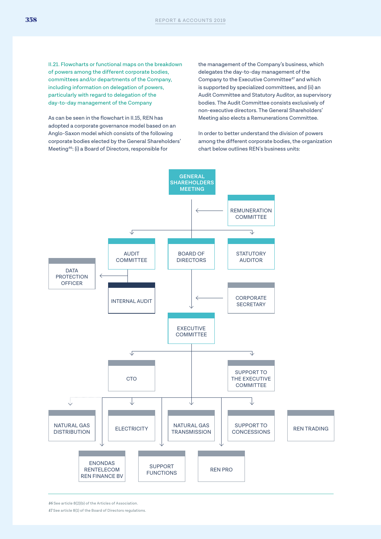II.21. Flowcharts or functional maps on the breakdown of powers among the different corporate bodies, committees and/or departments of the Company, including information on delegation of powers, particularly with regard to delegation of the day-to-day management of the Company

As can be seen in the flowchart in II.15, REN has adopted a corporate governance model based on an Anglo-Saxon model which consists of the following corporate bodies elected by the General Shareholders' Meeting46: (i) a Board of Directors, responsible for

the management of the Company's business, which delegates the day-to-day management of the Company to the Executive Committee<sup>47</sup> and which is supported by specialized committees, and (ii) an Audit Committee and Statutory Auditor, as supervisory bodies. The Audit Committee consists exclusively of non-executive directors. The General Shareholders' Meeting also elects a Remunerations Committee.

In order to better understand the division of powers among the different corporate bodies, the organization chart below outlines REN's business units:



*46* See article 8(2)(b) of the Articles of Association.

*47* See article 8(1) of the Board of Directors regulations.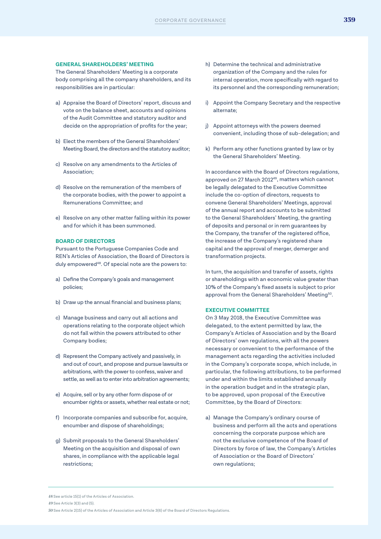#### **GENERAL SHAREHOLDERS' MEETING**

The General Shareholders' Meeting is a corporate body comprising all the company shareholders, and its responsibilities are in particular:

- a) Appraise the Board of Directors' report, discuss and vote on the balance sheet, accounts and opinions of the Audit Committee and statutory auditor and decide on the appropriation of profits for the year;
- b) Elect the members of the General Shareholders' Meeting Board, the directors and the statutory auditor;
- c) Resolve on any amendments to the Articles of Association;
- d) Resolve on the remuneration of the members of the corporate bodies, with the power to appoint a Remunerations Committee; and
- e) Resolve on any other matter falling within its power and for which it has been summoned.

#### **BOARD OF DIRECTORS**

Pursuant to the Portuguese Companies Code and REN's Articles of Association, the Board of Directors is duly empowered<sup>48</sup>. Of special note are the powers to:

- a) Define the Company's goals and management policies;
- b) Draw up the annual financial and business plans;
- c) Manage business and carry out all actions and operations relating to the corporate object which do not fall within the powers attributed to other Company bodies;
- d) Represent the Company actively and passively, in and out of court, and propose and pursue lawsuits or arbitrations, with the power to confess, waiver and settle, as well as to enter into arbitration agreements;
- e) Acquire, sell or by any other form dispose of or encumber rights or assets, whether real estate or not;
- f) Incorporate companies and subscribe for, acquire, encumber and dispose of shareholdings;
- g) Submit proposals to the General Shareholders' Meeting on the acquisition and disposal of own shares, in compliance with the applicable legal restrictions;
- h) Determine the technical and administrative organization of the Company and the rules for internal operation, more specifically with regard to its personnel and the corresponding remuneration;
- i) Appoint the Company Secretary and the respective alternate;
- j) Appoint attorneys with the powers deemed convenient, including those of sub-delegation; and
- k) Perform any other functions granted by law or by the General Shareholders' Meeting.

In accordance with the Board of Directors regulations, approved on 27 March 2012<sup>49</sup>, matters which cannot be legally delegated to the Executive Committee include the co-option of directors, requests to convene General Shareholders' Meetings, approval of the annual report and accounts to be submitted to the General Shareholders' Meeting, the granting of deposits and personal or in rem guarantees by the Company, the transfer of the registered office, the increase of the Company's registered share capital and the approval of merger, demerger and transformation projects.

In turn, the acquisition and transfer of assets, rights or shareholdings with an economic value greater than 10% of the Company's fixed assets is subject to prior approval from the General Shareholders' Meeting<sup>50</sup>.

#### **EXECUTIVE COMMITTEE**

On 3 May 2018, the Executive Committee was delegated, to the extent permitted by law, the Company's Articles of Association and by the Board of Directors' own regulations, with all the powers necessary or convenient to the performance of the management acts regarding the activities included in the Company's corporate scope, which include, in particular, the following attributions, to be performed under and within the limits established annually in the operation budget and in the strategic plan, to be approved, upon proposal of the Executive Committee, by the Board of Directors:

a) Manage the Company's ordinary course of business and perform all the acts and operations concerning the corporate purpose which are not the exclusive competence of the Board of Directors by force of law, the Company's Articles of Association or the Board of Directors' own regulations;

*<sup>48</sup>* See article 15(1) of the Articles of Association. *49* See Article 3(3) and (5).

*<sup>50</sup>* See Article 2(15) of the Articles of Association and Article 3(6) of the Board of Directors Regulations.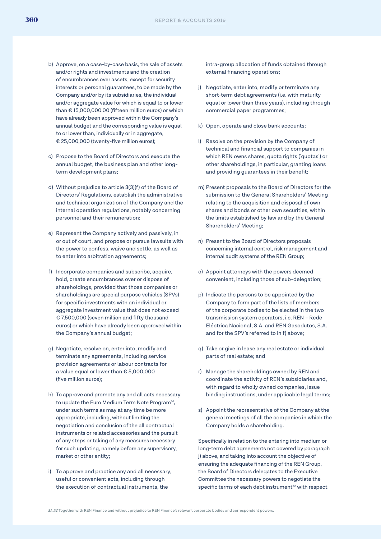- b) Approve, on a case-by-case basis, the sale of assets and/or rights and investments and the creation of encumbrances over assets, except for security interests or personal guarantees, to be made by the Company and/or by its subsidiaries, the individual and/or aggregate value for which is equal to or lower than € 15,000,000.00 (fifteen million euros) or which have already been approved within the Company's annual budget and the corresponding value is equal to or lower than, individually or in aggregate, € 25,000,000 (twenty-five million euros);
- c) Propose to the Board of Directors and execute the annual budget, the business plan and other longterm development plans;
- d) Without prejudice to article 3(3)(f) of the Board of Directors' Regulations, establish the administrative and technical organization of the Company and the internal operation regulations, notably concerning personnel and their remuneration;
- e) Represent the Company actively and passively, in or out of court, and propose or pursue lawsuits with the power to confess, waive and settle, as well as to enter into arbitration agreements;
- f) Incorporate companies and subscribe, acquire, hold, create encumbrances over or dispose of shareholdings, provided that those companies or shareholdings are special purpose vehicles (SPVs) for specific investments with an individual or aggregate investment value that does not exceed € 7,500,000 (seven million and fifty thousand euros) or which have already been approved within the Company's annual budget;
- g) Negotiate, resolve on, enter into, modify and terminate any agreements, including service provision agreements or labour contracts for a value equal or lower than € 5,000,000 (five million euros);
- h) To approve and promote any and all acts necessary to update the Euro Medium Term Note Program<sup>51</sup>, under such terms as may at any time be more appropriate, including, without limiting the negotiation and conclusion of the all contractual instruments or related accessories and the pursuit of any steps or taking of any measures necessary for such updating, namely before any supervisory, market or other entity;
- i) To approve and practice any and all necessary, useful or convenient acts, including through the execution of contractual instruments, the

intra-group allocation of funds obtained through external financing operations;

- j) Negotiate, enter into, modify or terminate any short-term debt agreements (i.e. with maturity equal or lower than three years), including through commercial paper programmes;
- k) Open, operate and close bank accounts;
- l) Resolve on the provision by the Company of technical and financial support to companies in which REN owns shares, quota rights ('quotas') or other shareholdings, in particular, granting loans and providing guarantees in their benefit;
- m) Present proposals to the Board of Directors for the submission to the General Shareholders' Meeting relating to the acquisition and disposal of own shares and bonds or other own securities, within the limits established by law and by the General Shareholders' Meeting;
- n) Present to the Board of Directors proposals concerning internal control, risk management and internal audit systems of the REN Group;
- o) Appoint attorneys with the powers deemed convenient, including those of sub-delegation;
- p) Indicate the persons to be appointed by the Company to form part of the lists of members of the corporate bodies to be elected in the two transmission system operators, i.e. REN – Rede Eléctrica Nacional, S.A. and REN Gasodutos, S.A. and for the SPV's referred to in f) above;
- q) Take or give in lease any real estate or individual parts of real estate; and
- r) Manage the shareholdings owned by REN and coordinate the activity of REN's subsidiaries and, with regard to wholly owned companies, issue binding instructions, under applicable legal terms;
- s) Appoint the representative of the Company at the general meetings of all the companies in which the Company holds a shareholding.

Specifically in relation to the entering into medium or long-term debt agreements not covered by paragraph j) above, and taking into account the objective of ensuring the adequate financing of the REN Group, the Board of Directors delegates to the Executive Committee the necessary powers to negotiate the specific terms of each debt instrument<sup>52</sup> with respect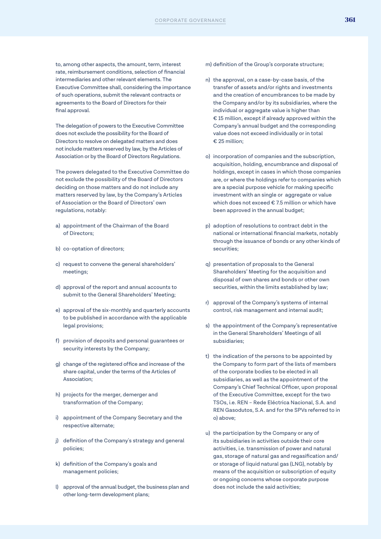to, among other aspects, the amount, term, interest rate, reimbursement conditions, selection of financial intermediaries and other relevant elements. The Executive Committee shall, considering the importance of such operations, submit the relevant contracts or agreements to the Board of Directors for their final approval.

The delegation of powers to the Executive Committee does not exclude the possibility for the Board of Directors to resolve on delegated matters and does not include matters reserved by law, by the Articles of Association or by the Board of Directors Regulations.

The powers delegated to the Executive Committee do not exclude the possibility of the Board of Directors deciding on those matters and do not include any matters reserved by law, by the Company's Articles of Association or the Board of Directors' own regulations, notably:

- a) appointment of the Chairman of the Board of Directors;
- b) co-optation of directors;
- c) request to convene the general shareholders' meetings;
- d) approval of the report and annual accounts to submit to the General Shareholders' Meeting;
- e) approval of the six-monthly and quarterly accounts to be published in accordance with the applicable legal provisions;
- f) provision of deposits and personal guarantees or security interests by the Company;
- g) change of the registered office and increase of the share capital, under the terms of the Articles of Association;
- h) projects for the merger, demerger and transformation of the Company;
- i) appointment of the Company Secretary and the respective alternate;
- j) definition of the Company's strategy and general policies;
- k) definition of the Company's goals and management policies;
- l) approval of the annual budget, the business plan and other long-term development plans;
- m) definition of the Group's corporate structure;
- n) the approval, on a case-by-case basis, of the transfer of assets and/or rights and investments and the creation of encumbrances to be made by the Company and/or by its subsidiaries, where the individual or aggregate value is higher than € 15 million, except if already approved within the Company's annual budget and the corresponding value does not exceed individually or in total € 25 million;
- o) incorporation of companies and the subscription, acquisition, holding, encumbrance and disposal of holdings, except in cases in which those companies are, or where the holdings refer to companies which are a special purpose vehicle for making specific investment with an single or aggregate or value which does not exceed € 7.5 million or which have been approved in the annual budget;
- p) adoption of resolutions to contract debt in the national or international financial markets, notably through the issuance of bonds or any other kinds of securities;
- q) presentation of proposals to the General Shareholders' Meeting for the acquisition and disposal of own shares and bonds or other own securities, within the limits established by law;
- r) approval of the Company's systems of internal control, risk management and internal audit;
- s) the appointment of the Company's representative in the General Shareholders' Meetings of all subsidiaries;
- t) the indication of the persons to be appointed by the Company to form part of the lists of members of the corporate bodies to be elected in all subsidiaries, as well as the appointment of the Company's Chief Technical Officer, upon proposal of the Executive Committee, except for the two TSOs, i.e. REN – Rede Eléctrica Nacional, S.A. and REN Gasodutos, S.A. and for the SPVs referred to in o) above;
- u) the participation by the Company or any of its subsidiaries in activities outside their core activities, i.e. transmission of power and natural gas, storage of natural gas and regasification and/ or storage of liquid natural gas (LNG), notably by means of the acquisition or subscription of equity or ongoing concerns whose corporate purpose does not include the said activities;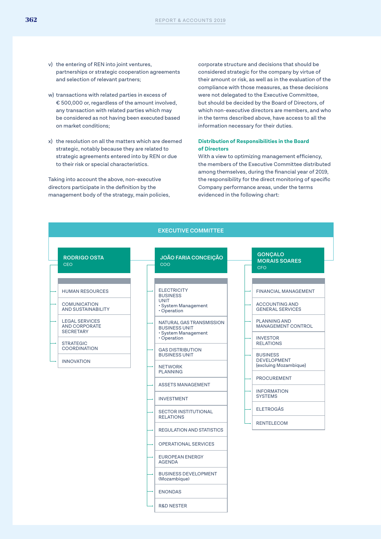- v) the entering of REN into joint ventures, partnerships or strategic cooperation agreements and selection of relevant partners;
- w) transactions with related parties in excess of € 500,000 or, regardless of the amount involved, any transaction with related parties which may be considered as not having been executed based on market conditions;
- x) the resolution on all the matters which are deemed strategic, notably because they are related to strategic agreements entered into by REN or due to their risk or special characteristics.

Taking into account the above, non-executive directors participate in the definition by the management body of the strategy, main policies, corporate structure and decisions that should be considered strategic for the company by virtue of their amount or risk, as well as in the evaluation of the compliance with those measures, as these decisions were not delegated to the Executive Committee, but should be decided by the Board of Directors, of which non-executive directors are members, and who in the terms described above, have access to all the information necessary for their duties.

#### **Distribution of Responsibilities in the Board of Directors**

With a view to optimizing management efficiency, the members of the Executive Committee distributed among themselves, during the financial year of 2019, the responsibility for the direct monitoring of specific Company performance areas, under the terms evidenced in the following chart:

| <b>EXECUTIVE COMMITTEE</b>                                        |  |                                                                         |  |                                                                |
|-------------------------------------------------------------------|--|-------------------------------------------------------------------------|--|----------------------------------------------------------------|
| <b>RODRIGO OSTA</b><br><b>CEO</b>                                 |  | <b>JOÃO FARIA CONCEIÇÃO</b><br>coo                                      |  | <b>GONÇALO</b><br><b>MORAIS SOARES</b><br><b>CFO</b>           |
| <b>HUMAN RESOURCES</b>                                            |  | <b>ELECTRICITY</b><br><b>BUSINESS</b>                                   |  | <b>FINANCIAL MANAGEMENT</b>                                    |
| <b>COMUNICATION</b><br>AND SUSTAINABILITY                         |  | <b>UNIT</b><br>· System Management<br>· Operation                       |  | <b>ACCOUNTING AND</b><br><b>GENERAL SERVICES</b>               |
| <b>LEGAL SERVICES</b><br><b>AND CORPORATE</b><br><b>SECRETARY</b> |  | NATURAL GAS TRANSMISSION<br><b>BUSINESS UNIT</b><br>· System Management |  | <b>PLANNING AND</b><br><b>MANAGEMENT CONTROL</b>               |
| <b>STRATEGIC</b><br><b>COORDINATION</b>                           |  | · Operation<br><b>GAS DISTRIBUTION</b>                                  |  | <b>INVESTOR</b><br><b>RELATIONS</b>                            |
| <b>INNOVATION</b>                                                 |  | <b>BUSINESS UNIT</b><br><b>NETWORK</b>                                  |  | <b>BUSINESS</b><br><b>DEVELOPMENT</b><br>(excluing Mozambique) |
|                                                                   |  | <b>PLANNING</b>                                                         |  | <b>PROCUREMENT</b>                                             |
|                                                                   |  | <b>ASSETS MANAGEMENT</b>                                                |  | <b>INFORMATION</b><br><b>SYSTEMS</b>                           |
|                                                                   |  | <b>INVESTMENT</b>                                                       |  | <b>ELETROGÁS</b>                                               |
|                                                                   |  | <b>SECTOR INSTITUTIONAL</b><br><b>RELATIONS</b>                         |  |                                                                |
|                                                                   |  | <b>REGULATION AND STATISTICS</b>                                        |  | <b>RENTELECOM</b>                                              |
|                                                                   |  | <b>OPERATIONAL SERVICES</b>                                             |  |                                                                |
|                                                                   |  | <b>EUROPEAN ENERGY</b><br><b>AGENDA</b>                                 |  |                                                                |
|                                                                   |  | <b>BUSINESS DEVELOPMENT</b><br>(Mozambique)                             |  |                                                                |
|                                                                   |  | <b>ENONDAS</b>                                                          |  |                                                                |
|                                                                   |  | <b>R&amp;D NESTER</b>                                                   |  |                                                                |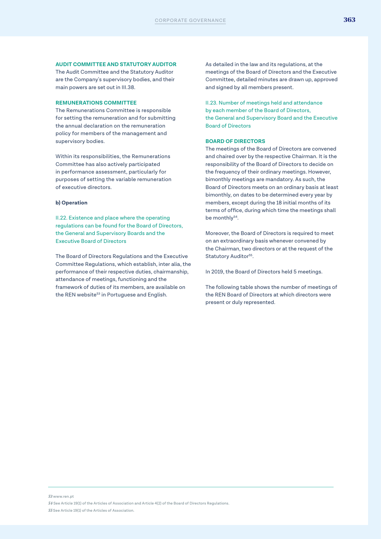#### **AUDIT COMMITTEE AND STATUTORY AUDITOR**

The Audit Committee and the Statutory Auditor are the Company's supervisory bodies, and their main powers are set out in III.38.

#### **REMUNERATIONS COMMITTEE**

The Remunerations Committee is responsible for setting the remuneration and for submitting the annual declaration on the remuneration policy for members of the management and supervisory bodies.

Within its responsibilities, the Remunerations Committee has also actively participated in performance assessment, particularly for purposes of setting the variable remuneration of executive directors.

#### **b) Operation**

II.22. Existence and place where the operating regulations can be found for the Board of Directors, the General and Supervisory Boards and the Executive Board of Directors

The Board of Directors Regulations and the Executive Committee Regulations, which establish, inter alia, the performance of their respective duties, chairmanship, attendance of meetings, functioning and the framework of duties of its members, are available on the REN website<sup>53</sup> in Portuguese and English.

As detailed in the law and its regulations, at the meetings of the Board of Directors and the Executive Committee, detailed minutes are drawn up, approved and signed by all members present.

II.23. Number of meetings held and attendance by each member of the Board of Directors, the General and Supervisory Board and the Executive Board of Directors

#### **BOARD OF DIRECTORS**

The meetings of the Board of Directors are convened and chaired over by the respective Chairman. It is the responsibility of the Board of Directors to decide on the frequency of their ordinary meetings. However, bimonthly meetings are mandatory. As such, the Board of Directors meets on an ordinary basis at least bimonthly, on dates to be determined every year by members, except during the 18 initial months of its terms of office, during which time the meetings shall be monthly<sup>54</sup>.

Moreover, the Board of Directors is required to meet on an extraordinary basis whenever convened by the Chairman, two directors or at the request of the Statutory Auditor<sup>55</sup>.

In 2019, the Board of Directors held 5 meetings.

The following table shows the number of meetings of the REN Board of Directors at which directors were present or duly represented.

*53* www.ren.pt

*54* See Article 19(1) of the Articles of Association and Article 4(2) of the Board of Directors Regulations. *55* See Article 19(1) of the Articles of Association.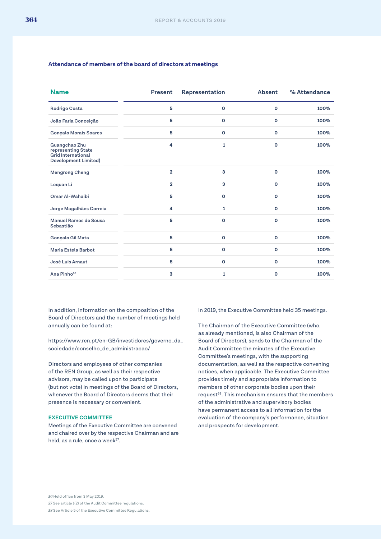#### **Attendance of members of the board of directors at meetings**

| <b>Name</b>                                                                                     | <b>Present</b> | Representation | <b>Absent</b> | % Attendance |
|-------------------------------------------------------------------------------------------------|----------------|----------------|---------------|--------------|
| <b>Rodrigo Costa</b>                                                                            | 5              | O              | O             | 100%         |
| João Faria Conceição                                                                            | 5              | $\mathbf 0$    | $\mathbf{o}$  | 100%         |
| <b>Gonçalo Morais Soares</b>                                                                    | 5              | $\mathbf{o}$   | $\mathbf{o}$  | 100%         |
| Guangchao Zhu<br>representing State<br><b>Grid International</b><br><b>Development Limited)</b> | 4              | 1              | $\Omega$      | 100%         |
| <b>Mengrong Cheng</b>                                                                           | $\overline{2}$ | 3              | $\mathbf{o}$  | 100%         |
| Lequan Li                                                                                       | $\overline{2}$ | з              | $\mathbf{o}$  | 100%         |
| Omar Al-Wahaibi                                                                                 | 5              | $\mathbf{o}$   | $\mathbf{o}$  | 100%         |
| Jorge Magalhães Correia                                                                         | 4              | 1              | $\circ$       | 100%         |
| Manuel Ramos de Sousa<br>Sebastião                                                              | 5              | O              | $\mathbf{o}$  | 100%         |
| Gonçalo Gil Mata                                                                                | 5              | $\mathbf{o}$   | $\mathbf{o}$  | 100%         |
| Maria Estela Barbot                                                                             | 5              | $\mathbf 0$    | $\mathbf 0$   | 100%         |
| José Luís Arnaut                                                                                | 5              | $\mathbf 0$    | $\mathbf 0$   | 100%         |
| Ana Pinho <sup>56</sup>                                                                         | 3              | 1              | O             | 100%         |

In addition, information on the composition of the Board of Directors and the number of meetings held annually can be found at:

https://www.ren.pt/en-GB/investidores/governo\_da\_ sociedade/conselho\_de\_administracao/

Directors and employees of other companies of the REN Group, as well as their respective advisors, may be called upon to participate (but not vote) in meetings of the Board of Directors, whenever the Board of Directors deems that their presence is necessary or convenient.

#### **EXECUTIVE COMMITTEE**

Meetings of the Executive Committee are convened and chaired over by the respective Chairman and are held, as a rule, once a week $57$ .

In 2019, the Executive Committee held 35 meetings.

The Chairman of the Executive Committee (who, as already mentioned, is also Chairman of the Board of Directors), sends to the Chairman of the Audit Committee the minutes of the Executive Committee's meetings, with the supporting documentation, as well as the respective convening notices, when applicable. The Executive Committee provides timely and appropriate information to members of other corporate bodies upon their request58. This mechanism ensures that the members of the administrative and supervisory bodies have permanent access to all information for the evaluation of the company's performance, situation and prospects for development.

*56* Held office from 3 May 2019. *57* See article 1(2) of the Audit Committee regulations. *58* See Article 5 of the Executive Committee Regulations.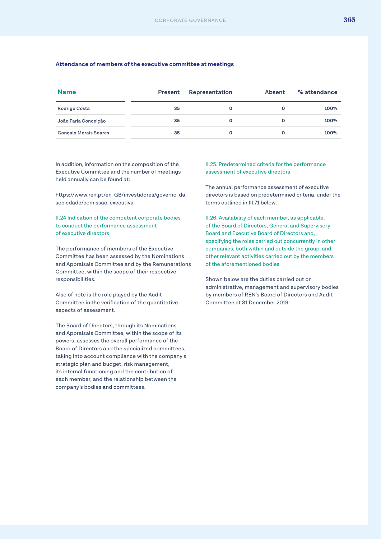#### **Attendance of members of the executive committee at meetings**

| <b>Name</b>                  | <b>Present</b> | Representation | <b>Absent</b> | % attendance |
|------------------------------|----------------|----------------|---------------|--------------|
| <b>Rodrigo Costa</b>         | 35             | $\circ$        | O             | 100%         |
| João Faria Conceição         | 35             | $\Omega$       | 0             | 100%         |
| <b>Gonçalo Morais Soares</b> | 35             | $\Omega$       | O             | 100%         |

In addition, information on the composition of the Executive Committee and the number of meetings held annually can be found at:

https://www.ren.pt/en-GB/investidores/governo\_da\_ sociedade/comissao\_executiva

II.24 Indication of the competent corporate bodies to conduct the performance assessment of executive directors

The performance of members of the Executive Committee has been assessed by the Nominations and Appraisals Committee and by the Remunerations Committee, within the scope of their respective responsibilities.

Also of note is the role played by the Audit Committee in the verification of the quantitative aspects of assessment.

The Board of Directors, through its Nominations and Appraisals Committee, within the scope of its powers, assesses the overall performance of the Board of Directors and the specialized committees, taking into account compliance with the company's strategic plan and budget, risk management, its internal functioning and the contribution of each member, and the relationship between the company's bodies and committees.

II.25. Predetermined criteria for the performance assessment of executive directors

The annual performance assessment of executive directors is based on predetermined criteria, under the terms outlined in III.71 below.

II.26. Availability of each member, as applicable, of the Board of Directors, General and Supervisory Board and Executive Board of Directors and, specifying the roles carried out concurrently in other companies, both within and outside the group, and other relevant activities carried out by the members of the aforementioned bodies

Shown below are the duties carried out on administrative, management and supervisory bodies by members of REN's Board of Directors and Audit Committee at 31 December 2019: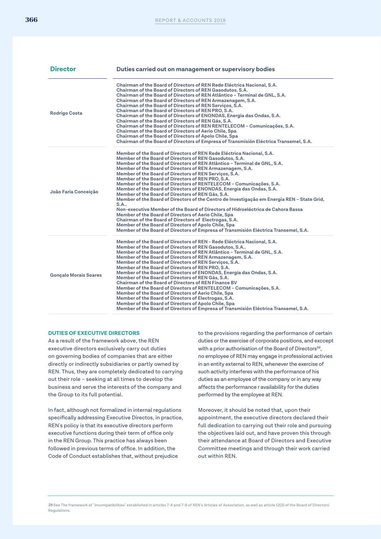| <b>Director</b>              | Duties carried out on management or supervisory bodies                                                                                                                                                                                                                                                                                                                                                                                                                                                                                                                                                                                                                                                                                                                                                                                                                                                                                                                                                                                                    |  |
|------------------------------|-----------------------------------------------------------------------------------------------------------------------------------------------------------------------------------------------------------------------------------------------------------------------------------------------------------------------------------------------------------------------------------------------------------------------------------------------------------------------------------------------------------------------------------------------------------------------------------------------------------------------------------------------------------------------------------------------------------------------------------------------------------------------------------------------------------------------------------------------------------------------------------------------------------------------------------------------------------------------------------------------------------------------------------------------------------|--|
| Rodrigo Costa                | Chairman of the Board of Directors of REN Rede Eléctrica Nacional, S.A.<br>Chairman of the Board of Directors of REN Gasodutos, S.A.<br>Chairman of the Board of Directors of REN Atlântico - Terminal de GNL, S.A.<br>Chairman of the Board of Directors of REN Armazenagem, S.A.<br>Chairman of the Board of Directors of REN Serviços, S.A.<br>Chairman of the Board of Directors of REN PRO, S.A.<br>Chairman of the Board of Directors of ENONDAS, Energia das Ondas, S.A.<br>Chairman of the Board of Directors of REN Gás, S.A.<br>Chairman of the Board of Directors of REN RENTELECOM - Comunicações, S.A.<br>Chairman of the Board of Directors of Aerio Chile, Spa<br>Chairman of the Board of Directors of Apolo Chile, Spa<br>Chairman of the Board of Directors of Empresa of Transmisión Eléctrica Transemel, S.A.                                                                                                                                                                                                                         |  |
| João Faria Conceição         | Member of the Board of Directors of REN Rede Eléctrica Nacional, S.A.<br>Member of the Board of Directors of REN Gasodutos, S.A.<br>Member of the Board of Directors of REN Atlântico – Terminal de GNL, S.A.<br>Member of the Board of Directors of REN Armazenagem, S.A.<br>Member of the Board of Directors of REN Servicos, S.A.<br>Member of the Board of Directors of REN PRO, S.A.<br>Member of the Board of Directors of RENTELECOM - Comunicações, S.A.<br>Member of the Board of Directors of ENONDAS, Energia das Ondas, S.A.<br>Member of the Board of Directors of REN Gás, S.A.<br>Member of the Board of Directors of the Centro de Investigação em Energia REN - State Grid,<br>S.A<br>Non-executive Member of the Board of Directors of Hidroeléctrica de Cahora Bassa<br>Member of the Board of Directors of Aerio Chile, Spa<br>Chairman of the Board of Directors of Electrogas, S.A.<br>Member of the Board of Directors of Apolo Chile, Spa<br>Member of the Board of Directors of Empresa of Transmisión Eléctrica Transemel, S.A. |  |
| <b>Gonçalo Morais Soares</b> | Member of the Board of Directors of REN - Rede Eléctrica Nacional, S.A.<br>Member of the Board of Directors of REN Gasodutos, S.A<br>Member of the Board of Directors of REN Atlântico - Terminal de GNL, S.A.<br>Member of the Board of Directors of REN Armazenagem, S.A.<br>Member of the Board of Directors of REN Serviços, S.A.<br>Member of the Board of Directors of REN PRO, S.A.<br>Member of the Board of Directors of ENONDAS, Energia das Ondas, S.A.<br>Member of the Board of Directors of REN Gás, S.A.<br>Chairman of the Board of Directors of REN Finance BV<br>Member of the Board of Directors of RENTELECOM - Comunicações, S.A.<br>Member of the Board of Directors of Aerio Chile, Spa<br>Member of the Board of Directors of Electrogas, S.A.<br>Member of the Board of Directors of Apolo Chile, Spa<br>Member of the Board of Directors of Empresa of Transmisión Eléctrica Transemel, S.A.                                                                                                                                    |  |

#### **DUTIES OF EXECUTIVE DIRECTORS**

As a result of the framework above, the REN executive directors exclusively carry out duties on governing bodies of companies that are either directly or indirectly subsidiaries or partly owned by REN. Thus, they are completely dedicated to carrying out their role – seeking at all times to develop the business and serve the interests of the company and the Group to its full potential.

In fact, although not formalized in internal regulations specifically addressing Executive Directos, in practice, REN's policy is that its executive directors perform executive functions during their term of office only in the REN Group. This practice has always been followed in previous terms of office. In addition, the Code of Conduct establishes that, without prejudice

to the provisions regarding the performance of certain duties or the exercise of corporate positions, and exccept with a prior authorisation of the Board of Directors<sup>59</sup>, no employee of REN may engage in professional activies in an entity external to REN, whenever the exercise of such activity interferes with the performance of his duties as an employee of the company or in any way affects the performance r availability for the duties performed by the employee at REN.

Moreover, it should be noted that, upon their appointment, the executive directors declared their full dedication to carrying out their role and pursuing the objectives laid out, and have proven this through their attendance at Board of Directors and Executive Committee meetings and through their work carried out within REN.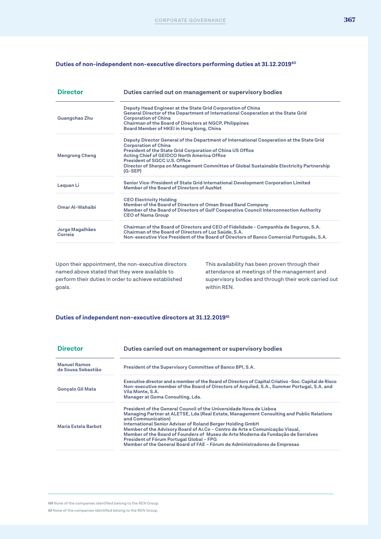#### **Duties of non-independent non-executive directors performing duties at 31.12.201960**

| <b>Director</b>            | Duties carried out on management or supervisory bodies                                                                                                                                                                                                                                                                                                                         |
|----------------------------|--------------------------------------------------------------------------------------------------------------------------------------------------------------------------------------------------------------------------------------------------------------------------------------------------------------------------------------------------------------------------------|
| Guangchao Zhu              | Deputy Head Engineer at the State Grid Corporation of China<br>General Director of the Department of International Cooperation at the State Grid<br><b>Corporation of China</b><br>Chairman of the Board of Directors at NGCP, Philippines<br>Board Member of HKEI in Hong Kong, China                                                                                         |
| <b>Mengrong Cheng</b>      | Deputy Director General of the Department of International Cooperation at the State Grid<br><b>Corporation of China</b><br>President of the State Grid Corporation of China US Office<br>Acting Chief of GEIDCO North America Office<br>President of SGCC U.S. Office<br>Director of Sherpa on Management Committee of Global Sustainable Electricity Partnership<br>$(G-SEP)$ |
| Leguan Li                  | Senior Vice-President of State Grid International Development Corporation Limited<br>Member of the Board of Directors of AusNet                                                                                                                                                                                                                                                |
| Omar Al-Wahaibi            | <b>CEO Electricity Holding</b><br>Member of the Board of Directors of Oman Broad Band Company<br>Member of the Board of Directors of Gulf Cooperative Council Interconnection Authority<br><b>CEO of Nama Group</b>                                                                                                                                                            |
| Jorge Magalhães<br>Correia | Chairman of the Board of Directors and CEO of Fidelidade - Companhia de Seguros, S.A.<br>Chairman of the Board of Directors of Luz Saúde, S.A.<br>Non-executive Vice President of the Board of Directors of Banco Comercial Português, S.A.                                                                                                                                    |

Upon their appointment, the non-executive directors named above stated that they were available to perform their duties in order to achieve established goals.

This availability has been proven through their attendance at meetings of the management and supervisory bodies and through their work carried out within REN.

#### **Duties of independent non-executive directors at 31.12.201961**

| <b>Director</b>                           | Duties carried out on management or supervisory bodies                                                                                                                                                                                                                                                                                                                                                                                                                                                                                            |
|-------------------------------------------|---------------------------------------------------------------------------------------------------------------------------------------------------------------------------------------------------------------------------------------------------------------------------------------------------------------------------------------------------------------------------------------------------------------------------------------------------------------------------------------------------------------------------------------------------|
| <b>Manuel Ramos</b><br>de Sousa Sebastião | President of the Supervisory Committee of Banco BPI, S.A.                                                                                                                                                                                                                                                                                                                                                                                                                                                                                         |
| <b>Gonçalo Gil Mata</b>                   | Executive director and a member of the Board of Directors of Capital Criativo - Soc. Capital de Risco<br>Non-executive member of the Board of Directors of Arquiled, S.A., Summer Portugal, S.A. and<br>Vila Monte, S.A.<br>Manager at Goma Consulting, Lda.                                                                                                                                                                                                                                                                                      |
| Maria Estela Barbot                       | President of the General Council of the Universidade Nova de Lisboa<br>Managing Partner at ALETSE, Lda (Real Estate, Management Consulting and Public Relations<br>and Communication)<br>International Senior Adviser of Roland Berger Holding GmbH<br>Member of the Advisory Board of Ar.Co - Centro de Arte e Comunicação Visual,<br>Member of the Board of Founders of Museu de Arte Moderna da Fundação de Serralves<br>President of Fórum Portugal Global - FPG<br>Member of the General Board of FAE - Fórum de Administradores de Empresas |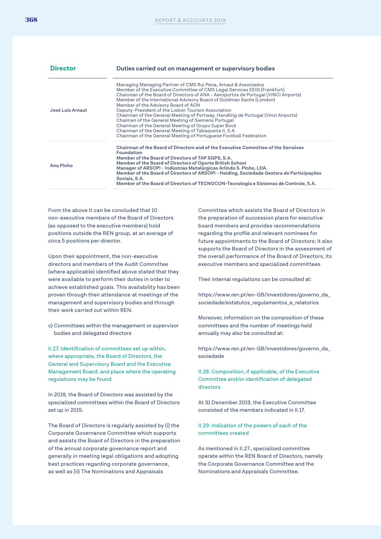| <b>Director</b>  | Duties carried out on management or supervisory bodies                                                                                                                                                                                                                                                                                                                                                                                                                                                                                                                                                                                                                                                                                  |
|------------------|-----------------------------------------------------------------------------------------------------------------------------------------------------------------------------------------------------------------------------------------------------------------------------------------------------------------------------------------------------------------------------------------------------------------------------------------------------------------------------------------------------------------------------------------------------------------------------------------------------------------------------------------------------------------------------------------------------------------------------------------|
| José Luis Arnaut | Managing Managing Partner of CMS Rui Pena, Arnaut & Associados<br>Member of the Executive Committee of CMS Legal Services EEIG (Frankfurt)<br>Chairman of the Board of Directors of ANA - Aeroportos de Portugal (VINCI Airports)<br>Member of the International Advisory Board of Goldman Sachs (London)<br>Member of the Advisory Board of AON<br>Deputy-President of the Lisbon Tourism Association<br>Chairman of the General Meeting of Portway, Handling de Portugal (Vinci Airports)<br>Chaiman of the General Meeting of Siemens Portugal<br>Chairman of the General Meeting of Grupo Super Bock<br>Chairman of the General Meeting of Tabaqueira II, S.A.<br>Chairman of the General Meeting of Portuguese Football Federation |
| Ana Pinho        | Chairman of the Board of Directors and of the Executive Committee of the Serralves<br>Foundation<br>Member of the Board of Directors of TAP SGPS, S.A.<br>Member of the Board of Directors of Oporto British School<br>Manager of ARSOPI - Indústrias Metalúrgicas Arlindo S. Pinho, LDA.<br>Member of the Board of Directors of ARSOPI - Holding, Sociedade Gestora de Participações<br>Sociais, S.A.<br>Member of the Board of Directors of TECNOCON-Tecnologia e Sistemas de Controle, S.A.                                                                                                                                                                                                                                          |

From the above it can be concluded that 10 non-executive members of the Board of Directors (as opposed to the executive members) hold positions outside the REN group, at an average of circa 5 positions per director.

Upon their appointment, the non-executive directors and members of the Audit Committee (where applicable) identified above stated that they were available to perform their duties in order to achieve established goals. This availability has been proven through their attendance at meetings of the management and supervisory bodies and through their work carried out within REN.

c) Committees within the management or supervisor bodies and delegated directors

II.27. Identification of committees set up within, where appropriate, the Board of Directors, the General and Supervisory Board and the Executive Management Board, and place where the operating regulations may be found

In 2019, the Board of Directors was assisted by the specialized committees within the Board of Directors set up in 2015.

The Board of Directors is regularly assisted by (i) the Corporate Governance Committee which supports and assists the Board of Directors in the preparation of the annual corporate governance report and generally in meeting legal obligations and adopting best practices regarding corporate governance, as well as (ii) The Nominations and Appraisals

Committee which assists the Board of Directors in the preparation of succession plans for executive board members and provides recommendations regarding the profile and relevant nominees for future appointments to the Board of Directors; it also supports the Board of Directors in the assessment of the overall performance of the Board of Directors, its executive members and specialized committees.

Their internal regulations can be consulted at:

https://www.ren.pt/en-GB/investidores/governo\_da\_ sociedade/estatutos\_regulamentos\_e\_relatorios

Moreover, information on the composition of these committees and the number of meetings held annually may also be consulted at:

https://www.ren.pt/en-GB/investidores/governo\_da\_ sociedade

II.28. Composition, if applicable, of the Executive Committee and/or identification of delegated directors

At 31 December 2019, the Executive Committee consisted of the members indicated in II.17.

II.29. Indication of the powers of each of the committees created

As mentioned in II.27., specialized committee operate within the REN Board of Directors, namely the Corporate Governance Committee and the Nominations and Appraisals Committee.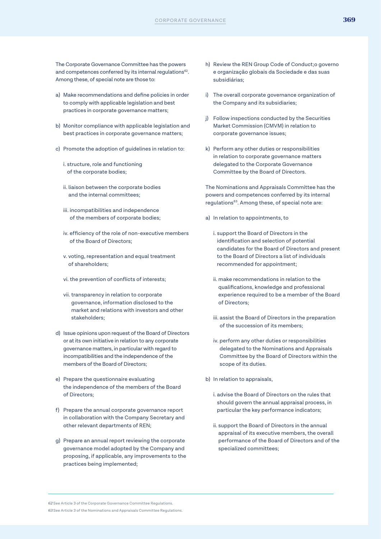- a) Make recommendations and define policies in order to comply with applicable legislation and best practices in corporate governance matters;
- b) Monitor compliance with applicable legislation and best practices in corporate governance matters;
- c) Promote the adoption of guidelines in relation to:
	- i. structure, role and functioning of the corporate bodies;
	- ii. liaison between the corporate bodies and the internal committees;
	- iii. incompatibilities and independence of the members of corporate bodies;
	- iv. efficiency of the role of non-executive members of the Board of Directors;
	- v. voting, representation and equal treatment of shareholders;
	- vi. the prevention of conflicts of interests;
	- vii. transparency in relation to corporate governance, information disclosed to the market and relations with investors and other stakeholders;
- d) Issue opinions upon request of the Board of Directors or at its own initiative in relation to any corporate governance matters, in particular with regard to incompatibilities and the independence of the members of the Board of Directors;
- e) Prepare the questionnaire evaluating the independence of the members of the Board of Directors;
- f) Prepare the annual corporate governance report in collaboration with the Company Secretary and other relevant departments of REN;
- g) Prepare an annual report reviewing the corporate governance model adopted by the Company and proposing, if applicable, any improvements to the practices being implemented;
- h) Review the REN Group Code of Conduct;o governo e organização globais da Sociedade e das suas subsidiárias;
- i) The overall corporate governance organization of the Company and its subsidiaries;
- j) Follow inspections conducted by the Securities Market Commission (CMVM) in relation to corporate governance issues;
- k) Perform any other duties or responsibilities in relation to corporate governance matters delegated to the Corporate Governance Committee by the Board of Directors.

The Nominations and Appraisals Committee has the powers and competences conferred by its internal regulations<sup>63</sup>. Among these, of special note are:

- a) In relation to appointments, to
	- i. support the Board of Directors in the identification and selection of potential candidates for the Board of Directors and present to the Board of Directors a list of individuals recommended for appointment;
	- ii. make recommendations in relation to the qualifications, knowledge and professional experience required to be a member of the Board of Directors;
	- iii. assist the Board of Directors in the preparation of the succession of its members;
	- iv. perform any other duties or responsibilities delegated to the Nominations and Appraisals Committee by the Board of Directors within the scope of its duties.
- b) In relation to appraisals,
	- i. advise the Board of Directors on the rules that should govern the annual appraisal process, in particular the key performance indicators;
	- ii. support the Board of Directors in the annual appraisal of its executive members, the overall performance of the Board of Directors and of the specialized committees;

*<sup>62</sup>* See Article 3 of the Corporate Governance Committee Regulations. *63* See Article 3 of the Nominations and Appraisals Committee Regulations.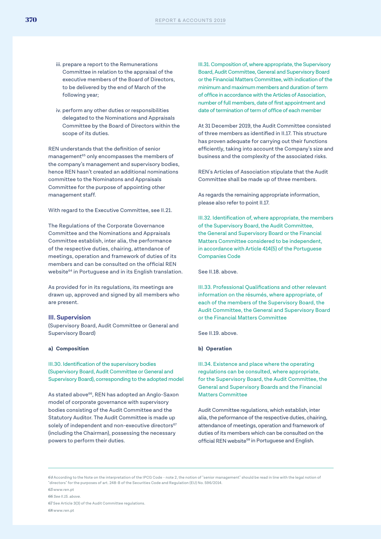- iii. prepare a report to the Remunerations Committee in relation to the appraisal of the executive members of the Board of Directors, to be delivered by the end of March of the following year;
- iv. perform any other duties or responsibilities delegated to the Nominations and Appraisals Committee by the Board of Directors within the scope of its duties.

REN understands that the definition of senior management<sup>65</sup> only encompasses the members of the company's management and supervisory bodies, hence REN hasn't created an additional nominations committee to the Nominatons and Appraisals Committee for the purpose of appointing other management staff.

With regard to the Executive Committee, see II.21.

The Regulations of the Corporate Governance Committee and the Nominations and Appraisals Committee establish, inter alia, the performance of the respective duties, chairing, attendance of meetings, operation and framework of duties of its members and can be consulted on the official REN website<sup>64</sup> in Portuguese and in its English translation.

As provided for in its regulations, its meetings are drawn up, approved and signed by all members who are present.

#### **III. Supervision**

(Supervisory Board, Audit Committee or General and Supervisory Board)

#### **a) Composition**

III.30. Identification of the supervisory bodies (Supervisory Board, Audit Committee or General and Supervisory Board), corresponding to the adopted model

As stated above<sup>66</sup>, REN has adopted an Anglo-Saxon model of corporate governance with supervisory bodies consisting of the Audit Committee and the Statutory Auditor. The Audit Committee is made up solely of independent and non-executive directors<sup>67</sup> (including the Chairman), possessing the necessary powers to perform their duties.

III.31. Composition of, where appropriate, the Supervisory Board, Audit Committee, General and Supervisory Board or the Financial Matters Committee, with indication of the minimum and maximum members and duration of term of office in accordance with the Articles of Association, number of full members, date of first appointment and date of termination of term of office of each member

At 31 December 2019, the Audit Committee consisted of three members as identified in II.17. This structure has proven adequate for carrying out their functions efficiently, taking into account the Company's size and business and the complexity of the associated risks.

REN's Articles of Association stipulate that the Audit Committee shall be made up of three members.

As regards the remaining appropriate information, please also refer to point II.17.

III.32. Identification of, where appropriate, the members of the Supervisory Board, the Audit Committee, the General and Supervisory Board or the Financial Matters Committee considered to be independent, in accordance with Article 414(5) of the Portuguese Companies Code

See II.18. above.

III.33. Professional Qualifications and other relevant information on the résumés, where appropriate, of each of the members of the Supervisory Board, the Audit Committee, the General and Supervisory Board or the Financial Matters Committee

See II.19. above.

#### **b) Operation**

III.34. Existence and place where the operating regulations can be consulted, where appropriate, for the Supervisory Board, the Audit Committee, the General and Supervisory Boards and the Financial Matters Committee

Audit Committee regulations, which establish, inter alia, the peformance of the respective duties, chairing, attendance of meetings, operation and framework of duties of its members which can be consulted on the official REN website<sup>68</sup> in Portuguese and English.

*64* According to the Note on the interpretation of the IPCG Code - note 2, the notion of "senior management" should be read in line with the legal notion of "directors" for the purposes of art. 248-B of the Securities Code and Regulation (EU) No. 596/2014.

www.ren.pt *See II.15. above.* See Article 3(3) of the Audit Committee regulations. www.ren.pt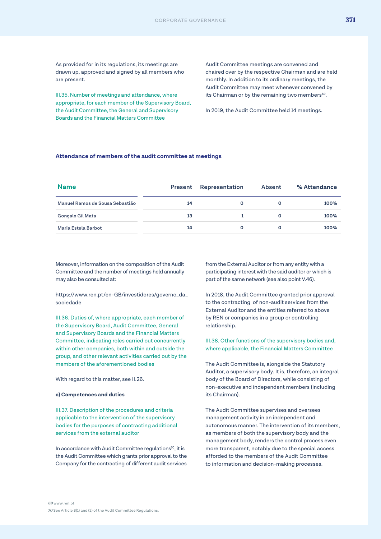As provided for in its regulations, its meetings are drawn up, approved and signed by all members who are present.

III.35. Number of meetings and attendance, where appropriate, for each member of the Supervisory Board, the Audit Committee, the General and Supervisory Boards and the Financial Matters Committee

Audit Committee meetings are convened and chaired over by the respective Chairman and are held monthly. In addition to its ordinary meetings, the Audit Committee may meet whenever convened by its Chairman or by the remaining two members<sup>69</sup>.

In 2019, the Audit Committee held 14 meetings.

#### **Attendance of members of the audit committee at meetings**

| <b>Name</b>                     |    | <b>Present Representation</b> | Absent       | % Attendance |
|---------------------------------|----|-------------------------------|--------------|--------------|
| Manuel Ramos de Sousa Sebastião | 14 | $\mathbf{o}$                  | $\mathbf{o}$ | 100%         |
| Gonçalo Gil Mata                | 13 |                               | $\mathbf{o}$ | 100%         |
| Maria Estela Barbot             | 14 | O                             | O            | 100%         |

Moreover, information on the composition of the Audit Committee and the number of meetings held annually may also be consulted at:

https://www.ren.pt/en-GB/investidores/governo\_da\_ sociedade

III.36. Duties of, where appropriate, each member of the Supervisory Board, Audit Committee, General and Supervisory Boards and the Financial Matters Committee, indicating roles carried out concurrently within other companies, both within and outside the group, and other relevant activities carried out by the members of the aforementioned bodies

With regard to this matter, see II.26.

#### **c) Competences and duties**

III.37. Description of the procedures and criteria applicable to the intervention of the supervisory bodies for the purposes of contracting additional services from the external auditor

In accordance with Audit Committee regulations<sup>70</sup>, it is the Audit Committee which grants prior approval to the Company for the contracting of different audit services from the External Auditor or from any entity with a participating interest with the said auditor or which is part of the same network (see also point V.46).

In 2018, the Audit Committee granted prior approval to the contracting of non-audit services from the External Auditor and the entities referred to above by REN or companies in a group or controlling relationship.

III.38. Other functions of the supervisory bodies and, where applicable, the Financial Matters Committee

The Audit Committee is, alongside the Statutory Auditor, a supervisory body. It is, therefore, an integral body of the Board of Directors, while consisting of non-executive and independent members (including its Chairman).

The Audit Committee supervises and oversees management activity in an independent and autonomous manner. The intervention of its members, as members of both the supervisory body and the management body, renders the control process even more transparent, notably due to the special access afforded to the members of the Audit Committee to information and decision-making processes.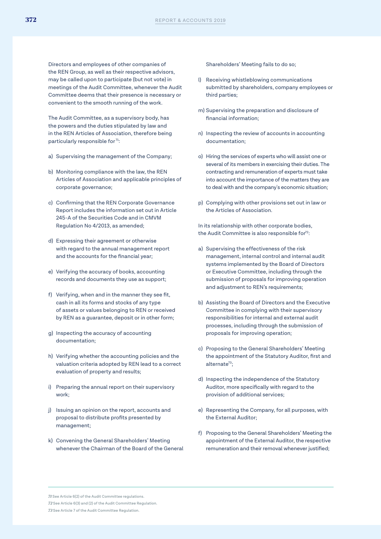Directors and employees of other companies of the REN Group, as well as their respective advisors, may be called upon to participate (but not vote) in meetings of the Audit Committee, whenever the Audit Committee deems that their presence is necessary or convenient to the smooth running of the work.

The Audit Committee, as a supervisory body, has the powers and the duties stipulated by law and in the REN Articles of Association, therefore being particularly responsible for<sup>71</sup>:

- a) Supervising the management of the Company;
- b) Monitoring compliance with the law, the REN Articles of Association and applicable principles of corporate governance;
- c) Confirming that the REN Corporate Governance Report includes the information set out in Article 245-A of the Securities Code and in CMVM Regulation No 4/2013, as amended;
- d) Expressing their agreement or otherwise with regard to the annual management report and the accounts for the financial year;
- e) Verifying the accuracy of books, accounting records and documents they use as support;
- f) Verifying, when and in the manner they see fit, cash in all its forms and stocks of any type of assets or values belonging to REN or received by REN as a guarantee, deposit or in other form;
- g) Inspecting the accuracy of accounting documentation;
- h) Verifying whether the accounting policies and the valuation criteria adopted by REN lead to a correct evaluation of property and results;
- i) Preparing the annual report on their supervisory work;
- j) Issuing an opinion on the report, accounts and proposal to distribute profits presented by management;
- k) Convening the General Shareholders' Meeting whenever the Chairman of the Board of the General

Shareholders' Meeting fails to do so;

- l) Receiving whistleblowing communications submitted by shareholders, company employees or third parties;
- m) Supervising the preparation and disclosure of financial information;
- n) Inspecting the review of accounts in accounting documentation;
- o) Hiring the services of experts who will assist one or several of its members in exercising their duties. The contracting and remuneration of experts must take into account the importance of the matters they are to deal with and the company's economic situation;
- p) Complying with other provisions set out in law or the Articles of Association.

In its relationship with other corporate bodies, the Audit Committee is also responsible for<sup>72</sup>:

- a) Supervising the effectiveness of the risk management, internal control and internal audit systems implemented by the Board of Directors or Executive Committee, including through the submission of proposals for improving operation and adjustment to REN's requirements;
- b) Assisting the Board of Directors and the Executive Committee in complying with their supervisory responsibilities for internal and external audit processes, including through the submission of proposals for improving operation;
- c) Proposing to the General Shareholders' Meeting the appointment of the Statutory Auditor, first and alternate<sup>73</sup>;
- d) Inspecting the independence of the Statutory Auditor, more specifically with regard to the provision of additional services;
- e) Representing the Company, for all purposes, with the External Auditor;
- f) Proposing to the General Shareholders' Meeting the appointment of the External Auditor, the respective remuneration and their removal whenever justified;

*72* See Article 6(3) and (2) of the Audit Committee Regulation.

*<sup>71</sup>* See Article 6(2) of the Audit Committee regulations.

*<sup>73</sup>* See Article 7 of the Audit Committee Regulation.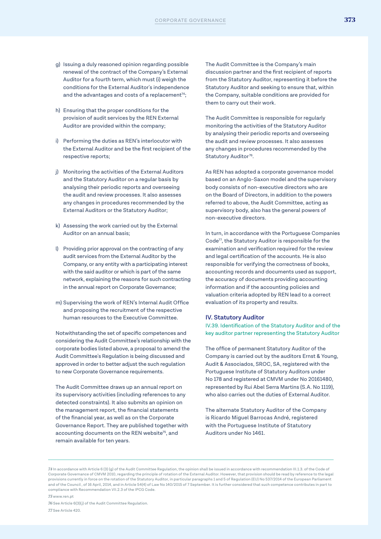- g) Issuing a duly reasoned opinion regarding possible renewal of the contract of the Company's External Auditor for a fourth term, which must (i) weigh the conditions for the External Auditor's independence and the advantages and costs of a replacement $74$ ;
- h) Ensuring that the proper conditions for the provision of audit services by the REN External Auditor are provided within the company;
- i) Performing the duties as REN's interlocutor with the External Auditor and be the first recipient of the respective reports;
- j) Monitoring the activities of the External Auditors and the Statutory Auditor on a regular basis by analysing their periodic reports and overseeing the audit and review processes. It also assesses any changes in procedures recommended by the External Auditors or the Statutory Auditor;
- k) Assessing the work carried out by the External Auditor on an annual basis;
- l) Providing prior approval on the contracting of any audit services from the External Auditor by the Company, or any entity with a participating interest with the said auditor or which is part of the same network, explaining the reasons for such contracting in the annual report on Corporate Governance;
- m) Supervising the work of REN's Internal Audit Office and proposing the recruitment of the respective human resources to the Executive Committee.

Notwithstanding the set of specific competences and considering the Audit Committee's relationship with the corporate bodies listed above, a proposal to amend the Audit Committee's Regulation is being discussed and approved in order to better adjust the such regulation to new Corporate Governance requirements.

The Audit Committee draws up an annual report on its supervisory activities (including references to any detected constraints). It also submits an opinion on the management report, the financial statements of the financial year, as well as on the Corporate Governance Report. They are published together with accounting documents on the REN website<sup>75</sup>, and remain available for ten years.

The Audit Committee is the Company's main discussion partner and the first recipient of reports from the Statutory Auditor, representing it before the Statutory Auditor and seeking to ensure that, within the Company, suitable conditions are provided for them to carry out their work.

The Audit Committee is responsible for regularly monitoring the activities of the Statutory Auditor by analysing their periodic reports and overseeing the audit and review processes. It also assesses any changes in procedures recommended by the Statutory Auditor<sup>76</sup>.

As REN has adopted a corporate governance model based on an Anglo-Saxon model and the supervisory body consists of non-executive directors who are on the Board of Directors, in addition to the powers referred to above, the Audit Committee, acting as supervisory body, also has the general powers of non-executive directors.

In turn, in accordance with the Portuguese Companies Code77, the Statutory Auditor is responsible for the examination and verification required for the review and legal certification of the accounts. He is also responsible for verifying the correctness of books, accounting records and documents used as support, the accuracy of documents providing accounting information and if the accounting policies and valuation criteria adopted by REN lead to a correct evaluation of its property and results.

#### **IV. Statutory Auditor**

IV.39. Identification of the Statutory Auditor and of the key auditor partner representing the Statutory Auditor

The office of permanent Statutory Auditor of the Company is carried out by the auditors Ernst & Young, Audit & Associados, SROC, SA, registered with the Portuguese Institute of Statutory Auditors under No 178 and registered at CMVM under No 20161480, represented by Rui Abel Serra Martins (S.A. No 1119), who also carries out the duties of External Auditor.

The alternate Statutory Auditor of the Company is Ricardo Miguel Barrocas André, registered with the Portuguese Institute of Statutory Auditors under No 1461.

*<sup>74</sup>* In accordance with Article 6 (3) (g) of the Audit Committee Regulation, the opinion shall be issued in accordance with recommendation III.1.3. of the Code of Corporate Governance of CMVM 2010, regarding the principle of rotation of the External Auditor. However, that provision should be read by reference to the legal provisions currently in force on the rotation of the Statutory Auditor, in particular paragraphs 1 and 5 of Regulation (EU) No 537/2014 of the European Parliament and of the Council , of 16 April, 2014, and in Article 54(4) of Law No 140/2015 of 7 September. It is further considered that such competence contributes in part to compliance with Recommendation VII.2.3 of the IPCG Code.

*<sup>75</sup>* www.ren.pt

*<sup>76</sup>* See Article 6(3)(j) of the Audit Committee Regulation. *77* See Article 420.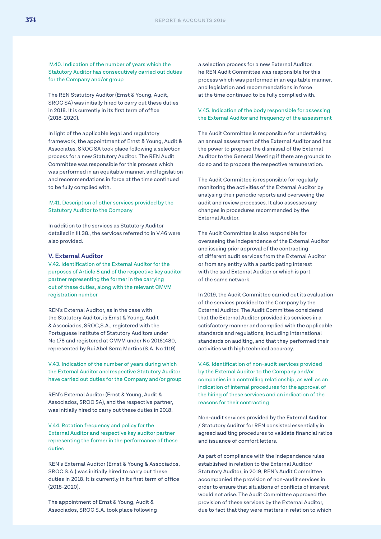IV.40. Indication of the number of years which the Statutory Auditor has consecutively carried out duties for the Company and/or group

The REN Statutory Auditor (Ernst & Young, Audit, SROC SA) was initially hired to carry out these duties in 2018. It is currently in its first term of office (2018-2020).

In light of the applicable legal and regulatory framework, the appointment of Ernst & Young, Audit & Associates, SROC SA took place following a selection process for a new Statutory Auditor. The REN Audit Committee was responsible for this process which was performed in an equitable manner, and legislation and recommendations in force at the time continued to be fully complied with.

#### IV.41. Description of other services provided by the Statutory Auditor to the Company

In addition to the services as Statutory Auditor detailed in III.38., the services referred to in V.46 were also provided.

#### **V. External Auditor**

V.42. Identification of the External Auditor for the purposes of Article 8 and of the respective key auditor partner representing the former in the carrying out of these duties, along with the relevant CMVM registration number

REN's External Auditor, as in the case with the Statutory Auditor, is Ernst & Young, Audit & Associados, SROC,S.A., registered with the Portuguese Institute of Statutory Auditors under No 178 and registered at CMVM under No 20161480, represented by Rui Abel Serra Martins (S.A. No 1119)

V.43. Indication of the number of years during which the External Auditor and respective Statutory Auditor have carried out duties for the Company and/or group

REN's External Auditor (Ernst & Young, Audit & Associados, SROC SA), and the respective partner, was initially hired to carry out these duties in 2018.

V.44. Rotation frequency and policy for the External Auditor and respective key auditor partner representing the former in the performance of these duties

REN's External Auditor (Ernst & Young & Associados, SROC S.A.) was initially hired to carry out these duties in 2018. It is currently in its first term of office (2018-2020).

The appointment of Ernst & Young, Audit & Associados, SROC S.A. took place following a selection process for a new External Auditor. he REN Audit Committee was responsible for this process which was performed in an equitable manner, and legislation and recommendations in force at the time continued to be fully complied with.

V.45. Indication of the body responsible for assessing the External Auditor and frequency of the assessment

The Audit Committee is responsible for undertaking an annual assessment of the External Auditor and has the power to propose the dismissal of the External Auditor to the General Meeting if there are grounds to do so and to propose the respective remuneration.

The Audit Committee is responsible for regularly monitoring the activities of the External Auditor by analysing their periodic reports and overseeing the audit and review processes. It also assesses any changes in procedures recommended by the External Auditor.

The Audit Committee is also responsible for overseeing the independence of the External Auditor and issuing prior approval of the contracting of different audit services from the External Auditor or from any entity with a participating interest with the said External Auditor or which is part of the same network.

In 2019, the Audit Committee carried out its evaluation of the services provided to the Company by the External Auditor. The Audit Committee considered that the External Auditor provided its services in a satisfactory manner and complied with the applicable standards and regulations, including international standards on auditing, and that they performed their activities with high technical accuracy.

V.46. Identification of non-audit services provided by the External Auditor to the Company and/or companies in a controlling relationship, as well as an indication of internal procedures for the approval of the hiring of these services and an indication of the reasons for their contracting

Non-audit services provided by the External Auditor / Statutory Auditor for REN consisted essentially in agreed auditing procedures to validate financial ratios and issuance of comfort letters.

As part of compliance with the independence rules established in relation to the External Auditor/ Statutory Auditor, in 2019, REN's Audit Committee accompanied the provision of non-audit services in order to ensure that situations of conflicts of interest would not arise. The Audit Committee approved the provision of these services by the External Auditor, due to fact that they were matters in relation to which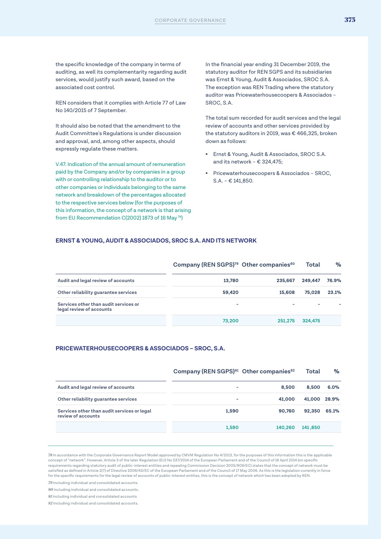the specific knowledge of the company in terms of auditing, as well its complementarity regarding audit services, would justify such award, based on the associated cost control.

REN considers that it complies with Article 77 of Law No 140/2015 of 7 September.

It should also be noted that the amendment to the Audit Committee's Regulations is under discussion and approval, and, among other aspects, should expressly regulate these matters.

V.47. Indication of the annual amount of remuneration paid by the Company and/or by companies in a group with or controlling relationship to the auditor or to other companies or individuals belonging to the same network and breakdown of the percentages allocated to the respective services below (for the purposes of this information, the concept of a network is that arising from EU Recommendation C(2002) 1873 of 16 May 78)

In the financial year ending 31 December 2019, the statutory auditor for REN SGPS and its subsidiaries was Ernst & Young, Audit & Associados, SROC S.A. The exception was REN Trading where the statutory auditor was Pricewaterhousecoopers & Associados – SROC, S.A.

The total sum recorded for audit services and the legal review of accounts and other services provided by the statutory auditors in 2019, was € 466,325, broken down as follows:

- Ernst & Young, Audit & Associados, SROC S.A. and its network – € 324,475;
- Pricewaterhousecoopers & Associados SROC, S.A. – € 141,850.

#### **ERNST & YOUNG, AUDIT & ASSOCIADOS, SROC S.A. AND ITS NETWORK**

|                                                                   | Company (REN SGPS) <sup>79</sup> Other companies <sup>80</sup> |         | Total   | $\%$  |
|-------------------------------------------------------------------|----------------------------------------------------------------|---------|---------|-------|
| Audit and legal review of accounts                                | 13,780                                                         | 235,667 | 249,447 | 76.9% |
| Other reliability quarantee services                              | 59,420                                                         | 15,608  | 75.028  | 23.1% |
| Services other than audit services or<br>legal review of accounts |                                                                |         |         |       |
|                                                                   | 73,200                                                         | 251,275 | 324,475 |       |

#### **PRICEWATERHOUSECOOPERS & ASSOCIADOS – SROC, S.A.**

|                                                                   | Company (REN SGPS) <sup>81</sup> Other companies <sup>82</sup> |         | Total        | %     |
|-------------------------------------------------------------------|----------------------------------------------------------------|---------|--------------|-------|
| Audit and legal review of accounts                                | -                                                              | 8,500   | 8.500        | 6.0%  |
| Other reliability guarantee services                              | ۰                                                              | 41,000  | 41,000 28.9% |       |
| Services other than audit services or legal<br>review of accounts | 1,590                                                          | 90,760  | 92,350       | 65.1% |
|                                                                   | 1,590                                                          | 140,260 | 141,850      |       |

*78* In accordance with the Corporate Governance Report Model approved by CMVM Regulation No 4/2013, for the purposes of this information this is the applicable concept of "network". However, Article 3 of the later Regulation (EU) No 537/2014 of the European Parliament and of the Council of 16 April 2014 (on specific requirements regarding statutory audit of public-interest entities and repealing Commission Decision 2005/909/EC) states that the concept of network must be satisfied as defined in Article 2(7) of Directive 2006/43/EC of the European Parliament and of the Council of 17 May 2006. As this is the legislation currently in force for the specific requirements for the legal review of accounts of public-interest entities, this is the concept of network which has been adopted by REN.

*79* Including individual and consolidated accounts.

*80* Including individual and consolidated accounts.

*81* Including individual and consolidated accounts

*82* Including individual and consolidated accounts.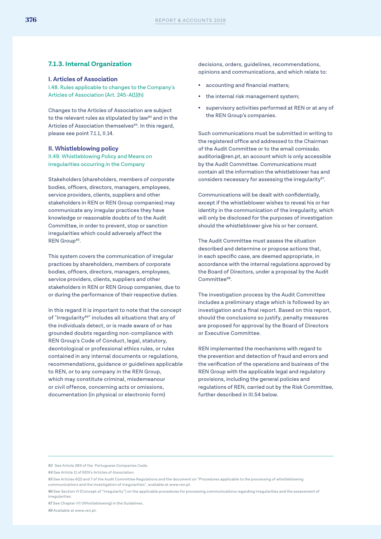#### **7.1.3. Internal Organization**

#### **I. Articles of Association**

I.48. Rules applicable to changes to the Company's Articles of Association (Art. 245-A(1)(h)

Changes to the Articles of Association are subject to the relevant rules as stipulated by law $83$  and in the Articles of Association themselves<sup>84</sup>. In this regard, please see point 7.1.1, II.14.

#### **II. Whistleblowing policy**

II.49. Whistleblowing Policy and Means on irregularities occurring in the Company

Stakeholders (shareholders, members of corporate bodies, officers, directors, managers, employees, service providers, clients, suppliers and other stakeholders in REN or REN Group companies) may communicate any irregular practices they have knowledge or reasonable doubts of to the Audit Committee, in order to prevent, stop or sanction irregularities which could adversely affect the REN Group<sup>85</sup>.

This system covers the communication of irregular practices by shareholders, members of corporate bodies, officers, directors, managers, employees, service providers, clients, suppliers and other stakeholders in REN or REN Group companies, due to or during the performance of their respective duties.

In this regard it is important to note that the concept of "Irregularity<sup>86"</sup> includes all situations that any of the individuals detect, or is made aware of or has grounded doubts regarding non-compliance with REN Group's Code of Conduct, legal, statutory, deontological or professional ethics rules, or rules contained in any internal documents or regulations, recommendations, guidance or guidelines applicable to REN, or to any company in the REN Group, which may constitute criminal, misdemeanour or civil offence, concerning acts or omissions, documentation (in physical or electronic form)

decisions, orders, guidelines, recommendations, opinions and communications, and which relate to:

- accounting and financial matters;
- the internal risk management system;
- supervisory activities performed at REN or at any of the REN Group's companies.

Such communications must be submitted in writing to the registered office and addressed to the Chairman of the Audit Committee or to the email comissão. auditoria@ren.pt, an account which is only accessible by the Audit Committee. Communications must contain all the information the whistleblower has and considers necessary for assessing the irregularity $87$ .

Communications will be dealt with confidentially, except if the whistleblower wishes to reveal his or her identity in the communication of the irregularity, which will only be disclosed for the purposes of investigation should the whistleblower give his or her consent.

The Audit Committee must assess the situation described and determine or propose actions that, in each specific case, are deemed appropriate, in accordance with the internal regulations approved by the Board of Directors, under a proposal by the Audit Committee<sup>88</sup>.

The investigation process by the Audit Committee includes a preliminary stage which is followed by an investigation and a final report. Based on this report, should the conclusions so justify, penalty measures are proposed for approval by the Board of Directors or Executive Committee.

REN implemented the mechanisms with regard to the prevention and detection of fraud and errors and the verification of the operations and business of the REN Group with the applicable legal and regulatory provisions, including the general policies and regulations of REN, carried out by the Risk Committee, further described in III.54 below.

*87* See Chapter VII (Whistleblowing) in the Guidelines. *88* Available at www.ren.pt.

*<sup>83</sup>* See Article 383 of the Portuguese Companies Code.

*<sup>84</sup>* See Article 11 of REN's Articles of Association.

*<sup>85</sup>* See Articles 6(2) and 7 of the Audit Committee Regulations and the document on "Procedures applicable to the processing of whistleblowing communications and the investigation of irregularities", available at www.ren.pt.

*<sup>86</sup>* See Section VI (Concept of "Irregularity") on the applicable procedures for processing communications regarding irregularities and the assessment of irregularities.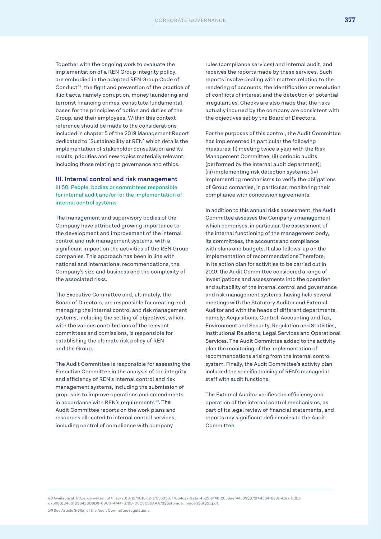Together with the ongoing work to evaluate the implementation of a REN Group integrity policy, are embodied in the adopted REN Group Code of Conduct<sup>89</sup>, the fight and prevention of the practice of illicit acts, namely corruption, money laundering and terrorist financing crimes, constitute fundamental bases for the principles of action and duties of the Group, and their employees. Within this context reference should be made to the considerations included in chapter 5 of the 2019 Management Report dedicated to "Sustainability at REN" which details the implementation of stakeholder consultation and its results, priorities and new topics materially relevant, including those relating to governance and ethics.

#### **III. Internal control and risk management**

III.50. People, bodies or committees responsible for internal audit and/or for the implementation of internal control systems

The management and supervisory bodies of the Company have attributed growing importance to the development and improvement of the internal control and risk management systems, with a significant impact on the activities of the REN Group companies. This approach has been in line with national and international recommendations, the Company's size and business and the complexity of the associated risks.

The Executive Committee and, ultimately, the Board of Directors, are responsible for creating and managing the internal control and risk management systems, including the setting of objectives, which, with the various contributions of the relevant committees and comissions, is responsible for establishing the ultimate risk policy of REN and the Group.

The Audit Committee is responsible for assessing the Executive Committee in the analysis of the integrity and efficiency of REN's internal control and risk management systems, including the submission of proposals to improve operations and amendments in accordance with REN's requirements<sup>90</sup>. The Audit Committee reports on the work plans and resources allocated to internal control services, including control of compliance with company

rules (compliance services) and internal audit, and receives the reports made by these services. Such reports involve dealing with matters relating to the rendering of accounts, the identification or resolution of conflicts of interest and the detection of potential irregularities. Checks are also made that the risks actually incurred by the company are consistent with the objectives set by the Board of Directors.

For the purposes of this control, the Audit Committee has implemented in particular the following measures: (i) meeting twice a year with the Risk Management Committee; (ii) periodic audits (performed by the internal audit department); (iii) implementing risk detection systems; (iv) implementing mechanisms to verify the obligations of Group comanies, in particular, monitoring their compliance with concession agreements.

In addition to this annual risks assessment, the Audit Committee assesses the Company's management which comprises, in particular, the assessment of the internal functioning of the management body, its committees, the accounts and compliance with plans and budgets. It also follows-up on the implementation of recommendations.Therefore, in its action plan for activities to be carried out in 2019, the Audit Committee considered a range of investigations and assessments into the operation and suitability of the internal control and governance and risk management systems, having held several meetings with the Statutory Auditor and External Auditor and with the heads of different departments, namely: Acquisitions, Control, Accounting and Tax, Environment and Security, Regulation and Statistics, Institutional Relations, Legal Services and Operational Services. The Audit Committee added to the activity plan the monitoring of the implementation of recommendations arising from the internal control system. Finally, the Audit Committee's activity plan included the specific training of REN's managerial staff with audit functions.

The External Auditor verifies the efficiency and operation of the internal control mechanisms, as part of its legal review of financial statements, and reports any significant deficiencies to the Audit Committee.

*89* Available at https://www.ren.pt/files/2018-12/2018-12-17095938\_f7664ca7-3a1a-4b25-9f46-2056eef44c33\$\$72f445d4-8e31-416a-bd01 d7b980134d0f\$\$B438D8D8-09C0-4744-B79B-D8C8C30AAA73\$\$storage\_image\$\$pt\$\$1.pdf. *90* See Article 3(6)(a) of the Audit Committee regulations.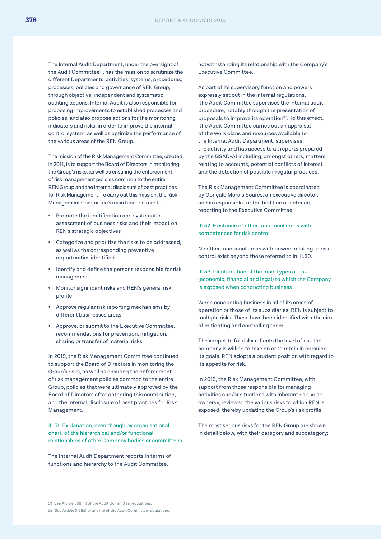The Internal Audit Department, under the oversight of the Audit Committee<sup>91</sup>, has the mission to scrutinize the different Departments, activities, systems, procedures, processes, policies and governance of REN Group, through objective, independent and systematic auditing actions. Internal Audit is also responsible for proposing improvements to established processes and policies, and also propose actions for the monitoring indicators and risks, in order to improve the internal control system, as well as optimize the performance of the various areas of the REN Group.

The mission of the Risk Management Committee, created in 2011, is to support the Board of Directors in monitoring the Group's risks, as well as ensuring the enforcement of risk management policies common to the entire REN Group and the internal disclosure of best practices for Risk Management. To carry out this mission, the Risk Management Committee's main functions are to:

- Promote the identification and systematic assessment of business risks and their impact on REN's strategic objectives
- Categorize and prioritize the risks to be addressed, as well as the corresponding preventive opportunities identified
- Identify and define the persons responsible for risk management
- Monitor significant risks and REN's general risk profile
- Approve regular risk reporting mechanisms by different businesses areas
- Approve, or submit to the Executive Committee, recommendations for prevention, mitigation, sharing or transfer of material risks

In 2019, the Risk Management Committee continued to support the Board of Directors in monitoring the Group's risks, as well as ensuring the enforcement of risk management policies common to the entire Group, policies that were ultimately approved by the Board of Directors after gathering this contribution, and the internal disclosure of best practices for Risk Management.

III.51. Explanation, even though by organisational chart, of the hierarchical and/or functional relationships of other Company bodies or committees

The Internal Audit Department reports in terms of functions and hierarchy to the Audit Committee,

notwithstanding its relationship with the Company's Executive Committee.

As part of its supervisory function and powers expressly set out in the internal regulations, the Audit Committee supervises the internal audit procedure, notably through the presentation of proposals to improve its operation<sup>92</sup>. To this effect, the Audit Committee carries out an appraisal of the work plans and resources available to the Internal Audit Department, supervises the activity and has access to all reports prepared by the GSAD-AI including, amongst others, matters relating to accounts, potential conflicts of interest and the detection of possible irregular practices.

The Risk Management Committee is coordinated by Gonçalo Morais Soares, an executive director, and is responsible for the first line of defence, reporting to the Executive Committee.

III.52. Existence of other functional areas with competences for risk control

No other functional areas with powers relating to risk control exist beyond those referred to in III.50.

III.53. Identification of the main types of risk (economic, financial and legal) to which the Company is exposed when conducting business

When conducting business in all of its areas of operation or those of its subsidiaries, REN is subject to multiple risks. These have been identified with the aim of mitigating and controlling them.

The «appetite for risk» reflects the level of risk the company is willing to take on or to retain in pursuing its goals. REN adopts a prudent position with regard to its appetite for risk.

In 2019, the Risk Management Committee, with support from those responsible for managing activities and/or situations with inherent risk, «risk owners», reviewed the various risks to which REN is exposed, thereby updating the Group's risk profile.

The most serious risks for the REN Group are shown in detail below, with their category and subcategory:

*<sup>91</sup>* See Article 3(6)(m) of the Audit Committee regulations.

*<sup>92</sup>* See Article 3(6)(a)(b) and (m) of the Audit Committee regulations.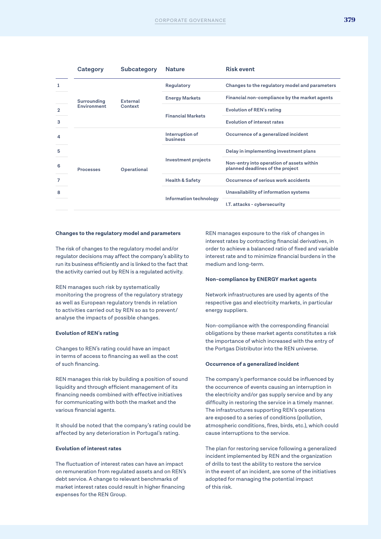|              | Category         | Subcategory     | <b>Nature</b>               | <b>Risk event</b>                                                             |
|--------------|------------------|-----------------|-----------------------------|-------------------------------------------------------------------------------|
| 1            | Surrounding      |                 | Regulatory                  | Changes to the regulatory model and parameters                                |
|              |                  | <b>External</b> | <b>Energy Markets</b>       | Financial non-compliance by the market agents                                 |
| $\mathbf{2}$ | Environment      | Context         |                             | <b>Evolution of REN's rating</b>                                              |
| 3            |                  |                 | <b>Financial Markets</b>    | <b>Evolution of interest rates</b>                                            |
| 4            | <b>Processes</b> | Operational     | Interruption of<br>business | Occurrence of a generalized incident                                          |
| 5            |                  |                 | <b>Investment projects</b>  | Delay in implementing investment plans                                        |
| 6            |                  |                 |                             | Non-entry into operation of assets within<br>planned deadlines of the project |
| 7            |                  |                 | <b>Health &amp; Safety</b>  | Occurrence of serious work accidents                                          |
| 8            |                  |                 |                             | Unavailability of information systems                                         |
|              |                  |                 | Information technology      | I.T. attacks - cybersecurity                                                  |

#### **Changes to the regulatory model and parameters**

The risk of changes to the regulatory model and/or regulator decisions may affect the company's ability to run its business efficiently and is linked to the fact that the activity carried out by REN is a regulated activity.

REN manages such risk by systematically monitoring the progress of the regulatory strategy as well as European regulatory trends in relation to activities carried out by REN so as to prevent/ analyse the impacts of possible changes.

#### **Evolution of REN's rating**

Changes to REN's rating could have an impact in terms of access to financing as well as the cost of such financing.

REN manages this risk by building a position of sound liquidity and through efficient management of its financing needs combined with effective initiatives for communicating with both the market and the various financial agents.

It should be noted that the company's rating could be affected by any deterioration in Portugal's rating.

#### **Evolution of interest rates**

The fluctuation of interest rates can have an impact on remuneration from regulated assets and on REN's debt service. A change to relevant benchmarks of market interest rates could result in higher financing expenses for the REN Group.

REN manages exposure to the risk of changes in interest rates by contracting financial derivatives, in order to achieve a balanced ratio of fixed and variable interest rate and to minimize financial burdens in the medium and long-term.

#### **Non-compliance by ENERGY market agents**

Network infrastructures are used by agents of the respective gas and electricity markets, in particular energy suppliers.

Non-compliance with the corresponding financial obligations by these market agents constitutes a risk the importance of which increased with the entry of the Portgas Distributor into the REN universe.

#### **Occurrence of a generalized incident**

The company's performance could be influenced by the occurrence of events causing an interruption in the electricity and/or gas supply service and by any difficulty in restoring the service in a timely manner. The infrastructures supporting REN's operations are exposed to a series of conditions (pollution, atmospheric conditions, fires, birds, etc.), which could cause interruptions to the service.

The plan for restoring service following a generalized incident implemented by REN and the organization of drills to test the ability to restore the service in the event of an incident, are some of the initiatives adopted for managing the potential impact of this risk.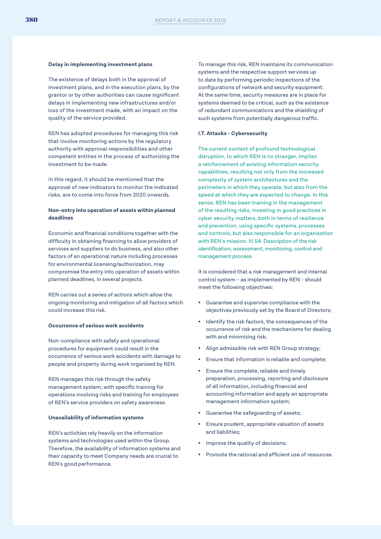#### **Delay in implementing investment plans**

The existence of delays both in the approval of investment plans, and in the execution plans, by the grantor or by other authorities can cause significant delays in implementing new infrastructures and/or loss of the investment made, with an impact on the quality of the service provided.

REN has adopted procedures for managing this risk that involve monitoring actions by the regulatory authority with approval responsibilities and other competent entities in the process of authorizing the investment to be made.

In this regard, it should be mentioned that the approval of new indicators to monitor the indicated risks, are to come into force from 2020 onwards.

#### **Non-entry into operation of assets within planned deadlines**

Economic and financial conditions together with the difficulty in obtaining financing to allow providers of services and suppliers to do business, and also other factors of an operational nature including processes for environmental licensing/authorization, may compromise the entry into operation of assets within planned deadlines, in several projects.

REN carries out a series of actions which allow the ongoing monitoring and mitigation of all factors which could increase this risk.

#### **Occurrence of serious work accidents**

Non-compliance with safety and operational procedures for equipment could result in the occurrence of serious work accidents with damage to people and property during work organized by REN.

REN manages this risk through the safety management system, with specific training for operations involving risks and training for employees of REN's service providers on safety awareness.

#### **Unavailability of information systems**

REN's activities rely heavily on the information systems and technologies used within the Group. Therefore, the availability of information systems and their capacity to meet Company needs are crucial to REN's good performance.

To manage this risk, REN maintains its communication systems and the respective support services up to date by performing periodic inspections of the configurations of network and security equipment. At the same time, security measures are in place for systems deemed to be critical, such as the existence of redundant communications and the shielding of such systems from potentially dangerous traffic.

#### **I.T. Attacks - Cybersecurity**

The current context of profound technological disruption, to which REN is no stranger, implies a reinforcement of existing information security capabilities, resulting not only from the increased complexity of system architectures and the perimeters in which they operate, but also from the speed at which they are expected to change. In this sense, REN has been training in the management of the resulting risks, investing in good practices in cyber security matters, both in terms of resilience and prevention, using specific systems, processes and controls, but also responsible for an organisation with REN's mission. III.54. Description of the risk identification, assessment, monitoring, control and management process

It is considered that a risk management and internal control system – as implemented by REN - should meet the following objectives:

- Guarantee and supervise compliance with the objectives previously set by the Board of Directors;
- Identify the risk factors, the consequences of the occurrence of risk and the mechanisms for dealing with and minimizing risk;
- Align admissible risk with REN Group strategy;
- Ensure that information is reliable and complete;
- Ensure the complete, reliable and timely preparation, processing, reporting and disclosure of all information, including financial and accounting information and apply an appropriate management information system;
- Guarantee the safeguarding of assets;
- Ensure prudent, appropriate valuation of assets and liabilities;
- Improve the quality of decisions;
- Promote the rational and efficient use of resources.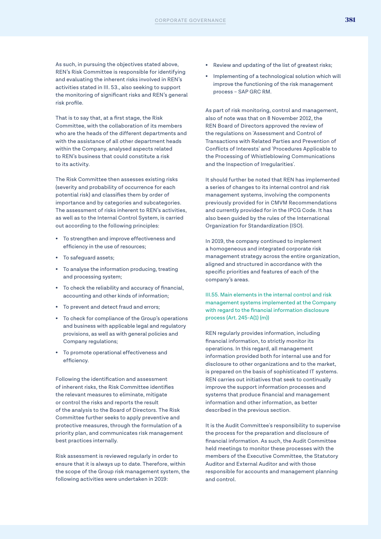As such, in pursuing the objectives stated above, REN's Risk Committee is responsible for identifying and evaluating the inherent risks involved in REN's activities stated in III. 53., also seeking to support the monitoring of significant risks and REN's general risk profile.

That is to say that, at a first stage, the Risk Committee, with the collaboration of its members who are the heads of the different departments and with the assistance of all other department heads within the Company, analysed aspects related to REN's business that could constitute a risk to its activity.

The Risk Committee then assesses existing risks (severity and probability of occurrence for each potential risk) and classifies them by order of importance and by categories and subcategories. The assessment of risks inherent to REN's activities, as well as to the Internal Control System, is carried out according to the following principles:

- To strengthen and improve effectiveness and efficiency in the use of resources;
- To safeguard assets;
- To analyse the information producing, treating and processing system;
- To check the reliability and accuracy of financial, accounting and other kinds of information;
- To prevent and detect fraud and errors;
- To check for compliance of the Group's operations and business with applicable legal and regulatory provisions, as well as with general policies and Company regulations;
- To promote operational effectiveness and efficiency.

Following the identification and assessment of inherent risks, the Risk Committee identifies the relevant measures to eliminate, mitigate or control the risks and reports the result of the analysis to the Board of Directors. The Risk Committee further seeks to apply preventive and protective measures, through the formulation of a priority plan, and communicates risk management best practices internally.

Risk assessment is reviewed regularly in order to ensure that it is always up to date. Therefore, within the scope of the Group risk management system, the following activities were undertaken in 2019:

- Review and updating of the list of greatest risks:
- Implementing of a technological solution which will improve the functioning of the risk management process – SAP GRC RM.

As part of risk monitoring, control and management, also of note was that on 8 November 2012, the REN Board of Directors approved the review of the regulations on 'Assessment and Control of Transactions with Related Parties and Prevention of Conflicts of Interests' and 'Procedures Applicable to the Processing of Whistleblowing Communications and the Inspection of Irregularities'.

It should further be noted that REN has implemented a series of changes to its internal control and risk management systems, involving the components previously provided for in CMVM Recommendations and currently provided for in the IPCG Code. It has also been guided by the rules of the International Organization for Standardization (ISO).

In 2019, the company continued to implement a homogeneous and integrated corporate risk management strategy across the entire organization, aligned and structured in accordance with the specific priorities and features of each of the company's areas.

III.55. Main elements in the internal control and risk management systems implemented at the Company with regard to the financial information disclosure process (Art. 245-A(1) (m))

REN regularly provides information, including financial information, to strictly monitor its operations. In this regard, all management information provided both for internal use and for disclosure to other organizations and to the market, is prepared on the basis of sophisticated IT systems. REN carries out initiatives that seek to continually improve the support information processes and systems that produce financial and management information and other information, as better described in the previous section.

It is the Audit Committee's responsibility to supervise the process for the preparation and disclosure of financial information. As such, the Audit Committee held meetings to monitor these processes with the members of the Executive Committee, the Statutory Auditor and External Auditor and with those responsible for accounts and management planning and control.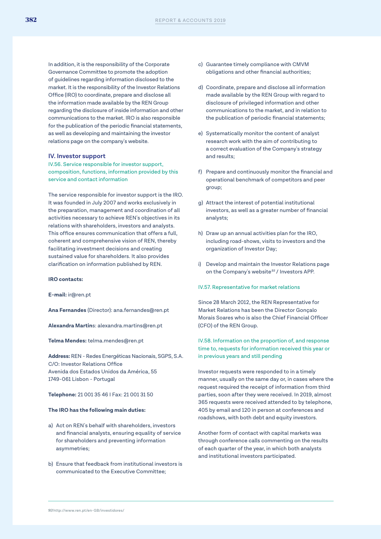In addition, it is the responsibility of the Corporate Governance Committee to promote the adoption of guidelines regarding information disclosed to the market. It is the responsibility of the Investor Relations Office (IRO) to coordinate, prepare and disclose all the information made available by the REN Group regarding the disclosure of inside information and other communications to the market. IRO is also responsible for the publication of the periodic financial statements, as well as developing and maintaining the investor relations page on the company's website.

#### **IV. Investor support**

IV.56. Service responsible for investor support, composition, functions, information provided by this service and contact information

The service responsible for investor support is the IRO. It was founded in July 2007 and works exclusively in the preparation, management and coordination of all activities necessary to achieve REN's objectives in its relations with shareholders, investors and analysts. This office ensures communication that offers a full, coherent and comprehensive vision of REN, thereby facilitating investment decisions and creating sustained value for shareholders. It also provides clarification on information published by REN.

#### **IRO contacts:**

**E-mail:** ir@ren.pt

**Ana Fernandes** (Director): ana.fernandes@ren.pt

**Alexandra Martin**s: alexandra.martins@ren.pt

**Telma Mendes:** telma.mendes@ren.pt

**Address:** REN - Redes Energéticas Nacionais, SGPS, S.A. C/O: Investor Relations Office Avenida dos Estados Unidos da América, 55 1749-061 Lisbon - Portugal

#### **Telephone:** 21 001 35 46 I Fax: 21 001 31 50

#### **The IRO has the following main duties:**

- a) Act on REN's behalf with shareholders, investors and financial analysts, ensuring equality of service for shareholders and preventing information asymmetries;
- b) Ensure that feedback from institutional investors is communicated to the Executive Committee;
- c) Guarantee timely compliance with CMVM obligations and other financial authorities;
- d) Coordinate, prepare and disclose all information made available by the REN Group with regard to disclosure of privileged information and other communications to the market, and in relation to the publication of periodic financial statements;
- e) Systematically monitor the content of analyst research work with the aim of contributing to a correct evaluation of the Company's strategy and results;
- f) Prepare and continuously monitor the financial and operational benchmark of competitors and peer group;
- g) Attract the interest of potential institutional investors, as well as a greater number of financial analysts;
- h) Draw up an annual activities plan for the IRO, including road-shows, visits to investors and the organization of Investor Day;
- i) Develop and maintain the Investor Relations page on the Company's website*<sup>93</sup>* / Investors APP.

#### IV.57. Representative for market relations

Since 28 March 2012, the REN Representative for Market Relations has been the Director Gonçalo Morais Soares who is also the Chief Financial Officer (CFO) of the REN Group.

IV.58. Information on the proportion of, and response time to, requests for information received this year or in previous years and still pending

Investor requests were responded to in a timely manner, usually on the same day or, in cases where the request required the receipt of information from third parties, soon after they were received. In 2019, almost 365 requests were received attended to by telephone, 405 by email and 120 in person at conferences and roadshows, with both debt and equity investors.

Another form of contact with capital markets was through conference calls commenting on the results of each quarter of the year, in which both analysts and institutional investors participated.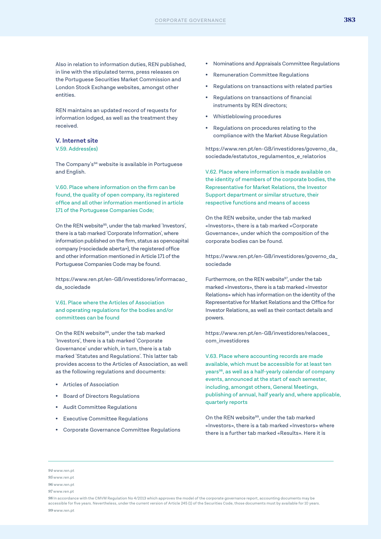Also in relation to information duties, REN published, in line with the stipulated terms, press releases on the Portuguese Securities Market Commission and London Stock Exchange websites, amongst other entities.

REN maintains an updated record of requests for information lodged, as well as the treatment they received.

#### **V. Internet site**

V.59. Address(es)

The Company's<sup>94</sup> website is available in Portuguese and English.

V.60. Place where information on the firm can be found, the quality of open company, its registered office and all other information mentioned in article 171 of the Portuguese Companies Code;

On the REN website<sup>95</sup>, under the tab marked 'Investors', there is a tab marked 'Corporate Information', where information published on the firm, status as opencapital company («sociedade aberta»), the registered office and other information mentioned in Article 171 of the Portuguese Companies Code may be found.

https://www.ren.pt/en-GB/investidores/informacao\_ da\_sociedade

V.61. Place where the Articles of Association and operating regulations for the bodies and/or committees can be found

On the REN website<sup>96</sup>, under the tab marked 'Investors', there is a tab marked 'Corporate Governance' under which, in turn, there is a tab marked 'Statutes and Regulations'. This latter tab provides access to the Articles of Association, as well as the following regulations and documents:

- Articles of Association
- Board of Directors Regulations
- Audit Committee Regulations
- **Executive Committee Requlations**
- Corporate Governance Committee Regulations
- Nominations and Appraisals Committee Regulations
- Remuneration Committee Regulations
- Regulations on transactions with related parties
- Regulations on transactions of financial instruments by REN directors;
- Whistleblowing procedures
- Regulations on procedures relating to the compliance with the Market Abuse Regulation

https://www.ren.pt/en-GB/investidores/governo\_da\_ sociedade/estatutos\_regulamentos\_e\_relatorios

V.62. Place where information is made available on the identity of members of the corporate bodies, the Representative for Market Relations, the Investor Support department or similar structure, their respective functions and means of access

On the REN website, under the tab marked «Investors», there is a tab marked «Corporate Governance», under which the composition of the corporate bodies can be found.

https://www.ren.pt/en-GB/investidores/governo\_da\_ sociedade

Furthermore, on the REN website<sup>97</sup>, under the tab marked «Investors», there is a tab marked «Investor Relations» which has information on the identity of the Representative for Market Relations and the Office for Investor Relations, as well as their contact details and powers.

https://www.ren.pt/en-GB/investidores/relacoes\_ com\_investidores

V.63. Place where accounting records are made available, which must be accessible for at least ten years98, as well as a half-yearly calendar of company events, announced at the start of each semester, including, amongst others, General Meetings, publishing of annual, half yearly and, where applicable, quarterly reports

On the REN website<sup>99</sup>, under the tab marked «Investors», there is a tab marked «Investors» where there is a further tab marked «Results». Here it is

*98* In accordance with the CMVM Regulation No 4/2013 which approves the model of the corporate governance report, accounting documents may be accessible for five years. Nevertheless, under the current version of Article 245 (1) of the Securities Code, those documents must by available for 10 years. *99* www.ren.pt

*<sup>94</sup>* www.ren.pt

*<sup>95</sup>* www.ren.pt

*<sup>96</sup>* www.ren.pt

*<sup>97</sup>* www.ren.pt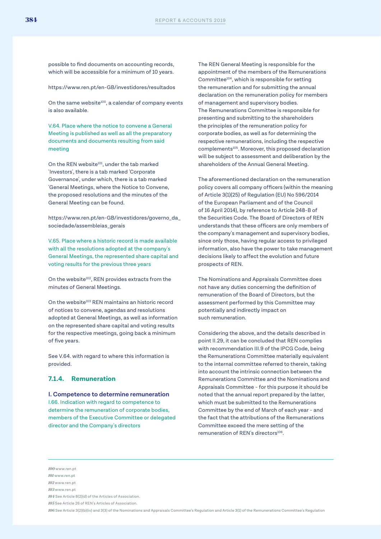possible to find documents on accounting records, which will be accessible for a minimum of 10 years.

https://www.ren.pt/en-GB/investidores/resultados

On the same website<sup>100</sup>, a calendar of company events is also available.

V.64. Place where the notice to convene a General Meeting is published as well as all the preparatory documents and documents resulting from said meeting

On the REN website<sup>101</sup>, under the tab marked 'Investors', there is a tab marked 'Corporate Governance', under which, there is a tab marked 'General Meetings, where the Notice to Convene, the proposed resolutions and the minutes of the General Meeting can be found.

https://www.ren.pt/en-GB/investidores/governo\_da\_ sociedade/assembleias\_gerais

V.65. Place where a historic record is made available with all the resolutions adopted at the company's General Meetings, the represented share capital and voting results for the previous three years

On the website<sup>102</sup>, REN provides extracts from the minutes of General Meetings.

On the website<sup>103</sup> REN maintains an historic record of notices to convene, agendas and resolutions adopted at General Meetings, as well as information on the represented share capital and voting results for the respective meetings, going back a minimum of five years.

See V.64. with regard to where this information is provided.

#### **7.1.4. Remuneration**

**I. Competence to determine remuneration** I.66. Indication with regard to competence to determine the remuneration of corporate bodies, members of the Executive Committee or delegated director and the Company's directors

The REN General Meeting is responsible for the appointment of the members of the Remunerations Committee104, which is responsible for setting the remuneration and for submitting the annual declaration on the remuneration policy for members of management and supervisory bodies. The Remunerations Committee is responsible for presenting and submitting to the shareholders the principles of the remuneration policy for corporate bodies, as well as for determining the respective remunerations, including the respective complements<sup>105</sup>. Moreover, this proposed declaration will be subject to assessment and deliberation by the shareholders of the Annual General Meeting.

The aforementioned declaration on the remuneration policy covers all company officers (within the meaning of Article 3(1)(25) of Regulation (EU) No 596/2014 of the European Parliament and of the Council of 16 April 2014), by reference to Article 248-B of the Securities Code. The Board of Directors of REN understands that these officers are only members of the company's management and supervisory bodies, since only those, having regular access to privileged information, also have the power to take management decisions likely to affect the evolution and future prospects of REN.

The Nominations and Appraisals Committee does not have any duties concerning the definition of remuneration of the Board of Directors, but the assessment performed by this Committee may potentially and indirectly impact on such remuneration.

Considering the above, and the details described in point II.29, it can be concluded that REN complies with recommendation III.9 of the IPCG Code, being the Remunerations Committee materially equivalent to the internal committee referred to therein, taking into account the intrinsic connection between the Remunerations Committee and the Nominations and Appraisals Committee - for this purpose it should be noted that the annual report prepared by the latter, which must be submitted to the Remunerations Committee by the end of March of each year - and the fact that the attributions of the Remunerations Committee exceed the mere setting of the remuneration of REN's directors<sup>106</sup>.

*100* www.ren.pt

*<sup>101</sup>* www.ren.pt

*<sup>102</sup>* www.ren.pt

*<sup>103</sup>* www.ren.pt

*<sup>104</sup>* See Article 8(2)(d) of the Articles of Association.

*<sup>105</sup>* See Article 26 of REN's Articles of Association.

*<sup>106</sup>* See Article 3(2)(b)(iv) and 3(3) of the Nominations and Appraisals Committee's Regulation and Article 3(1) of the Remunerations Committee's Regulation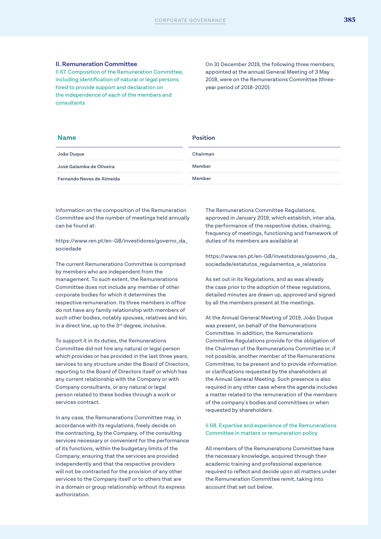#### **II. Remuneration Committee**

II.67. Composition of the Remuneration Committee, including identification of natural or legal persons hired to provide support and declaration on the independence of each of the members and consultants

On 31 December 2019, the following three members, appointed at the annual General Meeting of 3 May 2018, were on the Remunerations Committee (threeyear period of 2018-2020):

#### **Name Position**

| Chairman      |
|---------------|
| Member        |
| <b>Member</b> |
|               |

Information on the composition of the Remuneration Committee and the number of meetings held annually can be found at:

https://www.ren.pt/en-GB/investidores/governo\_da\_ sociedade

The current Remunerations Committee is comprised by members who are independent from the management. To such extent, the Remunerations Committee does not include any member of other corporate bodies for which it determines the respective remuneration. Its three members in office do not have any family relationship with members of such other bodies, notably spouses, relatives and kin, in a direct line, up to the 3<sup>rd</sup> degree, inclusive.

To support it in its duties, the Remunerations Committee did not hire any natural or legal person which provides or has provided in the last three years, services to any structure under the Board of Directors, reporting to the Board of Directors itself or which has any current relationship with the Company or with Company consultants, or any natural or legal person related to these bodies through a work or services contract.

In any case, the Remunerations Committee may, in accordance with its regulations, freely decide on the contracting, by the Company, of the consulting services necessary or convenient for the performance of its functions, within the budgetary limits of the Company, ensuring that the services are provided independently and that the respective providers will not be contracted for the provision of any other services to the Company itself or to others that are in a domain or group relationship without its express authorization.

The Remunerations Committee Regulations, approved in January 2019, which establish, inter alia, the performance of the respective duties, chairing, frequency of meetings, functioning and framework of duties of its members are available at

https://www.ren.pt/en-GB/investidores/governo\_da\_ sociedade/estatutos\_regulamentos\_e\_relatorios

As set out in its Regulations, and as was already the case prior to the adoption of these regulations, detailed minutes are drawn up, approved and signed by all the members present at the meetings.

At the Annual General Meeting of 2019, João Duque was present, on behalf of the Remunerations Committee. In addition, the Remunerations Committee Regulations provide for the obligation of the Chairman of the Remunerations Committee or, if not possible, another member of the Remunerations Committee, to be present and to provide information or clarifications requested by the shareholders at the Annual General Meeting. Such presence is also required in any other case where the agenda includes a matter related to the remuneration of the members of the company's bodies and committees or when requested by shareholders.

#### II.68. Expertise and experience of the Remunerations Committee in matters or remuneration policy

All members of the Remunerations Committee have the necessary knowledge, acquired through their academic training and professional experience required to reflect and decide upon all matters under the Remuneration Committee remit, taking into account that set out below.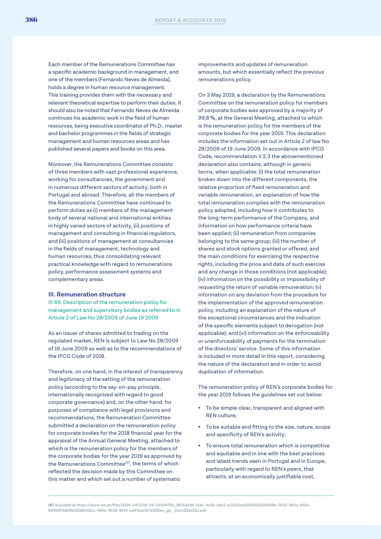Each member of the Remunerations Committee has a specific academic background in management, and one of the members (Fernando Neves de Almeida), holds a degree in human resource management. This training provides them with the necessary and relevant theoretical expertise to perform their duties. It should also be noted that Fernando Neves de Almeida continues his academic work in the field of human resources, being executive coordinator of Ph.D., master and bachelor programmes in the fields of strategic management and human resources areas and has published several papers and books on this area.

Moreover, the Remunerations Committee consists of three members with vast professional experience, working for consultancies, the government and in numerous different sectors of activity, both in Portugal and abroad. Therefore, all the members of the Remunerations Committee have continued to perform duties as (i) members of the management body of several national and international entities in highly varied sectors of activity, (ii) positions of management and consulting in financial regulators, and (iii) positions of management at consultancies in the fields of management, technology and human resources, thus consolidating relevant practical knowledge with regard to remunerations policy, performance assessment systems and complementary areas.

#### **III. Remuneration structure**

III.69. Description of the remuneration policy for management and supervisory bodies as referred to in Article 2 of Law No 28/2009 of June 19 2009

As an issuer of shares admitted to trading on the regulated market, REN is subject to Law No 28/2009 of 19 June 2009 as well as to the recommendations of the IPCG Code of 2018.

Therefore, on one hand, in the interest of transparency and legitimacy of the setting of the remuneration policy (according to the say-on-pay principle, internationally recognized with regard to good corporate governance) and, on the other hand, for purposes of compliance with legal provisions and recommendations, the Remuneration Committee submitted a declaration on the remuneration policy for corporate bodies for the 2018 financial year for the appraisal of the Annual General Meeting, attached to which is the remuneration policy for the members of the corporate bodies for the year 2019 as approved by the Remunerations Committee<sup>107</sup>, the terms of which reflected the decision made by this Committee on this matter and which set out a number of systematic

improvements and updates of remuneration amounts, but which essentially reflect the previous remunerations policy.

On 3 May 2019, a declaration by the Remunerations Committee on the remuneration policy for members of corporate bodies was approved by a majority of 99,8 %, at the General Meeting, attached to which is the remuneration policy for the members of the corporate bodies for the year 2019. This declaration includes the information set out in Article 2 of law No 28/2009 of 19 June 2009. In accordance with IPCG Code, recommendation V.2.3 the abovementioned declaration also contains, although in generic terms, when applicable: (i) the total remuneration broken down into the different components, the relative proportion of fixed remuneration and variable remuneration, an explanation of how the total remuneration complies with the remuneration policy adopted, including how it contributes to the long-term performance of the Company, and information on how performance criteria have been applied; (ii) remuneration from companies belonging to the same group; (iii) the number of shares and stock options granted or offered, and the main conditions for exercising the respective rights, including the price and date of such exercise and any change in those conditions (not applicable); (iv) information on the possibility or impossibility of requesting the return of variable remuneration; (v) information on any deviation from the procedure for the implementation of the approved remuneration policy, including an explanation of the nature of the exceptional circumstances and the indication of the specific elements subject to derogation (not applicable); and (vi) information on the enforceability or unenforceability of payments for the termination of the directors' service. Some of this information is included in more detail in this report, considering the nature of the declaration and in order to avoid duplication of information.

The remuneration policy of REN's corporate bodies for the year 2019 follows the guidelines set out below:

- To be simple clear, transparent and aligned with REN culture;
- To be suitable and fitting to the size, nature, scope and specificity of REN's activity;
- To ensure total remuneration which is competitive and equitable and in line with the best practices and latest trends seen in Portugal and in Europe, particularly with regard to REN's peers, that attracts, at an economically justifiable cost,

*107* Available at https://www.ren.pt/files/2019-04/2019-04-03044750\_3600afd9-7cec-4a36-a8c2-a17a20bbd204\$\$25055b9b-7643-490a-992e-69493ffb834b\$\$18b311cc-464e-4538-8514-aa47ba1307e5\$\$en\_gb\_\_Docs\$\$pt\$\$1.pdf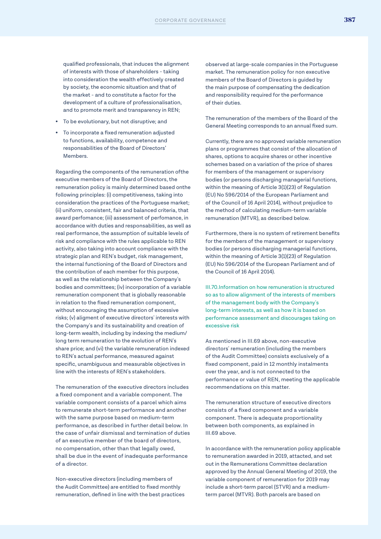qualified professionals, that induces the alignment of interests with those of shareholders - taking into consideration the wealth effectively created by society, the economic situation and that of the market - and to constitute a factor for the development of a culture of professionalisation, and to promote merit and transparency in REN;

- To be evolutionary, but not disruptive; and
- To incorporate a fixed remuneration adjusted to functions, availability, competence and responsabilities of the Board of Directors' Members.

Regarding the components of the remuneration ofthe executive members of the Board of Directors, the remuneration policy is mainly determined based onthe following principles: (i) competitiveness, taking into consideration the practices of the Portuguese market; (ii) uniform, consistent, fair and balanced criteria, that award perfomance; (iii) assessment of perfomance, in accordance with duties and responsabilities, as well as real performance, the assumption of suitable levels of risk and compliance with the rules applicable to REN activity, also taking into account compliance with the strategic plan and REN's budget, risk management, the internal functioning of the Board of Directors and the contribution of each member for this purpose, as well as the relationship between the Company's bodies and committees; (iv) incorporation of a variable remuneration component that is globally reasonable in relation to the fixed remuneration component, without encouraging the assumption of excessive risks; (v) aligment of executive directors' interests with the Company's and its sustainability and creation of long-term wealth, including by indexing the medium/ long term remuneration to the evolution of REN's share price; and (vi) the variable remuneration indexed to REN's actual performance, measured against specific, unambiguous and measurable objectives in line with the interests of REN's stakeholders.

The remuneration of the executive directors includes a fixed component and a variable component. The variable component consists of a parcel which aims to remunerate short-term performance and another with the same purpose based on medium-term performance, as described in further detail below. In the case of unfair dismissal and termination of duties of an executive member of the board of directors, no compensation, other than that legally owed, shall be due in the event of inadequate performance of a director.

Non-executive directors (including members of the Audit Committee) are entitled to fixed monthly remuneration, defined in line with the best practices observed at large-scale companies in the Portuguese market. The remuneration policy for non executive members of the Board of Directors is guided by the main purpose of compensating the dedication and responsibility required for the performance of their duties.

The remuneration of the members of the Board of the General Meeting corresponds to an annual fixed sum.

Currently, there are no approved variable remuneration plans or programmes that consist of the allocation of shares, options to acquire shares or other incentive schemes based on a variation of the price of shares for members of the management or supervisory bodies (or persons discharging managerial functions, within the meaning of Article 3(1)(23) of Regulation (EU) No 596/2014 of the European Parliament and of the Council of 16 April 2014), without prejudice to the method of calculating medium-term variable remuneration (MTVR), as described below.

Furthermore, there is no system of retirement benefits for the members of the management or supervisory bodies (or persons discharging managerial functions, within the meaning of Article 3(1)(23) of Regulation (EU) No 596/2014 of the European Parliament and of the Council of 16 April 2014).

III.70.Information on how remuneration is structured so as to allow alignment of the interests of members of the management body with the Company's long-term interests, as well as how it is based on performance assessment and discourages taking on excessive risk

As mentioned in III.69 above, non-executive directors' remuneration (including the members of the Audit Committee) consists exclusively of a fixed component, paid in 12 monthly instalments over the year, and is not connected to the performance or value of REN, meeting the applicable recommendations on this matter.

The remuneration structure of executive directors consists of a fixed component and a variable component. There is adequate proportionality between both components, as explained in III.69 above

In accordance with the remuneration policy applicable to remuneration awarded in 2019, attacted, and set out in the Remunerations Committee declaration approved by the Annual General Meeting of 2019, the variable component of remuneration for 2019 may include a short-term parcel (STVR) and a mediumterm parcel (MTVR). Both parcels are based on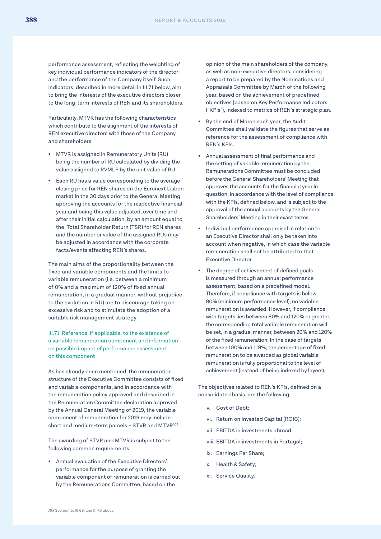performance assessment, reflecting the weighting of key individual performance indicators of the director and the performance of the Company itself. Such indicators, described in more detail in III.71 below, aim to bring the interests of the executive directors closer to the long-term interests of REN and its shareholders.

Particularly, MTVR has the following characteristics which contribute to the alignment of the interests of REN executive directors with those of the Company and shareholders:

- MTVR is assigned in Remuneratory Units (RU) being the number of RU calculated by dividing the value assigned to RVMLP by the unit value of RU;
- Each RU has a value corresponding to the average closing price for REN shares on the Euronext Lisbon market in the 30 days prior to the General Meeting approving the accounts for the respective financial year and being this value adjusted, over time and after their initial calculation, by an amount equal to the Total Shareholder Return (TSR) for REN shares and the number or value of the assigned RUs may be adjusted in accordance with the corporate facts/events affecting REN's shares.

The main aims of the proportionality between the fixed and variable components and the limits to variable remuneration (i.e. between a minimum of 0% and a maximum of 120% of fixed annual remuneration, in a gradual manner, without prejudice to the evolution in RU) are to discourage taking on excessive risk and to stimulate the adoption of a suitable risk management strategy.

III.71. Reference, if applicable, to the existence of a variable remuneration component and information on possible impact of performance assessment on this component

As has already been mentioned, the remuneration structure of the Executive Committee consists of fixed and variable components, and in accordance with the remuneration policy approved and described in the Remuneration Committee declaration approved by the Annual General Meeting of 2019, the variable component of remuneration for 2019 may include short and medium-term parcels -  $STVR$  and  $MTVR^{108}$ .

The awarding of STVR and MTVR is subject to the following common requirements:

• Annual evaluation of the Executive Directors' performance for the purpose of granting the variable component of remuneration is carried out by the Remunerations Committee, based on the

opinion of the main shareholders of the company, as well as non-executive directors, considering a report to be prepared by the Nominations and Appraisals Committee by March of the following year, based on the achievement of predefined objectives (based on Key Performance Indicators ("KPIs"), indexed to metrics of REN's strategic plan.

- By the end of March each year, the Audit Committee shall validate the figures that serve as reference for the assessment of compliance with REN's KPIs.
- Annual assessment of final performance and the setting of variable remuneration by the Remunerations Committee must be concluded before the General Shareholders' Meeting that approves the accounts for the financial year in question, in accordance with the level of compliance with the KPIs, defined below, and is subject to the approval of the annual accounts by the General Shareholders' Meeting in their exact terms.
- Individual performance appraisal in relation to an Executive Director shall only be taken into account when negative, in which case the variable remuneration shall not be attributed to that Executive Director.
- The degree of achievement of defined goals is measured through an annual performance assessment, based on a predefined model. Therefore, if compliance with targets is below 80% (minimum performance level), no variable remuneration is awarded. However, if compliance with targets lies between 80% and 120% or greater, the corresponding total variable remuneration will be set, in a gradual manner, between 20% and 120% of the fixed remuneration. In the case of targets between 100% and 119%, the percentage of fixed remuneration to be awarded as global variable remuneration is fully proportional to the level of achievement (instead of being indexed by layers).

The objectives related to REN's KPIs, defined on a consolidated basis, are the following:

- v. Cost of Debt;
- vi. Return on Invested Capital (ROIC);
- vii. EBITDA in investments abroad;
- viii. EBITDA in investments in Portugal;
- ix. Earnings Per Share;
- x. Health & Safety;
- xi. Service Quality.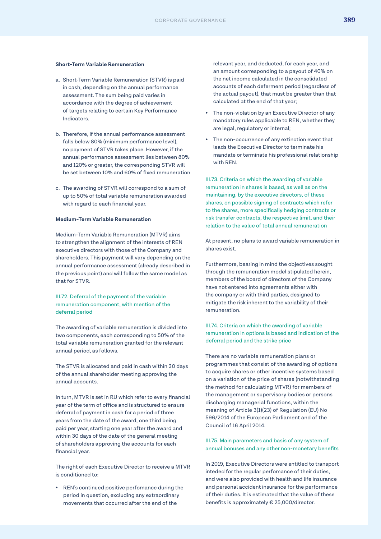#### **Short-Term Variable Remuneration**

- a. Short-Term Variable Remuneration (STVR) is paid in cash, depending on the annual performance assessment. The sum being paid varies in accordance with the degree of achievement of targets relating to certain Key Performance Indicators.
- b. Therefore, if the annual performance assessment falls below 80% (minimum performance level), no payment of STVR takes place. However, if the annual performance assessment lies between 80% and 120% or greater, the corresponding STVR will be set between 10% and 60% of fixed remuneration
- c. The awarding of STVR will correspond to a sum of up to 50% of total variable remuneration awarded with regard to each financial year.

#### **Medium-Term Variable Remuneration**

Medium-Term Variable Remuneration (MTVR) aims to strengthen the alignment of the interests of REN executive directors with those of the Company and shareholders. This payment will vary depending on the annual performance assessment (already described in the previous point) and will follow the same model as that for STVR.

#### III.72. Deferral of the payment of the variable remuneration component, with mention of the deferral period

The awarding of variable remuneration is divided into two components, each corresponding to 50% of the total variable remuneration granted for the relevant annual period, as follows.

The STVR is allocated and paid in cash within 30 days of the annual shareholder meeting approving the annual accounts.

In turn, MTVR is set in RU which refer to every financial year of the term of office and is structured to ensure deferral of payment in cash for a period of three years from the date of the award, one third being paid per year, starting one year after the award and within 30 days of the date of the general meeting of shareholders approving the accounts for each financial year.

The right of each Executive Director to receive a MTVR is conditioned to:

• REN's continued positive perfomance during the period in question, excluding any extraordinary movements that occurred after the end of the

relevant year, and deducted, for each year, and an amount corresponding to a payout of 40% on the net income calculated in the consolidated accounts of each deferment period (regardless of the actual payout), that must be greater than that calculated at the end of that year;

- The non-violation by an Executive Director of any mandatory rules applicable to REN, whether they are legal, regulatory or internal;
- The non-occurrence of any extinction event that leads the Executive Director to terminate his mandate or terminate his professional relationship with REN.

III.73. Criteria on which the awarding of variable remuneration in shares is based, as well as on the maintaining, by the executive directors, of these shares, on possible signing of contracts which refer to the shares, more specifically hedging contracts or risk transfer contracts, the respective limit, and their relation to the value of total annual remuneration

At present, no plans to award variable remuneration in shares exist.

Furthermore, bearing in mind the objectives sought through the remuneration model stipulated herein, members of the board of directors of the Company have not entered into agreements either with the company or with third parties, designed to mitigate the risk inherent to the variability of their remuneration.

#### III.74. Criteria on which the awarding of variable remuneration in options is based and indication of the deferral period and the strike price

There are no variable remuneration plans or programmes that consist of the awarding of options to acquire shares or other incentive systems based on a variation of the price of shares (notwithstanding the method for calculating MTVR) for members of the management or supervisory bodies or persons discharging managerial functions, within the meaning of Article 3(1)(23) of Regulation (EU) No 596/2014 of the European Parliament and of the Council of 16 April 2014.

#### III.75. Main parameters and basis of any system of annual bonuses and any other non-monetary benefits

In 2019, Executive Directors were entitled to transport inteded for the regular perfomance of their duties, and were also provided with health and life insurance and personal accident insurance for the performance of their duties. It is estimated that the value of these benefits is approximately € 25,000/director.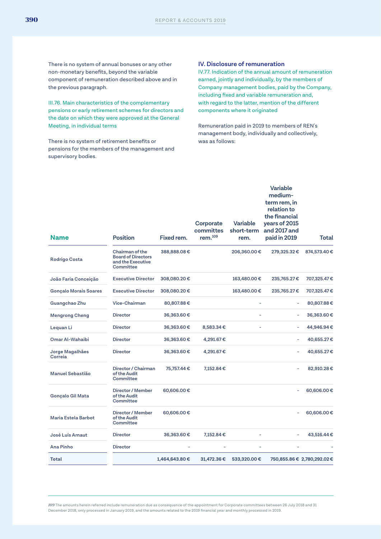There is no system of annual bonuses or any other non-monetary benefits, beyond the variable component of remuneration described above and in the previous paragraph.

III.76. Main characteristics of the complementary pensions or early retirement schemes for directors and the date on which they were approved at the General Meeting, in individual terms

There is no system of retirement benefits or pensions for the members of the management and supervisory bodies.

#### **IV. Disclosure of remuneration**

IV.77. Indication of the annual amount of remuneration earned, jointly and individually, by the members of Company management bodies, paid by the Company, including fixed and variable remuneration and, with regard to the latter, mention of the different components where it originated

Remuneration paid in 2019 to members of REN's management body, individually and collectively, was as follows:

| <b>Name</b>                  | <b>Position</b>                                                                | Fixed rem.     | Corporate<br>committes<br>rem. <sup>109</sup> | Variable<br>short-term<br>rem. | <b>Variable</b><br>medium-<br>term rem, in<br>relation to<br>the financial<br>years of 2015<br>and 2017 and<br>paid in 2019 | Total                       |
|------------------------------|--------------------------------------------------------------------------------|----------------|-----------------------------------------------|--------------------------------|-----------------------------------------------------------------------------------------------------------------------------|-----------------------------|
| <b>Rodrigo Costa</b>         | Chairman of the<br><b>Board of Directors</b><br>and the Executive<br>Committee | 388,888.08€    |                                               | 206,360.00€                    | 279,325.32€                                                                                                                 | 874,573.40€                 |
| João Faria Conceição         | <b>Executive Director</b>                                                      | 308,080.20€    |                                               | 163,480.00€                    | 235,765.27€                                                                                                                 | 707,325.47 €                |
| <b>Gonçalo Morais Soares</b> | <b>Executive Director</b>                                                      | 308,080.20€    |                                               | 163,480.00€                    | 235,765.27€                                                                                                                 | 707,325.47 €                |
| Guangchao Zhu                | Vice-Chairman                                                                  | 80,807.88€     |                                               |                                |                                                                                                                             | 80,807.88€                  |
| <b>Mengrong Cheng</b>        | <b>Director</b>                                                                | 36,363.60€     |                                               |                                |                                                                                                                             | 36,363.60€                  |
| Lequan Li                    | <b>Director</b>                                                                | 36,363.60€     | 8,583.34 €                                    |                                | ٠                                                                                                                           | 44,946.94€                  |
| Omar Al-Wahaibi              | <b>Director</b>                                                                | 36,363.60€     | 4,291.67€                                     |                                | Ľ,                                                                                                                          | 40,655.27€                  |
| Jorge Magalhães<br>Correia   | <b>Director</b>                                                                | 36,363.60€     | 4,291.67€                                     |                                | ÷,                                                                                                                          | 40,655.27€                  |
| Manuel Sebastião             | Director / Chairman<br>of the Audit<br>Committee                               | 75,757.44 €    | 7,152.84€                                     |                                |                                                                                                                             | 82,910.28€                  |
| Gonçalo Gil Mata             | Director / Member<br>of the Audit<br>Committee                                 | 60,606.00€     |                                               |                                |                                                                                                                             | 60,606.00€                  |
| Maria Estela Barbot          | Director / Member<br>of the Audit<br>Committee                                 | 60,606.00€     |                                               |                                |                                                                                                                             | 60,606.00€                  |
| José Luís Arnaut             | <b>Director</b>                                                                | 36,363.60€     | 7,152.84€                                     |                                |                                                                                                                             | 43,516.44€                  |
| <b>Ana Pinho</b>             | <b>Director</b>                                                                |                |                                               |                                |                                                                                                                             |                             |
| <b>Total</b>                 |                                                                                | 1,464,643.80 € | 31,472.36€                                    | 533,320.00€                    |                                                                                                                             | 750,855.86 € 2,780,292.02 € |

*109* The amounts herein referred include remuneration due as consequence of the appointment for Corporate committees between 26 July 2018 and 31 December 2018, only processed in January 2019, and the amounts related to the 2019 financial year and monthly processed in 2019.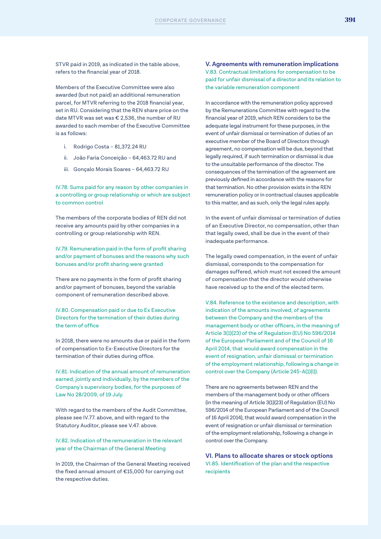STVR paid in 2019, as indicated in the table above, refers to the financial year of 2018.

Members of the Executive Committee were also awarded (but not paid) an additional remuneration parcel, for MTVR referring to the 2018 financial year, set in RU. Considering that the REN share price on the date MTVR was set was € 2,536, the number of RU awarded to each member of the Executive Committee is as follows:

- i. Rodrigo Costa 81,372.24 RU
- ii. João Faria Conceição 64,463.72 RU and
- iii. Gonçalo Morais Soares 64,463.72 RU

IV.78. Sums paid for any reason by other companies in a controlling or group relationship or which are subject to common control

The members of the corporate bodies of REN did not receive any amounts paid by other companies in a controlling or group relationship with REN.

IV.79. Remuneration paid in the form of profit sharing and/or payment of bonuses and the reasons why such bonuses and/or profit sharing were granted

There are no payments in the form of profit sharing and/or payment of bonuses, beyond the variable component of remuneration described above.

IV.80. Compensation paid or due to Ex Executive Directors for the termination of their duties during the term of office

In 2018, there were no amounts due or paid in the form of compensation to Ex-Executive Directors for the termination of their duties during office.

IV.81. Indication of the annual amount of remuneration earned, jointly and individually, by the members of the Company's supervisory bodies, for the purposes of Law No 28/2009, of 19 July.

With regard to the members of the Audit Committee, please see IV.77. above, and with regard to the Statutory Auditor, please see V.47. above.

IV.82. Indication of the remuneration in the relevant year of the Chairman of the General Meeting

In 2019, the Chairman of the General Meeting received the fixed annual amount of €15,000 for carrying out the respective duties.

**V. Agreements with remuneration implications** V.83. Contractual limitations for compensation to be paid for unfair dismissal of a director and its relation to the variable remuneration component

In accordance with the remuneration policy approved by the Remunerations Committee with regard to the financial year of 2019, which REN considers to be the adequate legal instrument for these purposes, in the event of unfair dismissal or termination of duties of an executive member of the Board of Directors through agreement, no compensation will be due, beyond that legally required, if such termination or dismissal is due to the unsuitable performance of the director. The consequences of the termination of the agreement are previously defined in accordance with the reasons for that termination. No other provision exists in the REN remuneration policy or in contractual clauses applicable to this matter, and as such, only the legal rules apply.

In the event of unfair dismissal or termination of duties of an Executive Director, no compensation, other than that legally owed, shall be due in the event of their inadequate performance.

The legally owed compensation, in the event of unfair dismissal, corresponds to the compensation for damages suffered, which must not exceed the amount of compensation that the director would otherwise have received up to the end of the elected term.

V.84. Reference to the existence and description, with indication of the amounts involved, of agreements between the Company and the members of the management body or other officers, in the meaning of Article 3(1)(23) of the of Regulation (EU) No 596/2014 of the European Parliament and of the Council of 16 April 2014, that would award compensation in the event of resignation, unfair dismissal or termination of the employment relationship, following a change in control over the Company (Article 245-A(1)(l)).

There are no agreements between REN and the members of the management body or other officers (in the meaning of Article 3(1)(23) of Regulation (EU) No 596/2014 of the European Parliament and of the Council of 16 April 2014), that would award compensation in the event of resignation or unfair dismissal or termination of the employment relationship, following a change in control over the Company.

**VI. Plans to allocate shares or stock options** VI.85. Identification of the plan and the respective recipients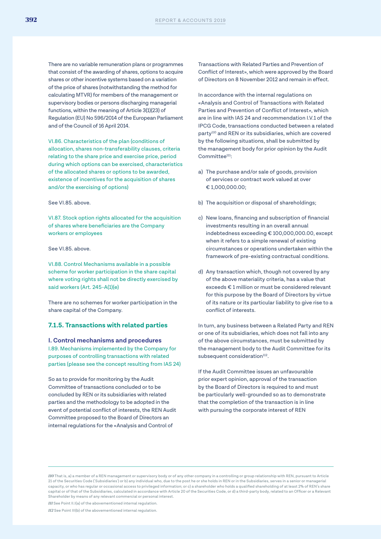There are no variable remuneration plans or programmes that consist of the awarding of shares, options to acquire shares or other incentive systems based on a variation of the price of shares (notwithstanding the method for calculating MTVR) for members of the management or supervisory bodies or persons discharging managerial functions, within the meaning of Article 3(1)(23) of Regulation (EU) No 596/2014 of the European Parliament and of the Council of 16 April 2014.

VI.86. Characteristics of the plan (conditions of allocation, shares non-transferability clauses, criteria relating to the share price and exercise price, period during which options can be exercised, characteristics of the allocated shares or options to be awarded, existence of incentives for the acquisition of shares and/or the exercising of options)

See VI.85 above

VI.87. Stock option rights allocated for the acquisition of shares where beneficiaries are the Company workers or employees

See VI.85. above.

VI.88. Control Mechanisms available in a possible scheme for worker participation in the share capital where voting rights shall not be directly exercised by said workers (Art. 245-A(1)(e)

There are no schemes for worker participation in the share capital of the Company.

#### **7.1.5. Transactions with related parties**

**I. Control mechanisms and procedures** I.89. Mechanisms implemented by the Company for purposes of controlling transactions with related parties (please see the concept resulting from IAS 24)

So as to provide for monitoring by the Audit Committee of transactions concluded or to be concluded by REN or its subsidiaries with related parties and the methodology to be adopted in the event of potential conflict of interests, the REN Audit Committee proposed to the Board of Directors an internal regulations for the «Analysis and Control of

Transactions with Related Parties and Prevention of Conflict of Interest», which were approved by the Board of Directors on 8 November 2012 and remain in effect.

In accordance with the internal regulations on «Analysis and Control of Transactions with Related Parties and Prevention of Conflict of Interest», which are in line with IAS 24 and recommendation I.V.1 of the IPCG Code, transactions conducted between a related party<sup>110</sup> and REN or its subsidiaries, which are covered by the following situations, shall be submitted by the management body for prior opinion by the Audit Committee<sup>111</sup>:

- a) The purchase and/or sale of goods, provision of services or contract work valued at over € 1,000,000.00;
- b) The acquisition or disposal of shareholdings;
- c) New loans, financing and subscription of financial investments resulting in an overall annual indebtedness exceeding € 100,000,000.00, except when it refers to a simple renewal of existing circumstances or operations undertaken within the framework of pre-existing contractual conditions.
- d) Any transaction which, though not covered by any of the above materiality criteria, has a value that exceeds € 1 million or must be considered relevant for this purpose by the Board of Directors by virtue of its nature or its particular liability to give rise to a conflict of interests.

In turn, any business between a Related Party and REN or one of its subsidiaries, which does not fall into any of the above circumstances, must be submitted by the management body to the Audit Committee for its subsequent consideration<sup>112</sup>.

If the Audit Committee issues an unfavourable prior expert opinion, approval of the transaction by the Board of Directors is required to and must be particularly well-grounded so as to demonstrate that the completion of the transaction is in line with pursuing the corporate interest of REN

*110* That is, a) a member of a REN management or supervisory body or of any other company in a controlling or group relationship with REN, pursuant to Article 21 of the Securities Code ('Subsidiaries') or b) any individual who, due to the post he or she holds in REN or in the Subsidiaries, serves in a senior or managerial capacity, or who has regular or occasional access to privileged information; or c) a shareholder who holds a qualified shareholding of at least 2% of REN's share capital or of that of the Subsidiaries, calculated in accordance with Article 20 of the Securities Code, or d) a third-party body, related to an Officer or a Relevant Shareholder by means of any relevant commercial or personal interest.

*111* See Point II.I(a) of the abovementioned internal regulation.

*112* See Point III(b) of the abovementioned internal regulation.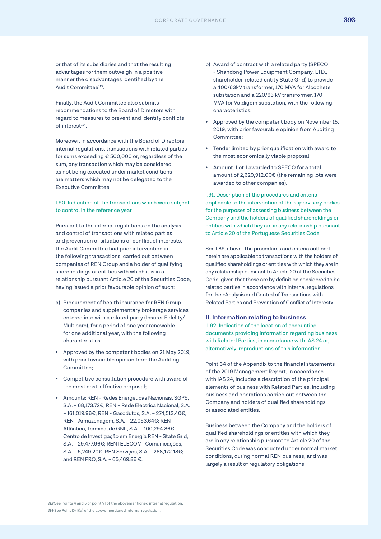or that of its subsidiaries and that the resulting advantages for them outweigh in a positive manner the disadvantages identified by the Audit Committee<sup>113</sup>.

Finally, the Audit Committee also submits recommendations to the Board of Directors with regard to measures to prevent and identify conflicts of interest<sup>114</sup>.

Moreover, in accordance with the Board of Directors internal regulations, transactions with related parties for sums exceeding € 500,000 or, regardless of the sum, any transaction which may be considered as not being executed under market conditions are matters which may not be delegated to the Executive Committee.

#### I.90. Indication of the transactions which were subject to control in the reference year

Pursuant to the internal regulations on the analysis and control of transactions with related parties and prevention of situations of conflict of interests, the Audit Committee had prior intervention in the following transactions, carried out between companies of REN Group and a holder of qualifying shareholdings or entities with which it is in a relationship pursuant Article 20 of the Securities Code, having issued a prior favourable opinion of such:

- a) Procurement of health insurance for REN Group companies and supplementary brokerage services entered into with a related party (Insurer Fidelity/ Multicare), for a period of one year renewable for one additional year, with the following characteristics:
- Approved by the competent bodies on 21 May 2019, with prior favourable opinion from the Auditing Committee;
- Competitive consultation procedure with award of the most cost-effective proposal;
- Amounts: REN Redes Energéticas Nacionais, SGPS, S.A. – 68,173.72€; REN – Rede Eléctrica Nacional, S.A. – 161,019.96€; REN - Gasodutos, S.A. – 274,513.40€; REN - Armazenagem, S.A. – 22,053.64€; REN Atlântico, Terminal de GNL, S.A. – 100,294.86€; Centro de Investigação em Energia REN - State Grid, S.A. – 29,477.96€; RENTELECOM -Comunicações, S.A. – 5,249.20€; REN Serviços, S.A. – 268,172.18€; and REN PRO, S.A. – 65,469.86 €.
- b) Award of contract with a related party (SPECO - Shandong Power Equipment Company, LTD., shareholder-related entity State Grid) to provide a 400/63kV transformer, 170 MVA for Alcochete substation and a 220/63 kV transformer, 170 MVA for Valdigem substation, with the following characteristics:
- Approved by the competent body on November 15, 2019, with prior favourable opinion from Auditing Committee;
- Tender limited by prior qualification with award to the most economically viable proposal;
- Amount: Lot 1 awarded to SPECO for a total amount of 2,629,912.00€ (the remaining lots were awarded to other companies).

I.91. Description of the procedures and criteria applicable to the intervention of the supervisory bodies for the purposes of assessing business between the Company and the holders of qualified shareholdings or entities with which they are in any relationship pursuant to Article 20 of the Portuguese Securities Code

See I.89. above. The procedures and criteria outlined herein are applicable to transactions with the holders of qualified shareholdings or entities with which they are in any relationship pursuant to Article 20 of the Securities Code, given that these are by definition considered to be related parties in accordance with internal regulations for the «Analysis and Control of Transactions with Related Parties and Prevention of Conflict of Interest».

#### **II. Information relating to business**

II.92. Indication of the location of accounting documents providing information regarding business with Related Parties, in accordance with IAS 24 or, alternatively, reproductions of this information

Point 34 of the Appendix to the financial statements of the 2019 Management Report, in accordance with IAS 24, includes a description of the principal elements of business with Related Parties, including business and operations carried out between the Company and holders of qualified shareholdings or associated entities.

Business between the Company and the holders of qualified shareholdings or entities with which they are in any relationship pursuant to Article 20 of the Securities Code was conducted under normal market conditions, during normal REN business, and was largely a result of regulatory obligations.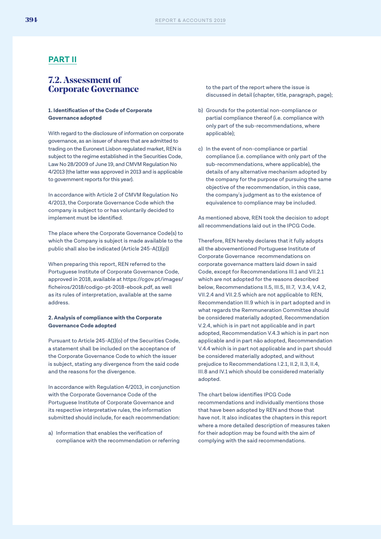#### **PART II**

#### **7.2. Assessment of Corporate Governance**

#### **1. Identification of the Code of Corporate Governance adopted**

With regard to the disclosure of information on corporate governance, as an issuer of shares that are admitted to trading on the Euronext Lisbon regulated market, REN is subject to the regime established in the Securities Code, Law No 28/2009 of June 19, and CMVM Regulation No 4/2013 (the latter was approved in 2013 and is applicable to government reports for this year).

In accordance with Article 2 of CMVM Regulation No 4/2013, the Corporate Governance Code which the company is subject to or has voluntarily decided to implement must be identified.

The place where the Corporate Governance Code(s) to which the Company is subject is made available to the public shall also be indicated (Article 245-A(1)(p))

When preparing this report, REN referred to the Portuguese Institute of Corporate Governance Code, approved in 2018, available at https://cgov.pt/images/ ficheiros/2018/codigo-pt-2018-ebook.pdf, as well as its rules of interpretation, available at the same address.

#### **2. Analysis of compliance with the Corporate Governance Code adopted**

Pursuant to Article 245-A(1)(o) of the Securities Code, a statement shall be included on the acceptance of the Corporate Governance Code to which the issuer is subject, stating any divergence from the said code and the reasons for the divergence.

In accordance with Regulation 4/2013, in conjunction with the Corporate Governance Code of the Portuguese Institute of Corporate Governance and its respective interpretative rules, the information submitted should include, for each recommendation:

a) Information that enables the verification of compliance with the recommendation or referring to the part of the report where the issue is discussed in detail (chapter, title, paragraph, page);

- b) Grounds for the potential non-compliance or partial compliance thereof (i.e. compliance with only part of the sub-recommendations, where applicable);
- c) In the event of non-compliance or partial compliance (i.e. compliance with only part of the sub-recommendations, where applicable), the details of any alternative mechanism adopted by the company for the purpose of pursuing the same objective of the recommendation, in this case, the company's judgment as to the existence of equivalence to compliance may be included.

As mentioned above, REN took the decision to adopt all recommendations laid out in the IPCG Code.

Therefore, REN hereby declares that it fully adopts all the abovementioned Portuguese Institute of Corporate Governance recommendations on corporate governance matters laid down in said Code, except for Recommendations III.1 and VII.2.1 which are not adopted for the reasons described below, Recommendations II.5, III.5, III.7, V.3.4, V.4.2, VII.2.4 and VII.2.5 which are not applicable to REN, Recommendation III.9 which is in part adopted and in what regards the Remmuneration Committee should be considered materially adopted, Recommendation V.2.4, which is in part not applicable and in part adopted, Recommendation V.4.3 which is in part non applicable and in part não adopted, Recommendation V.4.4 which is in part not applicable and in part should be considered materially adopted, and without prejudice to Recommendations I.2.1, II.2, II.3, II.4, III.8 and IV.1 which should be considered materially adopted.

The chart below identifies IPCG Code recommendations and individually mentions those that have been adopted by REN and those that have not. It also indicates the chapters in this report where a more detailed description of measures taken for their adoption may be found with the aim of complying with the said recommendations.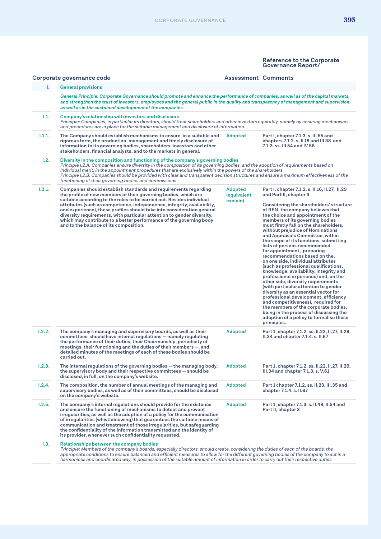|        | Corporate governance code                                                                                                                                                                                                                                                                                                                                                                                                                                                                                                                                 | <b>Assessment Comments</b>         |                                                                                                                                                                                                                                                                                                                                                                                                                                                                                                                                                                                                                                                                                                                                                                                                                                                                                                                                                                                                             |
|--------|-----------------------------------------------------------------------------------------------------------------------------------------------------------------------------------------------------------------------------------------------------------------------------------------------------------------------------------------------------------------------------------------------------------------------------------------------------------------------------------------------------------------------------------------------------------|------------------------------------|-------------------------------------------------------------------------------------------------------------------------------------------------------------------------------------------------------------------------------------------------------------------------------------------------------------------------------------------------------------------------------------------------------------------------------------------------------------------------------------------------------------------------------------------------------------------------------------------------------------------------------------------------------------------------------------------------------------------------------------------------------------------------------------------------------------------------------------------------------------------------------------------------------------------------------------------------------------------------------------------------------------|
| ı.     | <b>General provisions</b>                                                                                                                                                                                                                                                                                                                                                                                                                                                                                                                                 |                                    |                                                                                                                                                                                                                                                                                                                                                                                                                                                                                                                                                                                                                                                                                                                                                                                                                                                                                                                                                                                                             |
|        | General Principle: Corporate Governance should promote and enhance the performance of companies, as well as of the capital markets,<br>and strengthen the trust of investors, employees and the general public in the quality and transparency of management and supervision,<br>as well as in the sustained development of the companies                                                                                                                                                                                                                 |                                    |                                                                                                                                                                                                                                                                                                                                                                                                                                                                                                                                                                                                                                                                                                                                                                                                                                                                                                                                                                                                             |
| 1.1.   | Company's relationship with investors and disclosure<br>Principle: Companies, in particular its directors, should treat shareholders and other investors equitably, namely by ensuring mechanisms<br>and procedures are in place for the suitable management and disclosure of information.                                                                                                                                                                                                                                                               |                                    |                                                                                                                                                                                                                                                                                                                                                                                                                                                                                                                                                                                                                                                                                                                                                                                                                                                                                                                                                                                                             |
| 1.1.1. | The Company should establish mechanisms to ensure, in a suitable and<br>rigorous form, the production, management and timely disclosure of<br>information to its governing bodies, shareholders, investors and other<br>stakeholders, financial analysts, and to the markets in general.                                                                                                                                                                                                                                                                  | Adopted                            | Part I, chapter 7.1.3. s. III 55 and<br>chapters 7.1.2. s. II 18 and III 38 and<br>7.1.3. ss. III 54 and IV 56                                                                                                                                                                                                                                                                                                                                                                                                                                                                                                                                                                                                                                                                                                                                                                                                                                                                                              |
| 1.2.   | Diversity in the composition and functioning of the company's governing bodies<br>Principle I.2.A: Companies ensure diversity in the composition of its governing bodies, and the adoption of requirements based on<br>individual merit, in the appointment procedures that are exclusively within the powers of the shareholders.<br>Principle I.2.B: Companies should be provided with clear and transparent decision structures and ensure a maximum effectiveness of the<br>functioning of their governing bodies and commissions.                    |                                    |                                                                                                                                                                                                                                                                                                                                                                                                                                                                                                                                                                                                                                                                                                                                                                                                                                                                                                                                                                                                             |
| 1.2.1. | Companies should establish standards and requirements regarding<br>the profile of new members of their governing bodies, which are<br>suitable according to the roles to be carried out. Besides individual<br>attributes (such as competence, independence, integrity, availability,<br>and experience), these profiles should take into consideration general<br>diversity requirements, with particular attention to gender diversity,<br>which may contribute to a better performance of the governing body<br>and to the balance of its composition. | Adopted<br>(equivalent<br>explain) | Part I, chapter 7.1.2. s. II.16, II.27, II.29<br>and Part II, chapter 3<br>Considering the shareholders' structure<br>of REN, the company believes that<br>the choice and appointment of the<br>members of its governing bodies<br>must firstly fall on the shareholders,<br>without prejudice of Nominations<br>and Appraisals Committee, within<br>the scope of its functions, submitting<br>lists of persons recommended<br>for appointment, preparing<br>recommendations based on the,<br>on one side, individual attributes<br>(such as professional qualifications,<br>knowledge, availability, integrity and<br>professional experience) and, on the<br>other side, diversity requirements<br>(with particular attention to gender<br>diversity as an essential vector for<br>professional development, efficiency<br>and competitiveness), required for<br>the members of the corporate bodies,<br>being in the process of discussing the<br>adoption of a policy to formalise these<br>principles. |
| 1.2.2. | The company's managing and supervisory boards, as well as their<br>committees, should have internal regulations — namely regulating<br>the performance of their duties, their Chairmanship, periodicity of<br>meetings, their functioning and the duties of their members $-$ , and<br>detailed minutes of the meetings of each of these bodies should be<br>carried out.                                                                                                                                                                                 | <b>Adopted</b>                     | Part 1, chapter 7.1.2. ss. II.22, II.27, II.29,<br>II.34 and chapter 7.1.4. s. II.67                                                                                                                                                                                                                                                                                                                                                                                                                                                                                                                                                                                                                                                                                                                                                                                                                                                                                                                        |
| 1.2.3. | The internal requlations of the governing bodies $-$ the managing body,<br>the supervisory body and their respective committees $-$ should be<br>disclosed, in full, on the company's website.                                                                                                                                                                                                                                                                                                                                                            | <b>Adopted</b>                     | Part 1, chapter 7.1.2. ss. II.22, II.27, II.29,<br>III.34 and chapter 7.1.3. s. V.61                                                                                                                                                                                                                                                                                                                                                                                                                                                                                                                                                                                                                                                                                                                                                                                                                                                                                                                        |
| 1.2.4. | The composition, the number of annual meetings of the managing and<br>supervisory bodies, as well as of their committees, should be disclosed<br>on the company's website.                                                                                                                                                                                                                                                                                                                                                                                | <b>Adopted</b>                     | Part 1 chapter 7.1.2. ss. II.23, III.35 and<br>chapter 7.1.4. s. II.67                                                                                                                                                                                                                                                                                                                                                                                                                                                                                                                                                                                                                                                                                                                                                                                                                                                                                                                                      |
| 1.2.5. | The company's internal regulations should provide for the existence<br>and ensure the functioning of mechanisms to detect and prevent<br>irregularities, as well as the adoption of a policy for the communication<br>of irregularities (whistleblowing) that guarantees the suitable means of<br>communication and treatment of those irregularities, but safeguarding<br>the confidentiality of the information transmitted and the identity of<br>its provider, whenever such confidentiality requested.                                               | <b>Adopted</b>                     | Part 1, chapter 7.1.3. s. II.49, II.54 and<br>Part II, chapter 3                                                                                                                                                                                                                                                                                                                                                                                                                                                                                                                                                                                                                                                                                                                                                                                                                                                                                                                                            |
| 1.3.   | Relationships between the company bodies<br>Principle: Members of the company's boards, especially directors, should create, considering the duties of each of the boards, the<br>appropriate conditions to ensure balanced and efficient measures to allow for the different governing bodies of the company to act in a<br>harmonious and coordinated way, in possession of the suitable amount of information in order to carry out their respective duties.                                                                                           |                                    |                                                                                                                                                                                                                                                                                                                                                                                                                                                                                                                                                                                                                                                                                                                                                                                                                                                                                                                                                                                                             |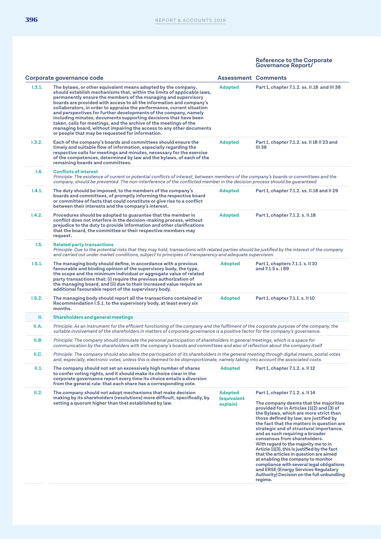|        | Corporate governance code                                                                                                                                                                                                                                                                                                                                                                                                                                                                                                                                                                                                                                                                            | <b>Assessment Comments</b>                |                                                                                                                                                                                                                                                                                                                                                                                                                                                                                                                                                                                                                                                                                             |
|--------|------------------------------------------------------------------------------------------------------------------------------------------------------------------------------------------------------------------------------------------------------------------------------------------------------------------------------------------------------------------------------------------------------------------------------------------------------------------------------------------------------------------------------------------------------------------------------------------------------------------------------------------------------------------------------------------------------|-------------------------------------------|---------------------------------------------------------------------------------------------------------------------------------------------------------------------------------------------------------------------------------------------------------------------------------------------------------------------------------------------------------------------------------------------------------------------------------------------------------------------------------------------------------------------------------------------------------------------------------------------------------------------------------------------------------------------------------------------|
| 1.3.1. | The bylaws, or other equivalent means adopted by the company,<br>should establish mechanisms that, within the limits of applicable laws,<br>permanently ensure the members of the managing and supervisory<br>boards are provided with access to all the information and company's<br>collaborators, in order to appraise the performance, current situation<br>and perspectives for further developments of the company, namely<br>including minutes, documents supporting decisions that have been<br>taken, calls for meetings, and the archive of the meetings of the<br>managing board, without impairing the access to any other documents<br>or people that may be requested for information. | <b>Adopted</b>                            | Part 1, chapter 7.1.2. ss. II.18 and III 38                                                                                                                                                                                                                                                                                                                                                                                                                                                                                                                                                                                                                                                 |
| 1.3.2. | Each of the company's boards and committees should ensure the<br>timely and suitable flow of information, especially regarding the<br>respective calls for meetings and minutes, necessary for the exercise<br>of the competences, determined by law and the bylaws, of each of the<br>remaining boards and committees.                                                                                                                                                                                                                                                                                                                                                                              | <b>Adopted</b>                            | Part 1, chapter 7.1.2. ss. II 18 II 23 and<br>III 38                                                                                                                                                                                                                                                                                                                                                                                                                                                                                                                                                                                                                                        |
| I.4.   | <b>Conflicts of interest</b><br>Principle: The existence of current or potential conflicts of interest, between members of the company's boards or committees and the<br>company, should be prevented. The non-interference of the conflicted member in the decision process should be guaranteed                                                                                                                                                                                                                                                                                                                                                                                                    |                                           |                                                                                                                                                                                                                                                                                                                                                                                                                                                                                                                                                                                                                                                                                             |
| 1.4.1. | The duty should be imposed, to the members of the company's<br>boards and committees, of promptly informing the respective board<br>or committee of facts that could constitute or give rise to a conflict<br>between their interests and the company's interest.                                                                                                                                                                                                                                                                                                                                                                                                                                    | <b>Adopted</b>                            | Part 1, chapter 7.1.2. ss. II.18 and II 29                                                                                                                                                                                                                                                                                                                                                                                                                                                                                                                                                                                                                                                  |
| 1.4.2. | Procedures should be adopted to guarantee that the member in<br>conflict does not interfere in the decision-making process, without<br>prejudice to the duty to provide information and other clarifications<br>that the board, the committee or their respective members may<br>request.                                                                                                                                                                                                                                                                                                                                                                                                            | <b>Adopted</b>                            | Part 1, chapter 7.1.2. s. II.18                                                                                                                                                                                                                                                                                                                                                                                                                                                                                                                                                                                                                                                             |
| 1.5.   | <b>Related party transactions</b><br>Principle: Due to the potential risks that they may hold, transactions with related parties should be justified by the interest of the company<br>and carried out under market conditions, subject to principles of transparency and adequate supervision.                                                                                                                                                                                                                                                                                                                                                                                                      |                                           |                                                                                                                                                                                                                                                                                                                                                                                                                                                                                                                                                                                                                                                                                             |
| 1.5.1. | The managing body should define, in accordance with a previous<br>favourable and binding opinion of the supervisory body, the type,<br>the scope and the minimum individual or aggregate value of related<br>party transactions that: (i) require the previous authorization of<br>the managing board, and (ii) due to their increased value require an<br>additional favourable report of the supervisory body.                                                                                                                                                                                                                                                                                     | <b>Adopted</b>                            | Part 1, chapters 7.1.1. s. II 10<br>and 7.1.5 s. 189                                                                                                                                                                                                                                                                                                                                                                                                                                                                                                                                                                                                                                        |
| 1.5.2. | The managing body should report all the transactions contained in<br>Recommendation I.5.1. to the supervisory body, at least every six<br>months.                                                                                                                                                                                                                                                                                                                                                                                                                                                                                                                                                    | <b>Adopted</b>                            | Part 1, chapter 7.1.1. s. II 10                                                                                                                                                                                                                                                                                                                                                                                                                                                                                                                                                                                                                                                             |
| Ш.     | <b>Shareholders and general meetings</b>                                                                                                                                                                                                                                                                                                                                                                                                                                                                                                                                                                                                                                                             |                                           |                                                                                                                                                                                                                                                                                                                                                                                                                                                                                                                                                                                                                                                                                             |
| II.A.  | Principle: As an instrument for the efficient functioning of the company and the fulfilment of the corporate purpose of the company, the<br>suitable involvement of the shareholders in matters of corporate governance is a positive factor for the company's governance.                                                                                                                                                                                                                                                                                                                                                                                                                           |                                           |                                                                                                                                                                                                                                                                                                                                                                                                                                                                                                                                                                                                                                                                                             |
| II.B.  | Principle: The company should stimulate the personal participation of shareholders in general meetings, which is a space for<br>communication by the shareholders with the company's boards and committees and also of reflection about the company itself                                                                                                                                                                                                                                                                                                                                                                                                                                           |                                           |                                                                                                                                                                                                                                                                                                                                                                                                                                                                                                                                                                                                                                                                                             |
| II.C.  | Principle: The company should also allow the participation of its shareholders in the general meeting through digital means, postal votes<br>and, especially, electronic votes, unless this is deemed to be disproportionate, namely taking into account the associated costs.                                                                                                                                                                                                                                                                                                                                                                                                                       |                                           |                                                                                                                                                                                                                                                                                                                                                                                                                                                                                                                                                                                                                                                                                             |
| II.1.  | The company should not set an excessively high number of shares<br>to confer voting rights, and it should make its choice clear in the<br>corporate governance report every time its choice entails a diversion<br>from the general rule: that each share has a corresponding vote.                                                                                                                                                                                                                                                                                                                                                                                                                  | <b>Adopted</b>                            | Part 1, chapter 7.1.2. s. II 12                                                                                                                                                                                                                                                                                                                                                                                                                                                                                                                                                                                                                                                             |
| II.2.  | The company should not adopt mechanisms that make decision<br>making by its shareholders (resolutions) more difficult, specifically, by<br>setting a quorum higher than that established by law.                                                                                                                                                                                                                                                                                                                                                                                                                                                                                                     | <b>Adopted</b><br>(equivalent<br>explain) | Part 1, chapter 7.1.2. s. II 14<br>The company deems that the majorities<br>provided for in Articles 11(2) and (3) of<br>the Bylaws, which are more strict than<br>those defined by law, are justified by<br>the fact that the matters in question are<br>strategic and of structural importance,<br>and as such requiring a broader<br>consensus from shareholders.<br>With regard to the majority me to in<br>Article 11(3), this is justified by the fact<br>that the articles in question are aimed<br>at enabling the company to monitor<br>compliance with several legal obligations<br>and ERSE (Energy Services Regulatory<br>Authority) Decision on the full unbundling<br>regime. |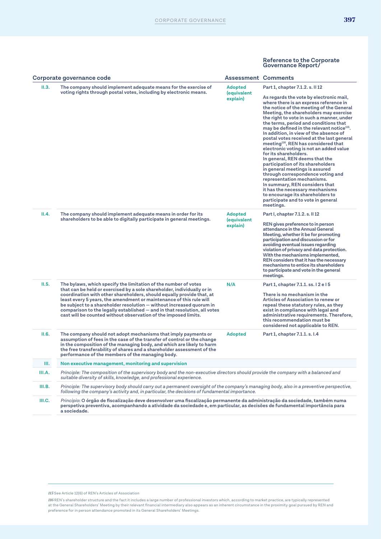|        | Corporate governance code                                                                                                                                                                                                                                                                                                                                                                                                                                                                                            | <b>Assessment Comments</b>                       |                                                                                                                                                                                                                                                                                                                                                                                                                                                                                                                                                                                                                                                                                                                                                                                                                                                                                |
|--------|----------------------------------------------------------------------------------------------------------------------------------------------------------------------------------------------------------------------------------------------------------------------------------------------------------------------------------------------------------------------------------------------------------------------------------------------------------------------------------------------------------------------|--------------------------------------------------|--------------------------------------------------------------------------------------------------------------------------------------------------------------------------------------------------------------------------------------------------------------------------------------------------------------------------------------------------------------------------------------------------------------------------------------------------------------------------------------------------------------------------------------------------------------------------------------------------------------------------------------------------------------------------------------------------------------------------------------------------------------------------------------------------------------------------------------------------------------------------------|
| II.3.  | The company should implement adequate means for the exercise of                                                                                                                                                                                                                                                                                                                                                                                                                                                      | <b>Adopted</b>                                   | Part 1, chapter 7.1.2. s. II 12                                                                                                                                                                                                                                                                                                                                                                                                                                                                                                                                                                                                                                                                                                                                                                                                                                                |
|        | voting rights through postal votes, including by electronic means.                                                                                                                                                                                                                                                                                                                                                                                                                                                   | (equivalent<br>explain)                          | As regards the vote by electronic mail,<br>where there is an express reference in<br>the notice of the meeting of the General<br>Meeting, the shareholders may exercise<br>the right to vote in such a manner, under<br>the terms, period and conditions that<br>may be defined in the relevant notice <sup>115</sup> .<br>In addition, in view of the absence of<br>postal votes received at the last general<br>meeting <sup>116</sup> , REN has considered that<br>electronic voting is not an added value<br>for its shareholders.<br>In general, REN deems that the<br>participation of its shareholders<br>in general meetings is assured<br>through correspondence voting and<br>representation mechanisms.<br>In summary, REN considers that<br>it has the necessary mechanisms<br>to encourage its shareholders to<br>participate and to vote in general<br>meetings. |
| II.4.  | The company should implement adequate means in order for its<br>shareholders to be able to digitally participate in general meetings.                                                                                                                                                                                                                                                                                                                                                                                | <b>Adopted</b><br><i>(equivalent</i><br>explain) | Part I, chapter 7.1.2. s. II 12<br>REN gives preference to in person<br>attendance in the Annual General<br>Meeting, whether it be for promoting<br>participation and discussion or for<br>avoiding eventual issues regarding<br>violation of privacy and data protection.<br>With the mechanisms implemented,<br>REN considers that it has the necessary<br>mechanisms to entice its shareholders<br>to participate and vote in the general<br>meetings.                                                                                                                                                                                                                                                                                                                                                                                                                      |
| II.5.  | The bylaws, which specify the limitation of the number of votes<br>that can be held or exercised by a sole shareholder, individually or in<br>coordination with other shareholders, should equally provide that, at<br>least every 5 years, the amendment or maintenance of this rule will<br>be subject to a shareholder resolution — without increased quorum in<br>comparison to the legally established $-$ and in that resolution, all votes<br>cast will be counted without observation of the imposed limits. | N/A                                              | Part 1, chapter 7.1.1. ss. 12 e 15<br>There is no mechanism in the<br>Articles of Association to renew or<br>repeal these statutory rules, as they<br>exist in compliance with legal and<br>administrative requirements. Therefore,<br>this recommendation must be<br>considered not applicable to REN.                                                                                                                                                                                                                                                                                                                                                                                                                                                                                                                                                                        |
| II.6.  | The company should not adopt mechanisms that imply payments or<br>assumption of fees in the case of the transfer of control or the change<br>in the composition of the managing body, and which are likely to harm<br>the free transferability of shares and a shareholder assessment of the<br>performance of the members of the managing body.                                                                                                                                                                     | <b>Adopted</b>                                   | Part 1, chapter 7.1.1. s. I.4                                                                                                                                                                                                                                                                                                                                                                                                                                                                                                                                                                                                                                                                                                                                                                                                                                                  |
| III.   | Non executive management, monitoring and supervision                                                                                                                                                                                                                                                                                                                                                                                                                                                                 |                                                  |                                                                                                                                                                                                                                                                                                                                                                                                                                                                                                                                                                                                                                                                                                                                                                                                                                                                                |
| III.A. | Principle: The composition of the supervisory body and the non-executive directors should provide the company with a balanced and<br>suitable diversity of skills, knowledge, and professional experience.                                                                                                                                                                                                                                                                                                           |                                                  |                                                                                                                                                                                                                                                                                                                                                                                                                                                                                                                                                                                                                                                                                                                                                                                                                                                                                |
| III.B. | Principle: The supervisory body should carry out a permanent oversight of the company's managing body, also in a preventive perspective,<br>following the company's activity and, in particular, the decisions of fundamental importance.                                                                                                                                                                                                                                                                            |                                                  |                                                                                                                                                                                                                                                                                                                                                                                                                                                                                                                                                                                                                                                                                                                                                                                                                                                                                |
| III.C. | Princípio: O órgão de fiscalização deve desenvolver uma fiscalização permanente da administração da sociedade, também numa<br>perspetiva preventiva, acompanhando a atividade da sociedade e, em particular, as decisões de fundamental importância para<br>a sociedade.                                                                                                                                                                                                                                             |                                                  |                                                                                                                                                                                                                                                                                                                                                                                                                                                                                                                                                                                                                                                                                                                                                                                                                                                                                |

*115* See Article 12(6) of REN's Articles of Association

*116* REN's shareholder structure and the fact it includes a large number of professional investors which, according to market practice, are typically represented<br>at the General Shareholders' Meeting by their relevant fina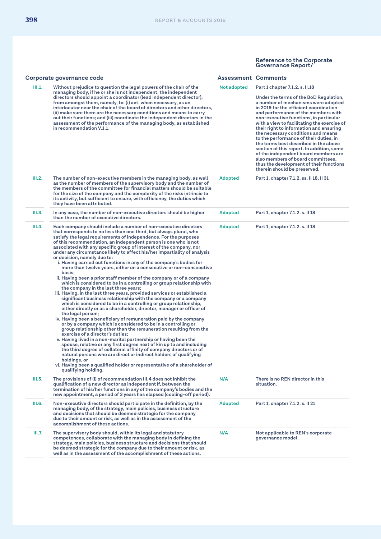| Corporate governance code |                                                                                                                                                                                                                                                                                                                                                                                                                                                                                                                                                                                                                                                                                                                                                                                                                                                                                                                                                                                                                                                                                                                                                                                                                                                                                                                                                                                                                                                                                                                                                                                                                                                                                                                                                                                     | <b>Assessment Comments</b> |                                                                                                                                                                                                                                                                                                                                                                                                                                                                                                                                                                                                                                                                    |
|---------------------------|-------------------------------------------------------------------------------------------------------------------------------------------------------------------------------------------------------------------------------------------------------------------------------------------------------------------------------------------------------------------------------------------------------------------------------------------------------------------------------------------------------------------------------------------------------------------------------------------------------------------------------------------------------------------------------------------------------------------------------------------------------------------------------------------------------------------------------------------------------------------------------------------------------------------------------------------------------------------------------------------------------------------------------------------------------------------------------------------------------------------------------------------------------------------------------------------------------------------------------------------------------------------------------------------------------------------------------------------------------------------------------------------------------------------------------------------------------------------------------------------------------------------------------------------------------------------------------------------------------------------------------------------------------------------------------------------------------------------------------------------------------------------------------------|----------------------------|--------------------------------------------------------------------------------------------------------------------------------------------------------------------------------------------------------------------------------------------------------------------------------------------------------------------------------------------------------------------------------------------------------------------------------------------------------------------------------------------------------------------------------------------------------------------------------------------------------------------------------------------------------------------|
| III.1.                    | Without prejudice to question the legal powers of the chair of the<br>managing body, if he or she is not independent, the independent<br>directors should appoint a coordinator (lead independent director),<br>from amongst them, namely, to: (i) act, when necessary, as an<br>interlocutor near the chair of the board of directors and other directors,<br>(ii) make sure there are the necessary conditions and means to carry<br>out their functions; and (iii) coordinate the independent directors in the<br>assessment of the performance of the managing body, as established<br>in recommendation V.1.1.                                                                                                                                                                                                                                                                                                                                                                                                                                                                                                                                                                                                                                                                                                                                                                                                                                                                                                                                                                                                                                                                                                                                                                 | Not adopted                | Part 1 chapter 7.1.2. s. II.18<br>Under the terms of the BoD Regulation,<br>a number of mechanisms were adopted<br>in 2019 for the efficient coordination<br>and performance of the members with<br>non-executive functions, in particular<br>with a view to facilitating the exercise of<br>their right to information and ensuring<br>the necessary conditions and means<br>to the performance of their duties, in<br>the terms best described in the above<br>section of this report. In addition, some<br>of the independent board members are<br>also members of board committees,<br>thus the development of their functions<br>therein should be preserved. |
| III.2.                    | The number of non-executive members in the managing body, as well<br>as the number of members of the supervisory body and the number of<br>the members of the committee for financial matters should be suitable<br>for the size of the company and the complexity of the risks intrinsic to<br>its activity, but sufficient to ensure, with efficiency, the duties which<br>they have been attributed.                                                                                                                                                                                                                                                                                                                                                                                                                                                                                                                                                                                                                                                                                                                                                                                                                                                                                                                                                                                                                                                                                                                                                                                                                                                                                                                                                                             | <b>Adopted</b>             | Part 1, chapter 7.1.2. ss. II 18, II 31                                                                                                                                                                                                                                                                                                                                                                                                                                                                                                                                                                                                                            |
| III.3.                    | In any case, the number of non-executive directors should be higher<br>than the number of executive directors.                                                                                                                                                                                                                                                                                                                                                                                                                                                                                                                                                                                                                                                                                                                                                                                                                                                                                                                                                                                                                                                                                                                                                                                                                                                                                                                                                                                                                                                                                                                                                                                                                                                                      | Adopted                    | Part 1, chapter 7.1.2. s. II 18                                                                                                                                                                                                                                                                                                                                                                                                                                                                                                                                                                                                                                    |
| III.4.                    | Each company should include a number of non-executive directors<br>that corresponds to no less than one third, but always plural, who<br>satisfy the legal requirements of independence. For the purposes<br>of this recommendation, an independent person is one who is not<br>associated with any specific group of interest of the company, nor<br>under any circumstance likely to affect his/her impartiality of analysis<br>or decision, namely due to:<br>i. Having carried out functions in any of the company's bodies for<br>more than twelve years, either on a consecutive or non-consecutive<br>basis:<br>ii. Having been a prior staff member of the company or of a company<br>which is considered to be in a controlling or group relationship with<br>the company in the last three years;<br>iii. Having, in the last three years, provided services or established a<br>significant business relationship with the company or a company<br>which is considered to be in a controlling or group relationship,<br>either directly or as a shareholder, director, manager or officer of<br>the legal person;<br>iv. Having been a beneficiary of remuneration paid by the company<br>or by a company which is considered to be in a controlling or<br>group relationship other than the remuneration resulting from the<br>exercise of a director's duties;<br>v. Having lived in a non-marital partnership or having been the<br>spouse, relative or any first degree next of kin up to and including<br>the third degree of collateral affinity of company directors or of<br>natural persons who are direct or indirect holders of qualifying<br>holdings, or<br>vi. Having been a qualified holder or representative of a shareholder of<br>qualifying holding. | Adopted                    | Part 1, chapter 7.1.2. s. II 18                                                                                                                                                                                                                                                                                                                                                                                                                                                                                                                                                                                                                                    |
| III.5.                    | The provisions of (i) of recommendation III.4 does not inhibit the<br>qualification of a new director as independent if, between the<br>termination of his/her functions in any of the company's bodies and the<br>new appointment, a period of 3 years has elapsed (cooling-off period).                                                                                                                                                                                                                                                                                                                                                                                                                                                                                                                                                                                                                                                                                                                                                                                                                                                                                                                                                                                                                                                                                                                                                                                                                                                                                                                                                                                                                                                                                           | N/A                        | There is no REN director in this<br>situation.                                                                                                                                                                                                                                                                                                                                                                                                                                                                                                                                                                                                                     |
| III.6.                    | Non-executive directors should participate in the definition, by the<br>managing body, of the strategy, main policies, business structure<br>and decisions that should be deemed strategic for the company<br>due to their amount or risk, as well as in the assessment of the<br>accomplishment of these actions.                                                                                                                                                                                                                                                                                                                                                                                                                                                                                                                                                                                                                                                                                                                                                                                                                                                                                                                                                                                                                                                                                                                                                                                                                                                                                                                                                                                                                                                                  | Adopted                    | Part 1, chapter 7.1.2. s. Il 21                                                                                                                                                                                                                                                                                                                                                                                                                                                                                                                                                                                                                                    |
| III.7.                    | The supervisory body should, within its legal and statutory<br>competences, collaborate with the managing body in defining the<br>strategy, main policies, business structure and decisions that should<br>be deemed strategic for the company due to their amount or risk, as<br>well as in the assessment of the accomplishment of these actions.                                                                                                                                                                                                                                                                                                                                                                                                                                                                                                                                                                                                                                                                                                                                                                                                                                                                                                                                                                                                                                                                                                                                                                                                                                                                                                                                                                                                                                 | N/A                        | Not applicable to REN's corporate<br>governance model.                                                                                                                                                                                                                                                                                                                                                                                                                                                                                                                                                                                                             |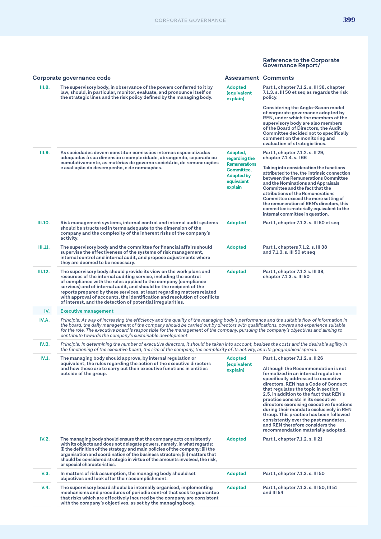|         | Corporate governance code                                                                                                                                                                                                                                                                                                                                                                                                                                                                               | <b>Assessment Comments</b>                                                |                                                                                                                                                                                                                                                                                                                                                                                                                                                                                                                                     |
|---------|---------------------------------------------------------------------------------------------------------------------------------------------------------------------------------------------------------------------------------------------------------------------------------------------------------------------------------------------------------------------------------------------------------------------------------------------------------------------------------------------------------|---------------------------------------------------------------------------|-------------------------------------------------------------------------------------------------------------------------------------------------------------------------------------------------------------------------------------------------------------------------------------------------------------------------------------------------------------------------------------------------------------------------------------------------------------------------------------------------------------------------------------|
| III.8.  | The supervisory body, in observance of the powers conferred to it by<br>law, should, in particular, monitor, evaluate, and pronounce itself on<br>the strategic lines and the risk policy defined by the managing body.                                                                                                                                                                                                                                                                                 | <b>Adopted</b><br>(equivalent<br>explain)                                 | Part 1, chapter 7.1.2. s. III 38, chapter<br>7.1.3. s. III 50 et seg as regards the risk<br>policy.<br><b>Considering the Anglo-Saxon model</b>                                                                                                                                                                                                                                                                                                                                                                                     |
|         |                                                                                                                                                                                                                                                                                                                                                                                                                                                                                                         |                                                                           | of corporate governance adopted by<br>REN, under which the members of the<br>supervisory body are also members<br>of the Board of Directors, the Audit<br>Committee decided not to specifically<br>comment on the monitoring and<br>evaluation of strategic lines.                                                                                                                                                                                                                                                                  |
| III.9.  | As sociedades devem constituir comissões internas especializadas<br>adequadas à sua dimensão e complexidade, abrangendo, separada ou                                                                                                                                                                                                                                                                                                                                                                    | Adopted,<br>regarding the                                                 | Part 1, chapter 7.1.2. s. II 29,<br>chapter 7.1.4. s. 166                                                                                                                                                                                                                                                                                                                                                                                                                                                                           |
|         | cumulativamente, as matérias de governo societário, de remunerações<br>e avaliação do desempenho, e de nomeações.                                                                                                                                                                                                                                                                                                                                                                                       | <b>Remunerations</b><br>Committee.<br>Adopted by<br>equivalent<br>explain | Taking into consideration the functions<br>attributed to the, the intrinsic connection<br>between the Remunerations Committee<br>and the Nominations and Appraisals<br>Committee and the fact that the<br>attributions of the Remunerations<br>Committee exceed the mere setting of<br>the remuneration of REN's directors, this<br>committee is materially equivalent to the<br>internal committee in question.                                                                                                                    |
| III.10. | Risk management systems, internal control and internal audit systems<br>should be structured in terms adequate to the dimension of the<br>company and the complexity of the inherent risks of the company's<br>activity.                                                                                                                                                                                                                                                                                | <b>Adopted</b>                                                            | Part 1, chapter 7.1.3. s. III 50 et seq                                                                                                                                                                                                                                                                                                                                                                                                                                                                                             |
| III.11. | The supervisory body and the committee for financial affairs should<br>supervise the effectiveness of the systems of risk management,<br>internal control and internal audit, and propose adjustments where<br>they are deemed to be necessary.                                                                                                                                                                                                                                                         | <b>Adopted</b>                                                            | Part 1, chapters 7.1.2. s. III 38<br>and 7.1.3. s. III 50 et seq                                                                                                                                                                                                                                                                                                                                                                                                                                                                    |
| III.12. | The supervisory body should provide its view on the work plans and<br>resources of the internal auditing service, including the control<br>of compliance with the rules applied to the company (compliance<br>services) and of internal audit, and should be the recipient of the<br>reports prepared by these services, at least regarding matters related<br>with approval of accounts, the identification and resolution of conflicts<br>of interest, and the detection of potential irregularities. | <b>Adopted</b>                                                            | Part 1, chapter 7.1.2 s. III 38,<br>chapter 7.1.3. s. III 50                                                                                                                                                                                                                                                                                                                                                                                                                                                                        |
| IV.     | <b>Executive management</b>                                                                                                                                                                                                                                                                                                                                                                                                                                                                             |                                                                           |                                                                                                                                                                                                                                                                                                                                                                                                                                                                                                                                     |
| IV.A.   | Principle: As way of increasing the efficiency and the quality of the managing body's performance and the suitable flow of information in<br>the board, the daily management of the company should be carried out by directors with qualifications, powers and experience suitable<br>for the role. The executive board is responsible for the management of the company, pursuing the company's objectives and aiming to<br>contribute towards the company's sustainable development.                  |                                                                           |                                                                                                                                                                                                                                                                                                                                                                                                                                                                                                                                     |
| IV.B.   | Principle: In determining the number of executive directors, it should be taken into account, besides the costs and the desirable agility in<br>the functioning of the executive board, the size of the company, the complexity of its activity, and its geographical spread.                                                                                                                                                                                                                           |                                                                           |                                                                                                                                                                                                                                                                                                                                                                                                                                                                                                                                     |
| IV.1.   | The managing body should approve, by internal regulation or<br>equivalent, the rules regarding the action of the executive directors                                                                                                                                                                                                                                                                                                                                                                    | <b>Adopted</b><br>(equivalent                                             | Part 1, chapter 7.1.2. s. II 26                                                                                                                                                                                                                                                                                                                                                                                                                                                                                                     |
|         | and how these are to carry out their executive functions in entities<br>outside of the group.                                                                                                                                                                                                                                                                                                                                                                                                           | explain)                                                                  | Although the Recommendation is not<br>formalized in an internal regulation<br>specifically addressed to executive<br>directors, REN has a Code of Conduct<br>that regulates the topic in section<br>2.5, in addition to the fact that REN's<br>practice consists in its executive<br>directors exercising executive functions<br>during their mandate exclusively in REN<br>Group. This practice has been followed<br>consistently over the past mandates,<br>and REN therefore considers the<br>recommendation materially adopted. |
| IV.2.   | The managing body should ensure that the company acts consistently<br>with its objects and does not delegate powers, namely, in what regards:<br>(i) the definition of the strategy and main policies of the company; (ii) the<br>organisation and coordination of the business structure; (iii) matters that<br>should be considered strategic in virtue of the amounts involved, the risk,<br>or special characteristics.                                                                             | <b>Adopted</b>                                                            | Part 1, chapter 7.1.2. s. Il 21                                                                                                                                                                                                                                                                                                                                                                                                                                                                                                     |
| V.3.    | In matters of risk assumption, the managing body should set<br>objectives and look after their accomplishment.                                                                                                                                                                                                                                                                                                                                                                                          | <b>Adopted</b>                                                            | Part 1, chapter 7.1.3. s. III 50                                                                                                                                                                                                                                                                                                                                                                                                                                                                                                    |
| V.4.    | The supervisory board should be internally organised, implementing<br>mechanisms and procedures of periodic control that seek to guarantee<br>that risks which are effectively incurred by the company are consistent<br>with the company's objectives, as set by the managing body.                                                                                                                                                                                                                    | Adopted                                                                   | Part 1, chapter 7.1.3. s. III 50, III 51<br>and III 54                                                                                                                                                                                                                                                                                                                                                                                                                                                                              |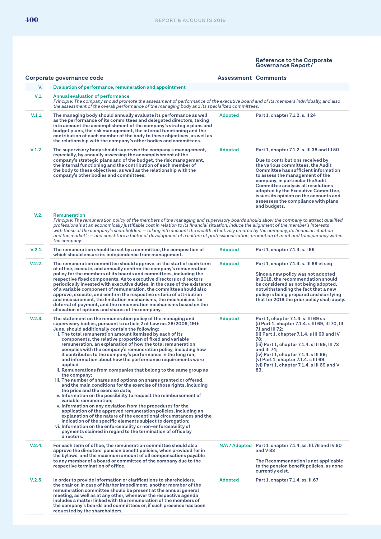|        | Corporate governance code                                                                                                                                                                                                                                                                                                                                                                                                                                                                                                                                                                                                                                                                                                                                                                                                                                                                                                                                                                                                                                                                                                                                                                                                                                                                                                                                                            | <b>Assessment Comments</b> |                                                                                                                                                                                                                                                                                                                                                                                                                  |
|--------|--------------------------------------------------------------------------------------------------------------------------------------------------------------------------------------------------------------------------------------------------------------------------------------------------------------------------------------------------------------------------------------------------------------------------------------------------------------------------------------------------------------------------------------------------------------------------------------------------------------------------------------------------------------------------------------------------------------------------------------------------------------------------------------------------------------------------------------------------------------------------------------------------------------------------------------------------------------------------------------------------------------------------------------------------------------------------------------------------------------------------------------------------------------------------------------------------------------------------------------------------------------------------------------------------------------------------------------------------------------------------------------|----------------------------|------------------------------------------------------------------------------------------------------------------------------------------------------------------------------------------------------------------------------------------------------------------------------------------------------------------------------------------------------------------------------------------------------------------|
| V.     | Evaluation of performance, remuneration and appointment                                                                                                                                                                                                                                                                                                                                                                                                                                                                                                                                                                                                                                                                                                                                                                                                                                                                                                                                                                                                                                                                                                                                                                                                                                                                                                                              |                            |                                                                                                                                                                                                                                                                                                                                                                                                                  |
| V.1.   | <b>Annual evaluation of performance</b><br>Principle: The company should promote the assessment of performance of the executive board and of its members individually, and also<br>the assessment of the overall performance of the managing body and its specialized committees.                                                                                                                                                                                                                                                                                                                                                                                                                                                                                                                                                                                                                                                                                                                                                                                                                                                                                                                                                                                                                                                                                                    |                            |                                                                                                                                                                                                                                                                                                                                                                                                                  |
| V.1.1. | The managing body should annually evaluate its performance as well<br>as the performance of its committees and delegated directors, taking<br>into account the accomplishment of the company's strategic plans and<br>budget plans, the risk management, the internal functioning and the<br>contribution of each member of the body to these objectives, as well as<br>the relationship with the company's other bodies and committees.                                                                                                                                                                                                                                                                                                                                                                                                                                                                                                                                                                                                                                                                                                                                                                                                                                                                                                                                             | <b>Adopted</b>             | Part 1, chapter 7.1.2. s. II 24                                                                                                                                                                                                                                                                                                                                                                                  |
| V.1.2. | The supervisory body should supervise the company's management,<br>especially, by annually assessing the accomplishment of the<br>company's strategic plans and of the budget, the risk management,<br>the internal functioning and the contribution of each member of<br>the body to these objectives, as well as the relationship with the<br>company's other bodies and committees.                                                                                                                                                                                                                                                                                                                                                                                                                                                                                                                                                                                                                                                                                                                                                                                                                                                                                                                                                                                               | <b>Adopted</b>             | Part 1, chapter 7.1.2. s. III 38 and III 50<br>Due to contributions received by<br>the various committees, the Audit<br>Committee has sufficient information<br>to assess the management of the<br>company, in particular theAudit<br>Committee analysis all resolutions<br>adopted by the Executive Committee,<br>issues its opinion on the accounts and<br>assessess the compliance with plans<br>and budgets. |
| V.2.   | Remuneration<br>Principle: The remuneration policy of the members of the managing and supervisory boards should allow the company to attract qualified<br>professionals at an economically justifiable cost in relation to its financial situation, induce the alignment of the member's interests<br>with those of the company's shareholders — taking into account the wealth effectively created by the company, its financial situation<br>and the market's — and constitute a factor of development of a culture of professionalization, promotion of merit and transparency within<br>the company.                                                                                                                                                                                                                                                                                                                                                                                                                                                                                                                                                                                                                                                                                                                                                                             |                            |                                                                                                                                                                                                                                                                                                                                                                                                                  |
| V.2.1. | The remuneration should be set by a committee, the composition of<br>which should ensure its independence from management.                                                                                                                                                                                                                                                                                                                                                                                                                                                                                                                                                                                                                                                                                                                                                                                                                                                                                                                                                                                                                                                                                                                                                                                                                                                           | <b>Adopted</b>             | Part 1, chapter 7.1.4. s. 166                                                                                                                                                                                                                                                                                                                                                                                    |
| V.2.2. | The remuneration committee should approve, at the start of each term<br>of office, execute, and annually confirm the company's remuneration<br>policy for the members of its boards and committees, including the<br>respective fixed components. As to executive directors or directors<br>periodically invested with executive duties, in the case of the existence<br>of a variable component of remuneration, the committee should also<br>approve, execute, and confirm the respective criteria of attribution<br>and measurement, the limitation mechanisms, the mechanisms for<br>deferral of payment, and the remuneration mechanisms based on the<br>allocation of options and shares of the company.                                                                                                                                                                                                                                                                                                                                                                                                                                                                                                                                                                                                                                                                       | <b>Adopted</b>             | Part 1, chapter 7.1.4. s. III 69 et seq<br>Since a new policy was not adopted<br>in 2018, the recommendation should<br>be considered as not being adopted,<br>notwithstanding the fact that a new<br>policy is being prepared and clarifying<br>that for 2018 the prior policy shall apply.                                                                                                                      |
| V.2.3. | The statement on the remuneration policy of the managing and<br>supervisory bodies, pursuant to article 2 of Law no. 28/2009, 19th<br>June, should additionally contain the following:<br>i. The total remuneration amount itemised by each of its<br>components, the relative proportion of fixed and variable<br>remuneration, an explanation of how the total remuneration<br>complies with the company's remuneration policy, including how<br>it contributes to the company's performance in the long run,<br>and information about how the performance requirements were<br>applied<br>ii. Remunerations from companies that belong to the same group as<br>the company;<br>iii. The number of shares and options on shares granted or offered,<br>and the main conditions for the exercise of those rights, including<br>the price and the exercise date;<br>iv. Information on the possibility to request the reimbursement of<br>variable remuneration;<br>v. Information on any deviation from the procedures for the<br>application of the approved remuneration policies, including an<br>explanation of the nature of the exceptional circumstances and the<br>indication of the specific elements subject to derogation;<br>vi. Information on the enforceability or non-enforceability of<br>payments claimed in regard to the termination of office by<br>directors. | <b>Adopted</b>             | Part 1, chapter 7.1.4. s. III 69 ss<br>(i) Part 1, chapter 7.1.4. s III 69, III 70, III<br>71 and III 72;<br>(ii) Part 1, chapter 7.1.4. s III 69 and IV<br>78;<br>(iii) Part 1, chapter 7.1.4. s III 69, III 73<br>and III 74;<br>(iv) Part 1, chapter 7.1.4. s III 69;<br>(v) Part 1, chapter 7.1.4. s III 69;<br>(vi) Part 1, chapter 7.1.4. s III 69 and V<br>83.                                            |
| V.2.4. | For each term of office, the remuneration committee should also<br>approve the directors' pension benefit policies, when provided for in<br>the bylaws, and the maximum amount of all compensations payable<br>to any member of a board or committee of the company due to the<br>respective termination of office.                                                                                                                                                                                                                                                                                                                                                                                                                                                                                                                                                                                                                                                                                                                                                                                                                                                                                                                                                                                                                                                                  |                            | N/A / Adopted Part 1, chapter 7.1.4. ss. III.76 and IV 80<br>and V 83<br>The Recommendation is not applicable<br>to the pension benefit policies, as none<br>currently exist.                                                                                                                                                                                                                                    |
| V.2.5. | In order to provide information or clarifications to shareholders,<br>the chair or, in case of his/her impediment, another member of the<br>remuneration committee should be present at the annual general<br>meeting, as well as at any other, whenever the respective agenda<br>includes a matter linked with the remuneration of the members of<br>the company's boards and committees or, if such presence has been<br>requested by the shareholders.                                                                                                                                                                                                                                                                                                                                                                                                                                                                                                                                                                                                                                                                                                                                                                                                                                                                                                                            | <b>Adopted</b>             | Part 1, chapter 7.1.4. ss. II.67                                                                                                                                                                                                                                                                                                                                                                                 |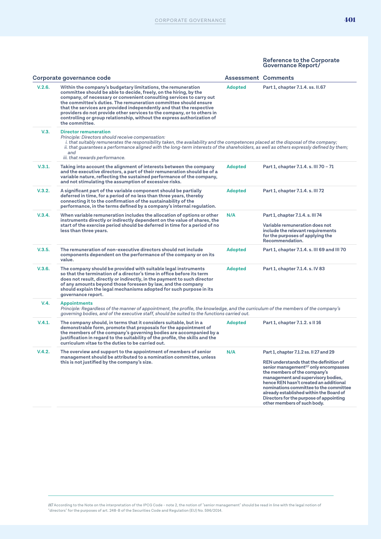|        | Corporate governance code                                                                                                                                                                                                                                                                                                                                                                                                                                                                                                     | <b>Assessment Comments</b> |                                                                                                                                                                                                                                                                                                                                                                                                                      |
|--------|-------------------------------------------------------------------------------------------------------------------------------------------------------------------------------------------------------------------------------------------------------------------------------------------------------------------------------------------------------------------------------------------------------------------------------------------------------------------------------------------------------------------------------|----------------------------|----------------------------------------------------------------------------------------------------------------------------------------------------------------------------------------------------------------------------------------------------------------------------------------------------------------------------------------------------------------------------------------------------------------------|
| V.2.6. | Within the company's budgetary limitations, the remuneration<br>committee should be able to decide, freely, on the hiring, by the<br>company, of necessary or convenient consulting services to carry out<br>the committee's duties. The remuneration committee should ensure<br>that the services are provided independently and that the respective<br>providers do not provide other services to the company, or to others in<br>controlling or group relationship, without the express authorization of<br>the committee. | <b>Adopted</b>             | Part 1, chapter 7.1.4. ss. II.67                                                                                                                                                                                                                                                                                                                                                                                     |
| V.3.   | <b>Director remuneration</b><br>Principle: Directors should receive compensation:<br>i. that suitably remunerates the responsibility taken, the availability and the competences placed at the disposal of the company;<br>ii. that guarantees a performance aligned with the long-term interests of the shareholders, as well as others expressly defined by them;<br>and<br>iii. that rewards performance.                                                                                                                  |                            |                                                                                                                                                                                                                                                                                                                                                                                                                      |
| V.3.1. | Taking into account the alignment of interests between the company<br>and the executive directors, a part of their remuneration should be of a<br>variable nature, reflecting the sustained performance of the company,<br>and not stimulating the assumption of excessive risks.                                                                                                                                                                                                                                             | <b>Adopted</b>             | Part 1, chapter 7.1.4. s. III 70 - 71                                                                                                                                                                                                                                                                                                                                                                                |
| V.3.2. | A significant part of the variable component should be partially<br>deferred in time, for a period of no less than three years, thereby<br>connecting it to the confirmation of the sustainability of the<br>performance, in the terms defined by a company's internal regulation.                                                                                                                                                                                                                                            | <b>Adopted</b>             | Part 1, chapter 7.1.4. s. III 72                                                                                                                                                                                                                                                                                                                                                                                     |
| V.3.4. | When variable remuneration includes the allocation of options or other<br>instruments directly or indirectly dependent on the value of shares, the<br>start of the exercise period should be deferred in time for a period of no<br>less than three years.                                                                                                                                                                                                                                                                    | N/A                        | Part 1, chapter 7.1.4. s. III 74<br>Variable remuneration does not<br>include the relevant requirements<br>for the purposes of applying the<br>Recommendation.                                                                                                                                                                                                                                                       |
| V.3.5. | The remuneration of non-executive directors should not include<br>components dependent on the performance of the company or on its<br>value.                                                                                                                                                                                                                                                                                                                                                                                  | <b>Adopted</b>             | Part 1, chapter 7.1.4. s. III 69 and III 70                                                                                                                                                                                                                                                                                                                                                                          |
| V.3.6. | The company should be provided with suitable legal instruments<br>so that the termination of a director's time in office before its term<br>does not result, directly or indirectly, in the payment to such director<br>of any amounts beyond those foreseen by law, and the company<br>should explain the legal mechanisms adopted for such purpose in its<br>governance report.                                                                                                                                             | <b>Adopted</b>             | Part 1, chapter 7.1.4. s. IV 83                                                                                                                                                                                                                                                                                                                                                                                      |
| V.4.   | <b>Appointments</b><br>Principle: Regardless of the manner of appointment, the profile, the knowledge, and the curriculum of the members of the company's<br>governing bodies, and of the executive staff, should be suited to the functions carried out.                                                                                                                                                                                                                                                                     |                            |                                                                                                                                                                                                                                                                                                                                                                                                                      |
| V.4.1. | The company should, in terms that it considers suitable, but in a<br>demonstrable form, promote that proposals for the appointment of<br>the members of the company's governing bodies are accompanied by a<br>justification in regard to the suitability of the profile, the skills and the<br>curriculum vitae to the duties to be carried out.                                                                                                                                                                             | <b>Adopted</b>             | Part 1, chapter 7.1.2. s II 16                                                                                                                                                                                                                                                                                                                                                                                       |
| V.4.2. | The overview and support to the appointment of members of senior<br>management should be attributed to a nomination committee, unless<br>this is not justified by the company's size.                                                                                                                                                                                                                                                                                                                                         | N/A                        | Part 1, chapter 7.1.2 ss. II 27 and 29<br>REN understands that the definition of<br>senior management <sup>117</sup> only encompasses<br>the members of the company's<br>management and supervisory bodies,<br>hence REN hasn't created an additional<br>nominations committee to the committee<br>already established within the Board of<br>Directors for the purpose of appointing<br>other members of such body. |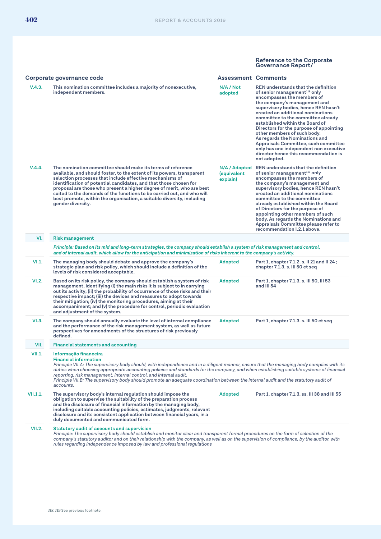|               | Corporate governance code                                                                                                                                                                                                                                                                                                                                                                                                                                                                                                                                              | <b>Assessment Comments</b>               |                                                                                                                                                                                                                                                                                                                                                                                                                                                                                                                                                            |
|---------------|------------------------------------------------------------------------------------------------------------------------------------------------------------------------------------------------------------------------------------------------------------------------------------------------------------------------------------------------------------------------------------------------------------------------------------------------------------------------------------------------------------------------------------------------------------------------|------------------------------------------|------------------------------------------------------------------------------------------------------------------------------------------------------------------------------------------------------------------------------------------------------------------------------------------------------------------------------------------------------------------------------------------------------------------------------------------------------------------------------------------------------------------------------------------------------------|
| V.4.3.        | This nomination committee includes a majority of nonexecutive,<br>independent members.                                                                                                                                                                                                                                                                                                                                                                                                                                                                                 | N/A / Not<br>adopted                     | REN understands that the definition<br>of senior management <sup>118</sup> only<br>encompasses the members of<br>the company's management and<br>supervisory bodies, hence REN hasn't<br>created an additional nominations<br>committee to the committee already<br>established within the Board of<br>Directors for the purpose of appointing<br>other members of such body.<br>As regards the Nominations and<br>Appraisals Committee, such committee<br>only has one independent non executive<br>director hence this recommendation is<br>not adopted. |
| V.4.4.        | The nomination committee should make its terms of reference<br>available, and should foster, to the extent of its powers, transparent<br>selection processes that include effective mechanisms of<br>identification of potential candidates, and that those chosen for<br>proposal are those who present a higher degree of merit, who are best<br>suited to the demands of the functions to be carried out, and who will<br>best promote, within the organisation, a suitable diversity, including<br>gender diversity.                                               | N/A / Adopted<br>(equivalent<br>explain) | REN understands that the definition<br>of senior management <sup>119</sup> only<br>encompasses the members of<br>the company's management and<br>supervisory bodies, hence REN hasn't<br>created an additional nominations<br>committee to the committee<br>already established within the Board<br>of Directors for the purpose of<br>appointing other members of such<br>body. As regards the Nominations and<br>Appraisals Committee please refer to<br>recommendation I.2.1 above.                                                                     |
| VI.           | <b>Risk management</b>                                                                                                                                                                                                                                                                                                                                                                                                                                                                                                                                                 |                                          |                                                                                                                                                                                                                                                                                                                                                                                                                                                                                                                                                            |
|               | Principle: Based on its mid and long-term strategies, the company should establish a system of risk management and control,<br>and of internal audit, which allow for the anticipation and minimization of risks inherent to the company's activity.                                                                                                                                                                                                                                                                                                                   |                                          |                                                                                                                                                                                                                                                                                                                                                                                                                                                                                                                                                            |
| VI.1.         | The managing body should debate and approve the company's<br>strategic plan and risk policy, which should include a definition of the<br>levels of risk considered acceptable.                                                                                                                                                                                                                                                                                                                                                                                         | <b>Adopted</b>                           | Part 1, chapter 7.1.2. s. II 21 and II 24;<br>chapter 7.1.3. s. III 50 et seq                                                                                                                                                                                                                                                                                                                                                                                                                                                                              |
| VI.2.         | Based on its risk policy, the company should establish a system of risk<br>management, identifying (i) the main risks it is subject to in carrying<br>out its activity; (ii) the probability of occurrence of those risks and their<br>respective impact; (iii) the devices and measures to adopt towards<br>their mitigation; (iv) the monitoring procedures, aiming at their<br>$accompanion$ ; and $(v)$ the procedure for control, periodic evaluation<br>and adjustment of the system.                                                                            | <b>Adopted</b>                           | Part 1, chapter 7.1.3. s. III 50, III 53<br>and III 54                                                                                                                                                                                                                                                                                                                                                                                                                                                                                                     |
| VI.3.         | The company should annually evaluate the level of internal compliance<br>and the performance of the risk management system, as well as future<br>perspectives for amendments of the structures of risk previously<br>defined.                                                                                                                                                                                                                                                                                                                                          | <b>Adopted</b>                           | Part 1, chapter 7.1.3. s. III 50 et seq                                                                                                                                                                                                                                                                                                                                                                                                                                                                                                                    |
| VII.          | <b>Financial statements and accounting</b>                                                                                                                                                                                                                                                                                                                                                                                                                                                                                                                             |                                          |                                                                                                                                                                                                                                                                                                                                                                                                                                                                                                                                                            |
| VII.1.        | Informação financeira<br><b>Financial information</b><br>Principle VII.A: The supervisory body should, with independence and in a diligent manner, ensure that the managing body complies with its<br>duties when choosing appropriate accounting policies and standards for the company, and when establishing suitable systems of financial<br>reporting, risk management, internal control, and internal audit.<br>Principle VII.B: The supervisory body should promote an adequate coordination between the internal audit and the statutory audit of<br>accounts. |                                          |                                                                                                                                                                                                                                                                                                                                                                                                                                                                                                                                                            |
| VII.1.1.      | The supervisory body's internal regulation should impose the<br>obligation to supervise the suitability of the preparation process<br>and the disclosure of financial information by the managing body,<br>including suitable accounting policies, estimates, judgments, relevant<br>disclosure and its consistent application between financial years, in a<br>duly documented and communicated form.                                                                                                                                                                 | <b>Adopted</b>                           | Part 1, chapter 7.1.3. ss. III 38 and III 55                                                                                                                                                                                                                                                                                                                                                                                                                                                                                                               |
| <b>VII.2.</b> | <b>Statutory audit of accounts and supervision</b><br>Principle: The supervisory body should establish and monitor clear and transparent formal procedures on the form of selection of the<br>company's statutory auditor and on their relationship with the company, as well as on the supervision of compliance, by the auditor, with<br>rules regarding independence imposed by law and professional regulations                                                                                                                                                    |                                          |                                                                                                                                                                                                                                                                                                                                                                                                                                                                                                                                                            |